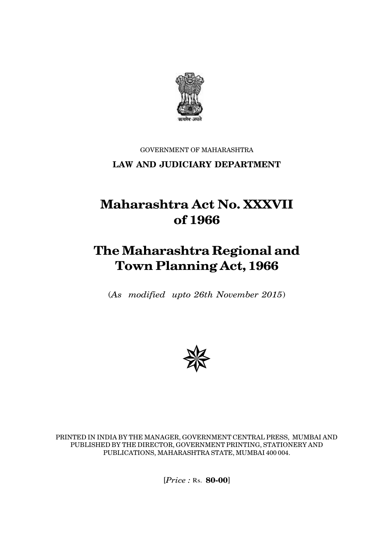

## GOVERNMENT OF MAHARASHTRA **LAW AND JUDICIARY DEPARTMENT**

# **Maharashtra Act No. XXXVII of 1966**

# **The Maharashtra Regional and Town Planning Act, 1966**

(*As modified upto 26th November 2015*)



PRINTED IN INDIA BY THE MANAGER, GOVERNMENT CENTRAL PRESS, MUMBAI AND PUBLISHED BY THE DIRECTOR, GOVERNMENT PRINTING, STATIONERY AND PUBLICATIONS, MAHARASHTRA STATE, MUMBAI 400 004.

[*Price :* Rs. **80-00**]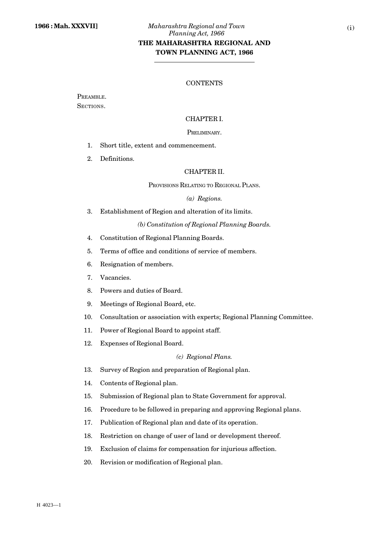## **THE MAHARASHTRA REGIONAL AND TOWN PLANNING ACT, 1966**

## **CONTENTS**

PREAMBLE. SECTIONS.

## CHAPTER I.

#### PRELIMINARY.

- 1. Short title, extent and commencement.
- 2. Definitions.

## CHAPTER II.

PROVISIONS RELATING TO REGIONAL PLANS.

#### *(a) Regions.*

3. Establishment of Region and alteration of its limits.

*(b) Constitution of Regional Planning Boards.*

- 4. Constitution of Regional Planning Boards.
- 5. Terms of office and conditions of service of members.
- 6. Resignation of members.
- 7. Vacancies.
- 8. Powers and duties of Board.
- 9. Meetings of Regional Board, etc.
- 10. Consultation or association with experts; Regional Planning Committee.
- 11. Power of Regional Board to appoint staff.
- 12. Expenses of Regional Board.

## *(c) Regional Plans.*

- 13. Survey of Region and preparation of Regional plan.
- 14. Contents of Regional plan.
- 15. Submission of Regional plan to State Government for approval.
- 16. Procedure to be followed in preparing and approving Regional plans.
- 17. Publication of Regional plan and date of its operation.
- 18. Restriction on change of user of land or development thereof.
- 19. Exclusion of claims for compensation for injurious affection.
- 20. Revision or modification of Regional plan.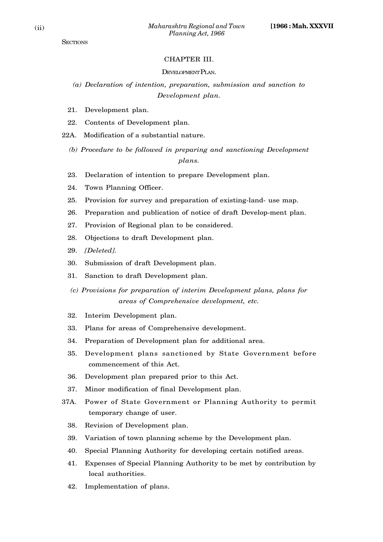## CHAPTER III.

#### DEVELOPMENT PLAN.

*(a) Declaration of intention, preparation, submission and sanction to Development plan.*

- 21. Development plan.
- 22. Contents of Development plan.

22A. Modification of a substantial nature.

- *(b) Procedure to be followed in preparing and sanctioning Development plans.*
- 23. Declaration of intention to prepare Development plan.
- 24. Town Planning Officer.
- 25. Provision for survey and preparation of existing-land- use map.
- 26. Preparation and publication of notice of draft Develop-ment plan.
- 27. Provision of Regional plan to be considered.
- 28. Objections to draft Development plan.
- 29. *[Deleted].*
- 30. Submission of draft Development plan.
- 31. Sanction to draft Development plan.
- *(c) Provisions for preparation of interim Development plans, plans for areas of Comprehensive development, etc.*
- 32. Interim Development plan.
- 33. Plans for areas of Comprehensive development.
- 34. Preparation of Development plan for additional area.
- 35. Development plans sanctioned by State Government before commencement of this Act.
- 36. Development plan prepared prior to this Act.
- 37. Minor modification of final Development plan.
- 37A. Power of State Government or Planning Authority to permit temporary change of user.
	- 38. Revision of Development plan.
	- 39. Variation of town planning scheme by the Development plan.
	- 40. Special Planning Authority for developing certain notified areas.
	- 41. Expenses of Special Planning Authority to be met by contribution by local authorities.
	- 42. Implementation of plans.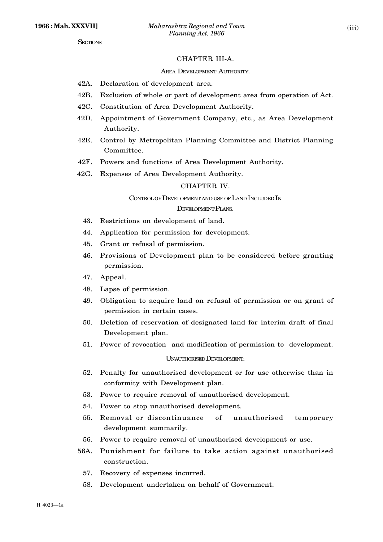#### CHAPTER III-A.

#### AREA DEVELOPMENT AUTHORITY.

- 42A. Declaration of development area.
- 42B. Exclusion of whole or part of development area from operation of Act.
- 42C. Constitution of Area Development Authority.
- 42D. Appointment of Government Company, etc., as Area Development Authority.
- 42E. Control by Metropolitan Planning Committee and District Planning Committee.
- 42F. Powers and functions of Area Development Authority.
- 42G. Expenses of Area Development Authority.

#### CHAPTER IV.

#### CONTROLOF DEVELOPMENTAND USEOF LAND INCLUDED IN

#### DEVELOPMENT PLANS.

- 43. Restrictions on development of land.
- 44. Application for permission for development.
- 45. Grant or refusal of permission.
- 46. Provisions of Development plan to be considered before granting permission.
- 47. Appeal.
- 48. Lapse of permission.
- 49. Obligation to acquire land on refusal of permission or on grant of permission in certain cases.
- 50. Deletion of reservation of designated land for interim draft of final Development plan.
- 51. Power of revocation and modification of permission to development.

#### UNAUTHORISED DEVELOPMENT.

- 52. Penalty for unauthorised development or for use otherwise than in conformity with Development plan.
- 53. Power to require removal of unauthorised development.
- 54. Power to stop unauthorised development.
- 55. Removal or discontinuance of unauthorised temporary development summarily.
- 56. Power to require removal of unauthorised development or use.
- 56A. Punishment for failure to take action against unauthorised construction.
	- 57. Recovery of expenses incurred.
	- 58. Development undertaken on behalf of Government.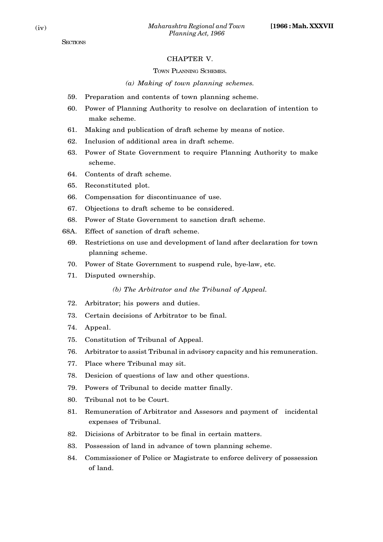## CHAPTER V.

#### TOWN PLANNING SCHEMES.

### *(a) Making of town planning schemes.*

- 59. Preparation and contents of town planning scheme.
- 60. Power of Planning Authority to resolve on declaration of intention to make scheme.
- 61. Making and publication of draft scheme by means of notice.
- 62. Inclusion of additional area in draft scheme.
- 63. Power of State Government to require Planning Authority to make scheme.
- 64. Contents of draft scheme.
- 65. Reconstituted plot.
- 66. Compensation for discontinuance of use.
- 67. Objections to draft scheme to be considered.
- 68. Power of State Government to sanction draft scheme.
- 68A. Effect of sanction of draft scheme.
	- 69. Restrictions on use and development of land after declaration for town planning scheme.
	- 70. Power of State Government to suspend rule, bye-law, etc.
	- 71. Disputed ownership.

*(b) The Arbitrator and the Tribunal of Appeal.*

- 72. Arbitrator; his powers and duties.
- 73. Certain decisions of Arbitrator to be final.
- 74. Appeal.
- 75. Constitution of Tribunal of Appeal.
- 76. Arbitrator to assist Tribunal in advisory capacity and his remuneration.
- 77. Place where Tribunal may sit.
- 78. Desicion of questions of law and other questions.
- 79. Powers of Tribunal to decide matter finally.
- 80. Tribunal not to be Court.
- 81. Remuneration of Arbitrator and Assesors and payment of incidental expenses of Tribunal.
- 82. Dicisions of Arbitrator to be final in certain matters.
- 83. Possession of land in advance of town planning scheme.
- 84. Commissioner of Police or Magistrate to enforce delivery of possession of land.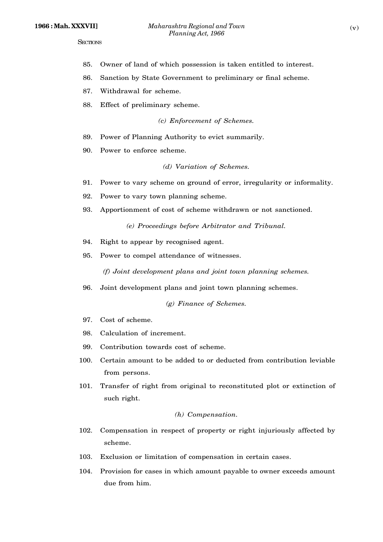- 85. Owner of land of which possession is taken entitled to interest.
- 86. Sanction by State Government to preliminary or final scheme.
- 87. Withdrawal for scheme.
- 88. Effect of preliminary scheme.

*(c) Enforcement of Schemes.*

- 89. Power of Planning Authority to evict summarily.
- 90. Power to enforce scheme.

## *(d) Variation of Schemes.*

- 91. Power to vary scheme on ground of error, irregularity or informality.
- 92. Power to vary town planning scheme.
- 93. Apportionment of cost of scheme withdrawn or not sanctioned.

*(e) Proceedings before Arbitrator and Tribunal.*

- 94. Right to appear by recognised agent.
- 95. Power to compel attendance of witnesses.

*(f) Joint development plans and joint town planning schemes.*

96. Joint development plans and joint town planning schemes.

*(g) Finance of Schemes.*

- 97. Cost of scheme.
- 98. Calculation of increment.
- 99. Contribution towards cost of scheme.
- 100. Certain amount to be added to or deducted from contribution leviable from persons.
- 101. Transfer of right from original to reconstituted plot or extinction of such right.

## *(h) Compensation.*

- 102. Compensation in respect of property or right injuriously affected by scheme.
- 103. Exclusion or limitation of compensation in certain cases.
- 104. Provision for cases in which amount payable to owner exceeds amount due from him.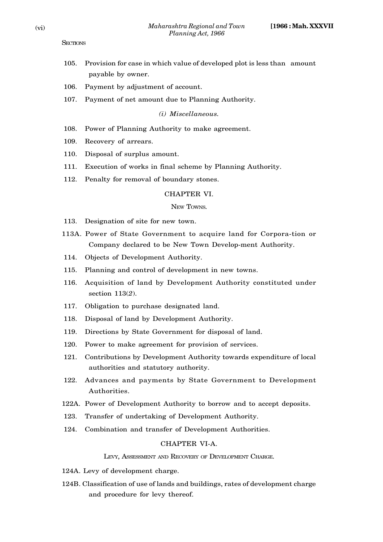- 105. Provision for case in which value of developed plot is less than amount payable by owner.
- 106. Payment by adjustment of account.
- 107. Payment of net amount due to Planning Authority.

*(i) Miscellaneous.*

- 108. Power of Planning Authority to make agreement.
- 109. Recovery of arrears.
- 110. Disposal of surplus amount.
- 111. Execution of works in final scheme by Planning Authority.
- 112. Penalty for removal of boundary stones.

## CHAPTER VI.

#### NEW TOWNS.

- 113. Designation of site for new town.
- 113A. Power of State Government to acquire land for Corpora-tion or Company declared to be New Town Develop-ment Authority.
- 114. Objects of Development Authority.
- 115. Planning and control of development in new towns.
- 116. Acquisition of land by Development Authority constituted under section 113(*2*).
- 117. Obligation to purchase designated land.
- 118. Disposal of land by Development Authority.
- 119. Directions by State Government for disposal of land.
- 120. Power to make agreement for provision of services.
- 121. Contributions by Development Authority towards expenditure of local authorities and statutory authority.
- 122. Advances and payments by State Government to Development Authorities.
- 122A. Power of Development Authority to borrow and to accept deposits.
- 123. Transfer of undertaking of Development Authority.
- 124. Combination and transfer of Development Authorities.

## CHAPTER VI-A.

#### LEVY, ASSESSMENT AND RECOVERY OF DEVELOPMENT CHARGE.

- 124A. Levy of development charge.
- 124B. Classification of use of lands and buildings, rates of development charge and procedure for levy thereof.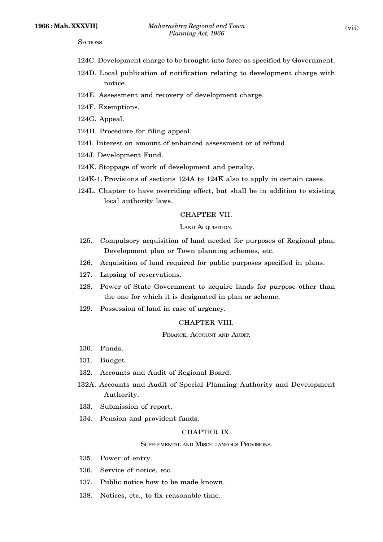- 124C. Development charge to be brought into force as specified by Government.
- 124D. Local publication of notification relating to development charge with notice.
- 124E. Assessment and recovery of development charge.
- 124F. Exemptions.
- 124G. Appeal.
- 124H. Procedure for filing appeal.
- 124I. Interest on amount of enhanced assessment or of refund.
- 124J. Development Fund.
- 124K. Stoppage of work of development and penalty.
- 124K-1. Provisions of sections 124A to 124K also to apply in certain cases.
- 124L. Chapter to have overriding effect, but shall be in addition to existing local authority laws.

#### CHAPTER VII.

#### LAND ACQUISITION.

- 125. Compulsory acquisition of land needed for purposes of Regional plan, Development plan or Town planning schemes, etc.
- 126. Acquisition of land required for public purposes specified in plans.
- 127. Lapsing of reservations.
- 128. Power of State Government to acquire lands for purpose other than the one for which it is designated in plan or scheme.
- 129. Possession of land in case of urgency.

## CHAPTER VIII.

FINANCE, ACCOUNT AND AUDIT.

- 130. Funds.
- 131. Budget.
- 132. Accounts and Audit of Regional Board.
- 132A. Accounts and Audit of Special Planning Authority and Development Authority.
- 133. Submission of report.
- 134. Pension and provident funds.

## CHAPTER IX.

#### SUPPLEMENTAL AND MISCELLANEOUS PROVISIONS.

- 135. Power of entry.
- 136. Service of notice, etc.
- 137. Public notice how to be made known.
- 138. Notices, etc., to fix reasonable time.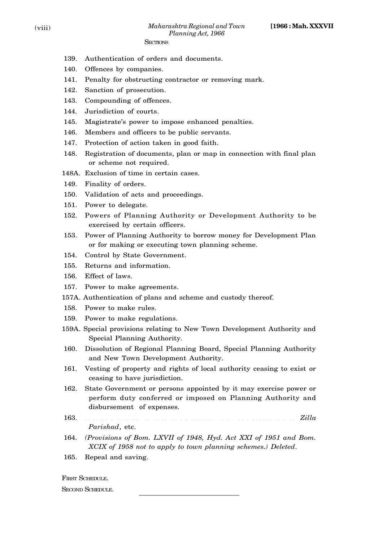- 139. Authentication of orders and documents.
- 140. Offences by companies.
- 141. Penalty for obstructing contractor or removing mark.
- 142. Sanction of prosecution.
- 143. Compounding of offences.
- 144. Jurisdiction of courts.
- 145. Magistrate's power to impose enhanced penalties.
- 146. Members and officers to be public servants.
- 147. Protection of action taken in good faith.
- 148. Registration of documents, plan or map in connection with final plan or scheme not required.
- 148A. Exclusion of time in certain cases.
- 149. Finality of orders.
- 150. Validation of acts and proceedings.
- 151. Power to delegate.
- 152. Powers of Planning Authority or Development Authority to be exercised by certain officers.
- 153. Power of Planning Authority to borrow money for Development Plan or for making or executing town planning scheme.
- 154. Control by State Government.
- 155. Returns and information.
- 156. Effect of laws.
- 157. Power to make agreements.
- 157A. Authentication of plans and scheme and custody thereof.
- 158. Power to make rules.
- 159. Power to make regulations.
- 159A. Special provisions relating to New Town Development Authority and Special Planning Authority.
- 160. Dissolution of Regional Planning Board, Special Planning Authority and New Town Development Authority.
- 161. Vesting of property and rights of local authority ceasing to exist or ceasing to have jurisdiction.
- 162. State Government or persons appointed by it may exercise power or perform duty conferred or imposed on Planning Authority and disbursement of expenses.
- $\bf 163.$  S p r o v i d i n c a s e o f d i s o l u t i o  $\bf 163.$   $\bf 2$   $\bf 1$   $\bf 1a$ *Parishad*, etc.
- 164. *(Provisions of Bom. LXVII of 1948, Hyd. Act XXI of 1951 and Bom. XCIX of 1958 not to apply to town planning schemes.) Deleted*.
- 165. Repeal and saving.

FIRST SCHEDULE.

#### SECOND SCHEDULE.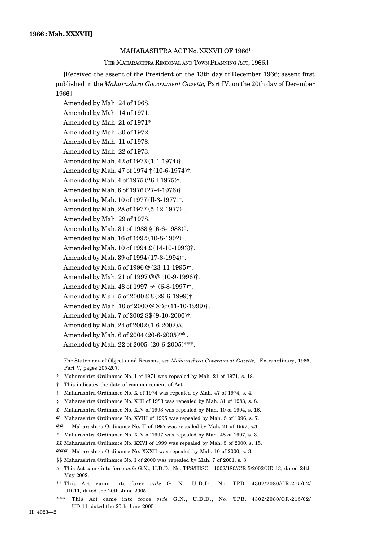#### MAHARASHTRA ACT No. XXXVII OF 1966<sup>1</sup>

[THE MAHARASHTRA REGIONAL AND TOWN PLANNING ACT, 1966.]

[Received the assent of the President on the 13th day of December 1966; assent first published in the *Maharashtra Government Gazette,* Part IV, on the 20th day of December 1966.]

Amended by Mah. 24 of 1968. Amended by Mah. 14 of 1971. Amended by Mah. 21 of 1971\* Amended by Mah. 30 of 1972. Amended by Mah. 11 of 1973. Amended by Mah. 22 of 1973. Amended by Mah. 42 of 1973 (1-1-1974)†. Amended by Mah. 47 of 1974 ‡ (10-6-1974)†. Amended by Mah. 4 of 1975 (26-l-1975)†. Amended by Mah. 6 of 1976 (27-4-1976)†. Amended by Mah. 10 of 1977 (ll-3-1977)†. Amended by Mah. 28 of 1977 (5-12-1977)†. Amended by Mah. 29 of 1978. Amended by Mah. 31 of 1983 § (6-6-1983)†. Amended by Mah. 16 of 1992 (10-8-1992)†. Amended by Mah. 10 of 1994 £ (14-10-1993)†. Amended by Mah. 39 of 1994 (17-8-1994)†. Amended by Mah. 5 of 1996 @ (23-11-1995)†. Amended by Mah. 21 of 1997 @ @ (10-9-1996)†. Amended by Mah. 48 of  $1997 \neq (6-8-1997)$ <sup>†</sup>. Amended by Mah. 5 of 2000 £ £ (29-6-1999)†. Amended by Mah. 10 of 2000 @ @ @ (11-10-1999)†. Amended by Mah. 7 of 2002 \$\$ (9-10-2000)†. Amended by Mah. 24 of 2002 (1-6-2002) $\Delta$ . Amended by Mah. 6 of 2004 (20-6-2005)\*\*. Amended by Mah. 22 of 2005 (20-6-2005)\*\*\*.

<sup>1</sup> For Statement of Objects and Reasons, *see Maharashtra Government Gazette,* Extraordinary, 1966, Part V, pages 205-207.

Maharashtra Ordinance No. I of 1971 was repealed by Mah. 21 of 1971, s. 18.

† This indicates the date of commencement of Act.

‡ Maharashtra Ordinance No. X of 1974 was repealed by Mah. 47 of 1974, s. 4.

§ Maharashtra Ordinance No. XIII of 1983 was repealed by Mah. 31 of 1983, s. 8.

£ Maharashtra Ordinance No. XIV of 1993 was repealed by Mah. 10 of 1994, s. 16.

@ Maharashtra Ordinance No. XVIII of 1995 was repealed by Mah. 5 of 1996, s. 7.

@@ Maharashtra Ordinance No. II of 1997 was repealed by Mah. 21 of 1997, s.3.

# Maharashtra Ordinance No. XIV of 1997 was repealed by Mah. 48 of 1997, s. 3.

££ Maharashtra Ordinance No. XXVI of 1999 was repealed by Mah. 5 of 2000, s. 15.

@@@ Maharashtra Ordinance No. XXXII was repealed by Mah. 10 of 2000, s. 3.

\$\$ Maharashtra Ordinance No. I of 2000 was repealed by Mah. 7 of 2001, s. 3.

 This Act came into force *vide* G.N., U.D.D., No. TPS/HISC - 1002/180//CR-5/2002/UD-13, dated 24th May 2002.

- \*\* This Act came into force *vide* G. N., U.D.D., No. TPB. 4302/2080/CR-215/02/ UD-11, dated the 20th June 2005.
- \*\*\* This Act came into force *vide* G.N., U.D.D., No. TPB. 4302/2080/CR-215/02/ UD-11, dated the 20th June 2005.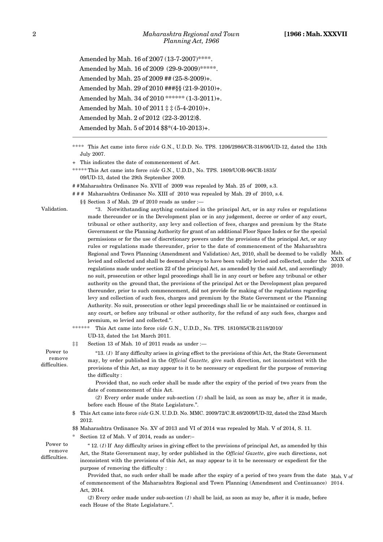Amended by Mah. 16 of 2007 (13-7-2007)\*\*\*\*. Amended by Mah. 16 of 2009 (29-9-2009)\*\*\*\*\*. Amended by Mah. 25 of 2009 ## (25-8-2009)+. Amended by Mah. 29 of 2010 ###§§ (21-9-2010)+. Amended by Mah. 34 of 2010 \*\*\*\*\*\* (1-3-2011)+. Amended by Mah. 10 of 2011 ‡ ‡ (5-4-2010)+. Amended by Mah. 2 of 2012 (22-3-2012)\$. Amended by Mah. 5 of 2014 \$\$\*(4-10-2013)+.

\*\*\*\* This Act came into force *vide* G.N., U.D.D. No. TPS. 1206/2986/CR-318/06/UD-12, dated the 13th July 2007.

+ This indicates the date of commencement of Act.

§§ Section 3 of Mah. 29 of 2010 reads as under :—

- \*\*\*\*\* This Act came into force *vide* G.N., U.D.D., No. TPS. 1809/UOR-96/CR-1835/ 09/UD-13, dated the 29th September 2009.
- # #Maharashtra Ordinance No. XVII of 2009 was repealed by Mah. 25 of 2009, s.3.
- # # # Maharashtra Ordinance No. XIII of 2010 was repealed by Mah. 29 of 2010, s.4.

Validation.

"3. Notwithstanding anything contained in the principal Act, or in any rules or regulations made thereunder or in the Development plan or in any judgement, decree or order of any court, tribunal or other authority, any levy and collection of fees, charges and premium by the State Government or the Planning Authority for grant of an additional Floor Space Index or for the special permissions or for the use of discretionary powers under the provisions of the principal Act, or any rules or regulations made thereunder, prior to the date of commencement of the Maharashtra Regional and Town Planning (Amendment and Validation) Act, 2010, shall be deemed to be validly Mah. levied and collected and shall be deemed always to have been validly levied and collected, under the XXIX of regulations made under section 22 of the principal Act, as amended by the said Act, and accordingly no suit, prosecution or other legal proceedings shall lie in any court or before any tribunal or other authority on the ground that, the provisions of the principal Act or the Development plan prepared thereunder, prior to such commencement, did not provide for making of the regulations regarding levy and collection of such fees, charges and premium by the State Government or the Planning Authority. No suit, prosecution or other legal proceedings shall lie or be maintained or continued in any court, or before any tribunal or other authority, for the refund of any such fees, charges and premium, so levied and collected.".

\*\*\*\*\*\* This Act came into force *vide* G.N., U.D.D., No. TPS. 1810/85/CR-2118/2010/

- UD-13, dated the 1st March 2011.
- ‡‡ Section 13 of Mah. 10 of 2011 reads as under :—

"13. (*1*) If any difficulty arises in giving effect to the provisions of this Act, the State Government may, by order published in the *Official Gazette,* give such direction, not inconsistent with the provisions of this Act, as may appear to it to be necessary or expedient for the purpose of removing the difficulty :

Provided that, no such order shall be made after the expiry of the period of two years from the date of commencement of this Act.

(*2*) Every order made under sub-section (*1*) shall be laid, as soon as may be, after it is made, before each House of the State Legislature.".

\$ This Act came into force *vide* G.N. U.D.D. No. MMC. 2009/72/C.R.48/2009/UD-32, dated the 22nd March 2012.

\$\$ Maharashtra Ordinance No. XV of 2013 and VI of 2014 was repealed by Mah. V of 2014, S. 11.

Section 12 of Mah. V of 2014, reads as under:-

Power to remove difficulties.

Power to remove difficulties.

> " 12. (*1*) If Any difficulty arises in giving effect to the provisions of principal Act, as amended by this Act, the State Government may, by order published in the *Official Gazette*, give such directions, not inconsistent with the provisions of this Act, as may appear to it to be necessary or expedient for the purpose of removing the difficulty :

Provided that, no such order shall be made after the expiry of a period of two years from the date Mah. V of of commencement of the Maharashtra Regional and Town Planning (Amendment and Continuance) 2014. Act, 2014.

(*2*) Every order made under sub-section (*1*) shall be laid, as soon as may be, after it is made, before each House of the State Legislature.".

2010.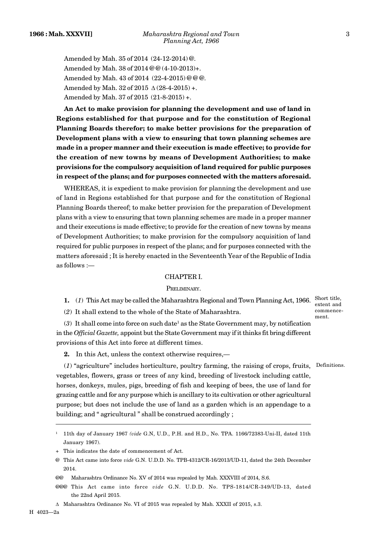Amended by Mah. 35 of 2014 (24-12-2014) @. Amended by Mah. 38 of 2014 @ @ (4-10-2013)+. Amended by Mah. 43 of 2014 (22-4-2015) @ @ @. Amended by Mah. 32 of 2015  $\triangle$  (28-4-2015) +. Amended by Mah. 37 of 2015 (21-8-2015) +.

**An Act to make provision for planning the development and use of land in Regions established for that purpose and for the constitution of Regional Planning Boards therefor; to make better provisions for the preparation of Development plans with a view to ensuring that town planning schemes are made in a proper manner and their execution is made effective; to provide for the creation of new towns by means of Development Authorities; to make provisions for the compulsory acquisition of land required for public purposes in respect of the plans; and for purposes connected with the matters aforesaid.**

WHEREAS, it is expedient to make provision for planning the development and use of land in Regions established for that purpose and for the constitution of Regional Planning Boards thereof; to make better provision for the preparation of Development plans with a view to ensuring that town planning schemes are made in a proper manner and their executions is made effective; to provide for the creation of new towns by means of Development Authorities; to make provision for the compulsory acquisition of land required for public purposes in respect of the plans; and for purposes connected with the matters aforesaid ; It is hereby enacted in the Seventeenth Year of the Republic of India as follows :—

#### CHAPTER I.

#### PRELIMINARY.

**1.** (*1*) This Act may be called the Maharashtra Regional and Town Planning Act, 1966. Short title,

(*2*) It shall extend to the whole of the State of Maharashtra.

extent and commence ment.

 $(3)$  It shall come into force on such date<sup>1</sup> as the State Government may, by notification in the *Official Gazette,* appoint but the State Government may if it thinks fit bring different provisions of this Act into force at different times.

**2.** In this Act, unless the context otherwise requires,—

(*1*) "agriculture" includes horticulture, poultry farming, the raising of crops, fruits, Definitions. vegetables, flowers, grass or trees of any kind, breeding of livestock including cattle, horses, donkeys, mules, pigs, breeding of fish and keeping of bees, the use of land for grazing cattle and for any purpose which is ancillary to its cultivation or other agricultural purpose; but does not include the use of land as a garden which is an appendage to a building; and " agricultural " shall be construed accordingly ;

<sup>1</sup> 11th day of January 1967 *(vide* G.N, U.D., P.H. and H.D., No. TPA. 1166/72383-Uni-II, dated 11th January 1967).

<sup>+</sup> This indicates the date of commencement of Act.

<sup>@</sup> This Act came into force *vide* G.N. U.D.D. No. TPB-4312/CR-16/2013/UD-11, dated the 24th December 2014.

<sup>@@</sup> Maharashtra Ordinance No. XV of 2014 was repealed by Mah. XXXVIII of 2014, S.6.

<sup>@@@</sup> This Act came into force *vide* G.N. U.D.D. No. TPS-1814/CR-349/UD-13, dated the 22nd April 2015.

A Maharashtra Ordinance No. VI of 2015 was repealed by Mah. XXXII of 2015, s.3.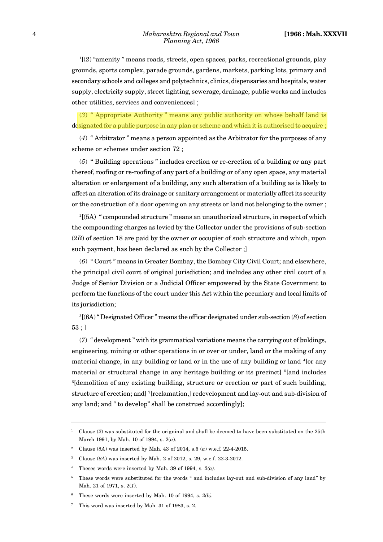$1(2)$  "amenity" means roads, streets, open spaces, parks, recreational grounds, play grounds, sports complex, parade grounds, gardens, markets, parking lots, primary and secondary schools and colleges and polytechnics, clinics, dispensaries and hospitals, water supply, electricity supply, street lighting, sewerage, drainage, public works and includes other utilities, services and conveniences] ;

(*3*) *"* Appropriate Authority " means any public authority on whose behalf land is designated for a public purpose in any plan or scheme and which it is authorised to acquire ;

(*4*) " Arbitrator " means a person appointed as the Arbitrator for the purposes of any scheme or schemes under section 72 ;

(*5*) " Building operations " includes erection or re-erection of a building or any part thereof, roofing or re-roofing of any part of a building or of any open space, any material alteration or enlargement of a building, any such alteration of a building as is likely to affect an alteration of its drainage or sanitary arrangement or materially affect its security or the construction of a door opening on any streets or land not belonging to the owner ;

 $2(5)$  " compounded structure" means an unauthorized structure, in respect of which the compounding charges as levied by the Collector under the provisions of sub-section (*2B*) of section 18 are paid by the owner or occupier of such structure and which, upon such payment, has been declared as such by the Collector ;]

(*6*) *"* Court " means in Greater Bombay, the Bombay City Civil Court; and elsewhere, the principal civil court of original jurisdiction; and includes any other civil court of a Judge of Senior Division or a Judicial Officer empowered by the State Government to perform the functions of the court under this Act within the pecuniary and local limits of its jurisdiction;

<sup>3</sup>[(6A) " Designated Officer " means the officer designated under sub-section (*8*) of section 53 ; ]

(*7*) " development " with its grammatical variations means the carrying out of buldings, engineering, mining or other operations in or over or under, land or the making of any material change, in any building or land or in the use of any building or land  $\frac{4}{1}$  or any material or structural change in any heritage building or its precinct] <sup>5</sup>[and includes <sup>6</sup>[demolition of any existing building, structure or erection or part of such building, structure of erection; and] <sup>7</sup>[reclamation,] redevelopment and lay-out and sub-division of any land; and " to develop" shall be construed accordingly];

<sup>&</sup>lt;sup>1</sup> Clause (2) was substituted for the origninal and shall be deemed to have been substituted on the 25th March 1991, by Mah. 10 of 1994, s. 2(*a*).

<sup>2</sup> Clause (*5A*) was inserted by Mah. 43 of 2014, s.5 (*a*) w.e.f. 22-4-2015.

<sup>3</sup> Clause (*6A*) was inserted by Mah. 2 of 2012, s. 29, w.e.f. 22-3-2012.

Theses words were inserted by Mah. 39 of 1994, s.  $2(a)$ .

<sup>5</sup> These words were substituted for the words " and includes lay-out and sub-division of any land" by Mah. 21 of 1971, s. 2(*1*).

These words were inserted by Mah. 10 of 1994, s.  $2(b)$ .

<sup>7</sup> This word was inserted by Mah. 31 of 1983, s. 2.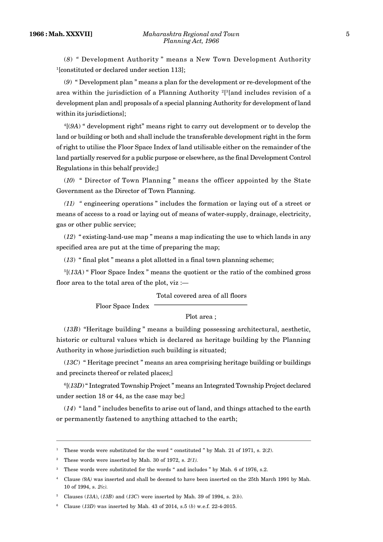(*8*) *"* Development Authority " means a New Town Development Authority <sup>1</sup>[constituted or declared under section 113];

(*9*) " Development plan " means a plan for the development or re-development of the area within the jurisdiction of a Planning Authority  $^{2}\left[ ^{3}\right[$  and includes revision of a development plan and] proposals of a special planning Authority for development of land within its jurisdictions];

<sup>4</sup>[(*9A*) " development right" means right to carry out development or to develop the land or building or both and shall include the transferable development right in the form of right to utilise the Floor Space Index of land utilisable either on the remainder of the land partially reserved for a public purpose or elsewhere, as the final Development Control Regulations in this behalf provide;]

(*10*) " Director of Town Planning " means the officer appointed by the State Government as the Director of Town Planning.

*(11) "* engineering operations " includes the formation or laying out of a street or means of access to a road or laying out of means of water-supply, drainage, electricity, gas or other public service;

(*12*) " existing-land-use map " means a map indicating the use to which lands in any specified area are put at the time of preparing the map;

(*13*) " final plot " means a plot allotted in a final town planning scheme;

<sup>5</sup>[(*13A*) " Floor Space Index " means the quotient or the ratio of the combined gross floor area to the total area of the plot, viz :—

Total covered area of all floors

Floor Space Index

Plot area ;

(*13B*) "Heritage building " means a building possessing architectural, aesthetic, historic or cultural values which is declared as heritage building by the Planning Authority in whose jurisdiction such building is situated;

(*13C*) " Heritage precinct " means an area comprising heritage building or buildings and precincts thereof or related places;]

<sup>6</sup>[(*13D*) " Integrated Township Project " means an Integrated Township Project declared under section 18 or 44, as the case may be;]

(*14*) " land " includes benefits to arise out of land, and things attached to the earth or permanently fastened to anything attached to the earth;

<sup>1</sup> These words were substituted for the word " constituted " by Mah. 21 of 1971, s. 2(*2*).

<sup>2</sup> These words were inserted by Mah. 30 of 1972, s. *2(1).*

<sup>&</sup>lt;sup>3</sup> These words were substituted for the words " and includes " by Mah. 6 of 1976, s.2.

<sup>4</sup> Clause *(9A)* was inserted and shall be deemed to have been inserted on the 25th March 1991 by Mah. 10 of 1994, s. *2(c).*

<sup>5</sup> Clauses (*13A*), (*13B*) and (*13C*) were inserted by Mah. 39 of 1994, s. 2(*b*).

<sup>6</sup> Clause (*13D*) was inserted by Mah. 43 of 2014, s.5 (*b*) w.e.f. 22-4-2015.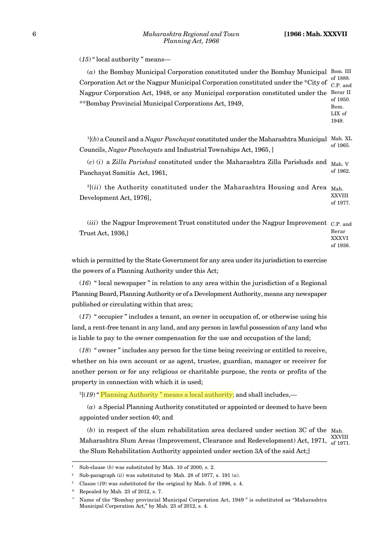(*15*) " local authority " means—

| (a) the Bombay Municipal Corporation constituted under the Bombay Municipal<br>Corporation Act or the Nagpur Municipal Corporation constituted under the *City of<br>Nagpur Corporation Act, 1948, or any Municipal corporation constituted under the<br>**Bombay Provincial Municipal Corporations Act, 1949, | Bom. III<br>of 1888.<br>C.P. and<br>Berar II<br>of 1950.<br>Bom.<br>LIX of<br>1949. |
|----------------------------------------------------------------------------------------------------------------------------------------------------------------------------------------------------------------------------------------------------------------------------------------------------------------|-------------------------------------------------------------------------------------|
| $\frac{1}{1}$ (b) a Council and a <i>Nagar Panchayat</i> constituted under the Maharashtra Municipal<br>Councils, Nagar Panchayats and Industrial Townships Act, 1965, ]                                                                                                                                       | Mah. XL<br>of 1965.                                                                 |
| $(c)$ (i) a Zilla Parishad constituted under the Maharashtra Zilla Parishads and<br>Panchayat Samitis Act, 1961,                                                                                                                                                                                               | Mah. V<br>of 1962.                                                                  |
| $^{2}$ [(ii) the Authority constituted under the Maharashtra Housing and Area<br>Development Act, 1976],                                                                                                                                                                                                       | Mah.<br><b>XXVIII</b><br>of 1977.                                                   |
| (iii) the Nagpur Improvement Trust constituted under the Nagpur Improvement C.P. and<br>Trust Act, 1936,]                                                                                                                                                                                                      | Berar<br><b>XXXVI</b><br>of 1936.                                                   |
| which is permitted by the State Government for any area under its jurisdiction to exercise                                                                                                                                                                                                                     |                                                                                     |
| the powers of a Planning Authority under this Act;                                                                                                                                                                                                                                                             |                                                                                     |

(*16*) " local newspaper " in relation to any area within the jurisdiction of a Regional Planning Board, Planning Authority or of a Development Authority, means any newspaper published or circulating within that area;

(*17*) " occupier " includes a tenant, an owner in occupation of, or otherwise using his land, a rent-free tenant in any land, and any person in lawful possession of any land who is liable to pay to the owner compensation for the use and occupation of the land;

(*18*) " owner " includes any person for the time being receiving or entitled to receive, whether on his own account or as agent, trustee, guardian, manager or receiver for another person or for any religious or charitable purpose, the rents or profits of the property in connection with which it is used;

<sup>3</sup>[(19) "Planning Authority " means a local authority; and shall includes,—

(*a*) a Special Planning Authority constituted or appointed or deemed to have been appointed under section 40; and

(*b*) in respect of the slum rehabilitation area declared under section 3C of the Mah. Maharashtra Slum Areas (Improvement, Clearance and Redevelopment) Act, 1971, XXVIII the Slum Rehabilitation Authority appointed under section 3A of the said Act;]

of 1971.

<sup>&</sup>lt;sup>1</sup> Sub-clause (*b*) was substituted by Mah. 10 of 2000, s. 2.

<sup>&</sup>lt;sup>2</sup> Sub-paragraph (*ii*) was substituted by Mah. 28 of 1977, s. 191  $(a)$ .

Clause (19) was substituted for the original by Mah. 5 of 1996, s. 4.

Repealed by Mah. 23 of 2012, s. 7.

Name of the "Bombay provincial Municipal Corporation Act, 1949 " is substituted as "Maharashtra Municipal Corporation Act," by Mah. 23 of 2012, s. 4.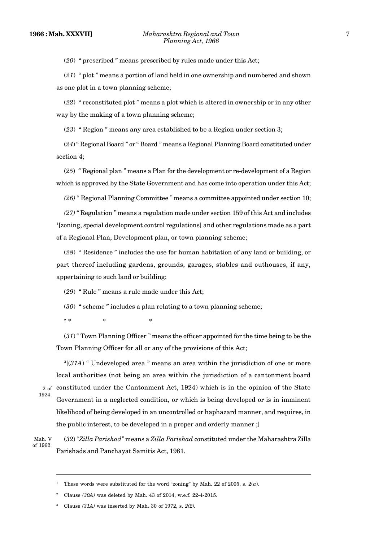(*20*) " prescribed " means prescribed by rules made under this Act;

(*21*) " plot " means a portion of land held in one ownership and numbered and shown as one plot in a town planning scheme;

(*22*) " reconstituted plot " means a plot which is altered in ownership or in any other way by the making of a town planning scheme;

(*23*) " Region " means any area established to be a Region under section 3;

(*24*) " Regional Board " or " Board " means a Regional Planning Board constituted under section 4;

(*25*) *"* Regional plan " means a Plan for the development or re-development of a Region which is approved by the State Government and has come into operation under this Act;

*(26)* " Regional Planning Committee " means a committee appointed under section 10;

*(27) "* Regulation " means a regulation made under section 159 of this Act and includes <sup>1</sup>[zoning, special development control regulations] and other regulations made as a part of a Regional Plan, Development plan, or town planning scheme;

(*28*) " Residence " includes the use for human habitation of any land or building, or part thereof including gardens, grounds, garages, stables and outhouses, if any, appertaining to such land or building;

(*29*) " Rule " means a rule made under this Act;

(*30*) " scheme " includes a plan relating to a town planning scheme;

 $2 *$  $*$   $*$   $*$   $*$ 

(*31*) " Town Planning Officer " means the officer appointed for the time being to be the Town Planning Officer for all or any of the provisions of this Act;

<sup>3</sup>[(*31A*) *"* Undeveloped area " means an area within the jurisdiction of one or more local authorities (not being an area within the jurisdiction of a cantonment board  $2 \text{ of }$  constituted under the Cantonment Act, 1924) which is in the opinion of the State Government in a neglected condition, or which is being developed or is in imminent likelihood of being developed in an uncontrolled or haphazard manner, and requires, in the public interest, to be developed in a proper and orderly manner ;] 1924.

Mah. V of 1962.

(*32*) "*Zilla Parishad"* means a *Zilla Parishad* constituted under the Maharashtra Zilla Parishads and Panchayat Samitis Act, 1961.

<sup>&</sup>lt;sup>1</sup> These words were substituted for the word "zoning" by Mah. 22 of 2005, s.  $2(a)$ .

<sup>2</sup> Clause *(30A)* was deleted by Mah. 43 of 2014, w.e.f. 22-4-2015.

<sup>3</sup> Clause *(31A)* was inserted by Mah. 30 of 1972, s. *2(2).*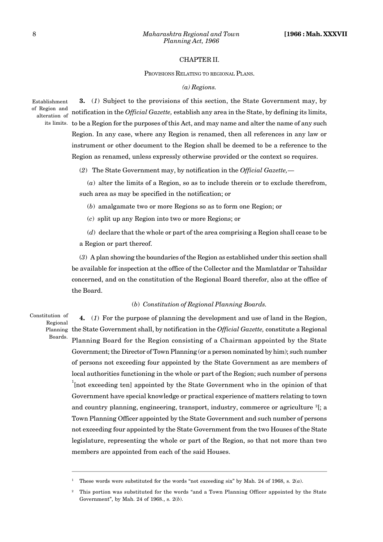#### CHAPTER II.

PROVISIONS RELATING TO REGIONAL PLANS.

#### *(a) Regions.*

Establishment alteration of  $\overline{a}$ 

**3.** (*1*) Subject to the provisions of this section, the State Government may, by of Region and notification in the *Official Gazette*, establish any area in the State, by defining its limits, its limits.  $\,$  to be a Region for the purposes of this Act, and may name and alter the name of any such Region. In any case, where any Region is renamed, then all references in any law or instrument or other document to the Region shall be deemed to be a reference to the Region as renamed, unless expressly otherwise provided or the context so requires.

(*2*) The State Government may, by notification in the *Official Gazette,*—

(*a*) alter the limits of a Region, so as to include therein or to exclude therefrom, such area as may be specified in the notification; or

(*b*) amalgamate two or more Regions so as to form one Region; or

(*c*) split up any Region into two or more Regions; or

(*d*) declare that the whole or part of the area comprising a Region shall cease to be a Region or part thereof.

(*3*) A plan showing the boundaries of the Region as established under this section shall be available for inspection at the office of the Collector and the Mamlatdar or Tahsildar concerned, and on the constitution of the Regional Board therefor, also at the office of the Board.

#### (*b*) *Constitution of Regional Planning Boards.*

Constitution of Regional

Boards.

**4.** (*1*) For the purpose of planning the development and use of land in the Region, the State Government shall, by notification in the *Official Gazette,* constitute a Regional Planning Planning Board for the Region consisting of a Chairman appointed by the State Government; the Director of Town Planning (or a person nominated by him); such number of persons not exceeding four appointed by the State Government as are members of local authorities functioning in the whole or part of the Region; such number of persons <sup>1</sup>[not exceeding ten] appointed by the State Government who in the opinion of that Government have special knowledge or practical experience of matters relating to town and country planning, engineering, transport, industry, commerce or agriculture  $^{2}$ [; a Town Planning Officer appointed by the State Government and such number of persons not exceeding four appointed by the State Government from the two Houses of the State legislature, representing the whole or part of the Region, so that not more than two members are appointed from each of the said Houses.

<sup>1</sup> These words were substituted for the words "not exceeding six" by Mah. 24 of 1968, s. 2(*a*).

<sup>2</sup> This portion was substituted for the words "and a Town Planning Officer appointed by the State Government", by Mah. 24 of 1968., s. 2(*b*).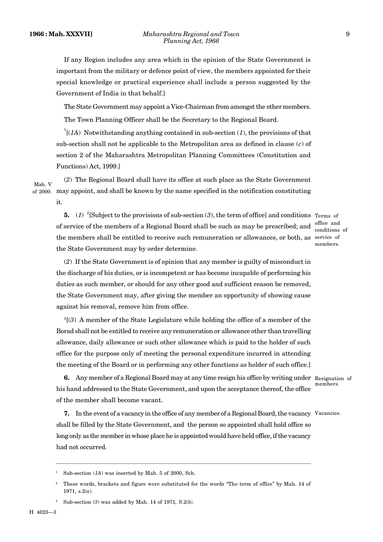If any Region includes any area which in the opinion of the State Government is important from the military or defence point of view, the members appointed for their special knowledge or practical experience shall include a person suggested by the Government of India in that behalf.]

The State Government may appoint a Vice-Chairman from amongst the other members. The Town Planning Officer shall be the Secretary to the Regional Board.

 $\int_{1}^{1}$ [(*1A*) Notwithstanding anything contained in sub-section (*1*), the provisions of that sub-section shall not be applicable to the Metropolitan area as defined in clause (*c*) of section 2 of the Maharashtra Metropolitan Planning Committees (Constitution and Functions) Act, 1999.]

(*2*) The Regional Board shall have its office at such place as the State Government may appoint, and shall be known by the name specified in the notification constituting of 2000. it. Mah. V

**5.** (1) <sup>2</sup>[Subject to the provisions of sub-section (3), the term of office] and conditions Terms of of service of the members of a Regional Board shall be such as may be prescribed; and the members shall be entitled to receive such remuneration or allowances, or both, as service of the State Government may by order determine.

office and conditions of members.

(*2*) If the State Government is of opinion that any member is guilty of misconduct in the discharge of his duties, or is incompetent or has become incapable of performing his duties as such member, or should for any other good and sufficient reason be removed, the State Government may, after giving the member an opportunity of showing cause against his removal, remove him from office.

<sup>3</sup>[(*3*) A member of the State Legislature while holding the office of a member of the Borad shall not be entitled to receive any remuneration or allowance other than travelling allowance, daily allowance or such other allowance which is paid to the holder of such office for the purpose only of meeting the personal expenditure incurred in attending the meeting of the Board or in performing any other functions as holder of such office.]

**6.** Any member of a Regional Board may at any time resign his office by writing under Resignation of his hand addressed to the State Government, and upon the acceptance thereof, the office of the member shall become vacant.

members.

**7.** In the event of a vacancy in the office of any member of a Regional Board, the vacancy Vacancies. shall be filled by the State Government, and the person so appointed shall hold office so long only as the member in whose place he is appointed would have held office, if the vacancy had not occurred.

<sup>&</sup>lt;sup>1</sup> Sub-section (*1A*) was inserted by Mah. 5 of 2000, Sch.

<sup>2</sup> These words, brackets and figure were substituted for the words "The term of office" by Mah. 14 of 1971, s.2(*a*).

<sup>3</sup> Sub-section (*3*) was added by Mah. 14 of 1971*,* S.2(*b).*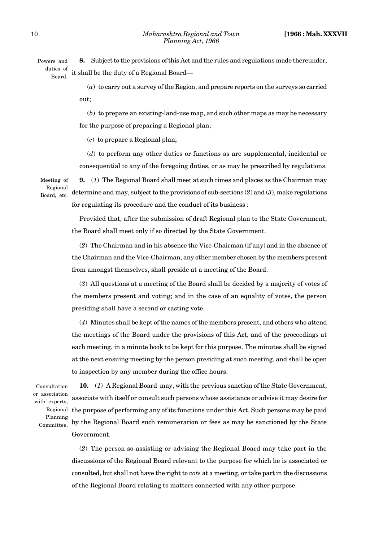**8.** Subject to the provisions of this Act and the rules and regulations made thereunder, it shall be the duty of a Regional Board— Powers and duties of Board.

> (*a*) to carry out a survey of the Region, and prepare reports on the surveys so carried out;

> (*b*) to prepare an existing-land-use map, and such other maps as may be necessary for the purpose of preparing a Regional plan;

(*c*) to prepare a Regional plan;

(*d*) to perform any other duties or functions as are supplemental, incidental or consequential to any of the foregoing duties, or as may be prescribed by regulations.

Meeting of Regional Board, etc.

**9.** (*1*) The Regional Board shall meet at such times and places as the Chairman may determine and may, subject to the provisions of sub-sections (*2*) and (*3*), make regulations for regulating its procedure and the conduct of its business :

Provided that, after the submission of draft Regional plan to the State Government, the Board shall meet only if so directed by the State Government.

(*2*) The Chairman and in his absence the Vice-Chairman (if any) and in the absence of the Chairman and the Vice-Chairman, any other member chosen by the members present from amongst themselves, shall preside at a meeting of the Board.

(*3*) All questions at a meeting of the Board shall be decided by a majority of votes of the members present and voting; and in the case of an equality of votes, the person presiding shall have a second or casting vote.

(*4*) Minutes shall be kept of the names of the members present, and others who attend the meetings of the Board under the provisions of this Act, and of the proceedings at each meeting, in a minute book to be kept for this purpose. The minutes shall be signed at the next ensuing meeting by the person presiding at such meeting, and shall be open to inspection by any member during the office hours.

Consultation or association with experts; Regional Planning Committee.

**10.** (*1*) A Regional Board may, with the previous sanction of the State Government, associate with itself or consult such persons whose assistance or advise it may desire for the purpose of performing any of its functions under this Act. Such persons may be paid by the Regional Board such remuneration or fees as may be sanctioned by the State Government.

(*2*) The person so assisting or advising the Regional Board may take part in the discussions of the Regional Board relevant to the purpose for which he is associated or consulted, but shall not have the right to *vote* at a meeting, or take part in the discussions of the Regional Board relating to matters connected with any other purpose.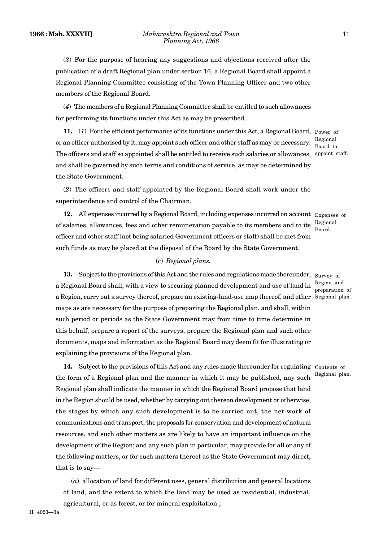(*3*) For the purpose of hearing any suggestions and objections received after the publication of a draft Regional plan under section 16, a Regional Board shall appoint a Regional Planning Committee consisting of the Town Planning Officer and two other members of the Regional Board.

(*4*) The members of a Regional Planning Committee shall be entitled to such allowances for performing its functions under this Act as may be prescribed.

**11.** (*1*) For the efficient performance of its functions under this Act, a Regional Board, Power of or an officer authorised by it, may appoint such officer and other staff as may be necessary. The officers and staff so appointed shall be entitled to receive such salaries or allowances, appoint staff. and shall be governed by such terms and conditions of service, as may be determined by the State Government.

Regional Board to

(*2*) The officers and staff appointed by the Regional Board shall work under the superintendence and control of the Chairman.

12. All expenses incurred by a Regional Board, including expenses incurred on account Expenses of of salaries, allowances, fees and other remuneration payable to its members and to its officer and other staff (not being salaried Government officers or staff) shall be met from such funds as may be placed at the disposal of the Board by the State Government.

Regional Board.

## (*c*) *Regional plans.*

13. Subject to the provisions of this Act and the rules and regulations made thereunder, Survey of a Regional Board shall, with a view to securing planned development and use of land in Region and a Region, carry out a survey thereof, prepare an existing-land-use map thereof, and other Regional plan. maps as are necessary for the purpose of preparing the Regional plan, and shall, within such period or periods as the State Government may from time to time determine in this behalf, prepare a report of the surveys, prepare the Regional plan and such other documents, maps and information as the Regional Board may deem fit for illustrating or explaining the provisions of the Regional plan.

14. Subject to the provisions of this Act and any rules made thereunder for regulating Contents of the form of a Regional plan and the manner in which it may be published, any such Regional plan shall indicate the manner in which the Regional Board propose that land in the Region should be used, whether by carrying out thereon development or otherwise, the stages by which any such development is to be carried out, the net-work of communications and transport, the proposals for conservation and development of natural resources, and such other matters as are likely to have an important influence on the development of the Region; and any such plan in particular, may provide for all or any of the following matters, or for such matters thereof as the State Government may direct, that is to say—

(*a*) allocation of land for different uses, general distribution and general locations of land, and the extent to which the land may be used as residential, industrial, agricultural, or as forest, or for mineral exploitation ;

preparation of

Regional plan.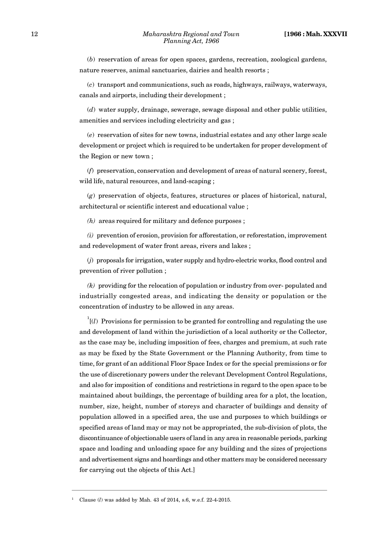(*b*) reservation of areas for open spaces, gardens, recreation, zoological gardens, nature reserves, animal sanctuaries, dairies and health resorts ;

(*c*) transport and communications, such as roads, highways, railways, waterways, canals and airports, including their development ;

(*d*) water supply, drainage, sewerage, sewage disposal and other public utilities, amenities and services including electricity and gas ;

(*e*) reservation of sites for new towns, industrial estates and any other large scale development or project which is required to be undertaken for proper development of the Region or new town ;

(*f*) preservation, conservation and development of areas of natural scenery, forest, wild life, natural resources, and land-scaping ;

(*g*) preservation of objects, features, structures or places of historical, natural, architectural or scientific interest and educational value ;

*(h)* areas required for military and defence purposes ;

*(i)* prevention of erosion, provision for afforestation, or reforestation, improvement and redevelopment of water front areas, rivers and lakes ;

(*j*) proposals for irrigation, water supply and hydro-electric works, flood control and prevention of river pollution ;

*(k)* providing for the relocation of population or industry from over- populated and industrially congested areas, and indicating the density or population or the concentration of industry to be allowed in any areas.

 $\overline{I}(l)$  Provisions for permission to be granted for controlling and regulating the use and development of land within the jurisdiction of a local authority or the Collector, as the case may be, including imposition of fees, charges and premium, at such rate as may be fixed by the State Government or the Planning Authority, from time to time, for grant of an additional Floor Space Index or for the special premissions or for the use of discretionary powers under the relevant Development Control Regulations, and also for imposition of conditions and restrictions in regard to the open space to be maintained about buildings, the percentage of building area for a plot, the location, number, size, height, number of storeys and character of buildings and density of population allowed in a specified area, the use and purposes to which buildings or specified areas of land may or may not be appropriated, the sub-division of plots, the discontinuance of objectionable users of land in any area in reasonable periods, parking space and loading and unloading space for any building and the sizes of projections and advertisement signs and hoardings and other matters may be considered necessary for carrying out the objects of this Act.]

<sup>1</sup> Clause (*l*) was added by Mah. 43 of 2014, s.6, w.e.f. 22-4-2015.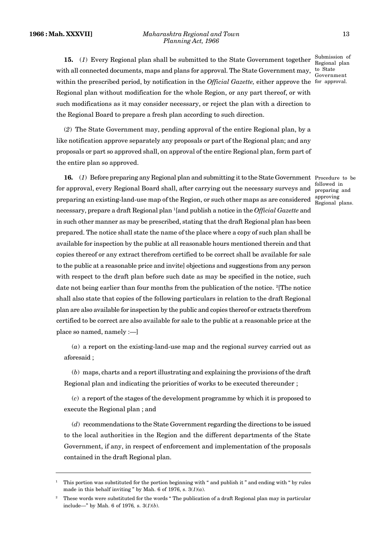**15.** (1) Every Regional plan shall be submitted to the State Government together  $\frac{\text{Submission of}}{\text{Decimal plan}}$ with all connected documents, maps and plans for approval. The State Government may, within the prescribed period, by notification in the *Official Gazette,* either approve the for approval. Regional plan without modification for the whole Region, or any part thereof, or with such modifications as it may consider necessary, or reject the plan with a direction to the Regional Board to prepare a fresh plan according to such direction.

(*2*) The State Government may, pending approval of the entire Regional plan, by a like notification approve separately any proposals or part of the Regional plan; and any proposals or part so approved shall, on approval of the entire Regional plan, form part of the entire plan so approved.

**16.** (*1*) Before preparing any Regional plan and submitting it to the State Government Procedure to be for approval, every Regional Board shall, after carrying out the necessary surveys and preparing an existing-land-use map of the Region, or such other maps as are considered necessary, prepare a draft Regional plan <sup>1</sup>[and publish a notice in the *Official Gazette* and in such other manner as may be prescribed, stating that the draft Regional plan has been prepared. The notice shall state the name of the place where a copy of such plan shall be available for inspection by the public at all reasonable hours mentioned therein and that copies thereof or any extract therefrom certified to be correct shall be available for sale to the public at a reasonable price and invite] objections and suggestions from any person with respect to the draft plan before such date as may be specified in the notice, such date not being earlier than four months from the publication of the notice. <sup>2</sup>[The notice shall also state that copies of the following particulars in relation to the draft Regional plan are also available for inspection by the public and copies thereof or extracts therefrom certified to be correct are also available for sale to the public at a reasonable price at the place so named, namely :—]

(*a*) a report on the existing-land-use map and the regional survey carried out as aforesaid ;

(*b*) maps, charts and a report illustrating and explaining the provisions of the draft Regional plan and indicating the priorities of works to be executed thereunder ;

(*c*) a report of the stages of the development programme by which it is proposed to execute the Regional plan ; and

(*d*) recommendations to the State Government regarding the directions to be issued to the local authorities in the Region and the different departments of the State Government, if any, in respect of enforcement and implementation of the proposals contained in the draft Regional plan.

Regional plan to State Government

followed in preparing and approving Regional plans.

<sup>1</sup> This portion was substituted for the portion beginning with " and publish it " and ending with " by rules made in this behalf inviting " by Mah. 6 of 1976, s.  $3(1)(a)$ .

<sup>2</sup> These words were substituted for the words " The publication of a draft Regional plan may in particular include—" by Mah. 6 of 1976*,* s. 3(*1*)(*b*).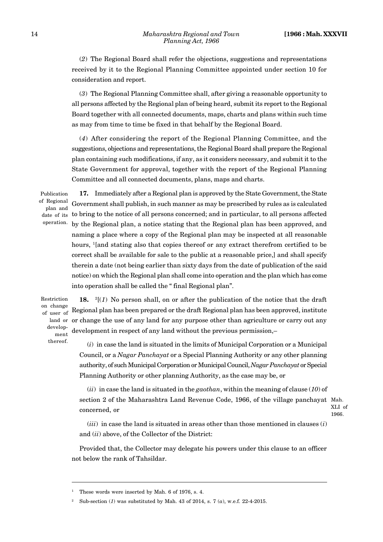(*2*) The Regional Board shall refer the objections, suggestions and representations received by it to the Regional Planning Committee appointed under section 10 for consideration and report.

(*3*) The Regional Planning Committee shall, after giving a reasonable opportunity to all persons affected by the Regional plan of being heard, submit its report to the Regional Board together with all connected documents, maps, charts and plans within such time as may from time to time be fixed in that behalf by the Regional Board.

(*4*) After considering the report of the Regional Planning Committee, and the suggestions, objections and representations, the Regional Board shall prepare the Regional plan containing such modifications, if any, as it considers necessary, and submit it to the State Government for approval, together with the report of the Regional Planning Committee and all connected documents, plans, maps and charts.

Publication of Regional plan and date of its operation.

**17.** Immediately after a Regional plan is approved by the State Government, the State Government shall publish, in such manner as may be prescribed by rules as is calculated to bring to the notice of all persons concerned; and in particular, to all persons affected by the Regional plan, a notice stating that the Regional plan has been approved, and naming a place where a copy of the Regional plan may be inspected at all reasonable hours, <sup>1</sup>[and stating also that copies thereof or any extract therefrom certified to be correct shall be available for sale to the public at a reasonable price,] and shall specify therein a date (not being earlier than sixty days from the date of publication of the said notice) on which the Regional plan shall come into operation and the plan which has come into operation shall be called the " final Regional plan".

Restriction on change  $\Gamma$ . development

thereof.

of user of Regional plan has been prepared or the draft Regional plan has been approved, institute land or or change the use of any land for any purpose other than agriculture or carry out any **18.**  $\frac{2}{l}$  No person shall, on or after the publication of the notice that the draft development in respect of any land without the previous permission,–

> (*i*) in case the land is situated in the limits of Municipal Corporation or a Municipal Council, or a *Nagar Panchayat* or a Special Planning Authority or any other planning authority, of such Municipal Corporation or Municipal Council, *Nagar Panchayat* or Special Planning Authority or other planning Authority, as the case may be, or

(*ii*) in case the land is situated in the *gaothan*, within the meaning of clause (*10*) of section 2 of the Maharashtra Land Revenue Code, 1966, of the village panchayat Mah. concerned, or

XLI of 1966.

(*iii*) in case the land is situated in areas other than those mentioned in clauses (*i*) and (*ii*) above, of the Collector of the District:

Provided that, the Collector may delegate his powers under this clause to an officer not below the rank of Tahsildar.

These words were inserted by Mah. 6 of 1976, s. 4.

<sup>2</sup> Sub-section (*1*) was substituted by Mah. 43 of 2014, s. 7 (*a*), w.e.f. 22-4-2015.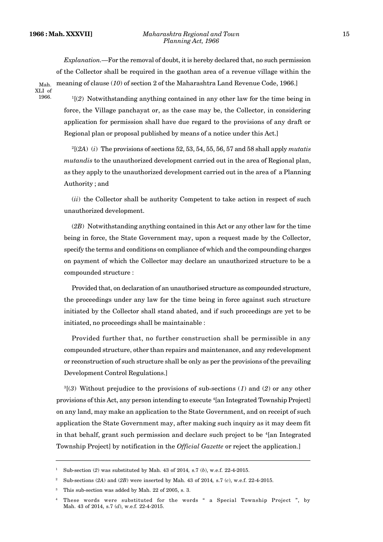*Explanation.—*For the removal of doubt, it is hereby declared that, no such permission of the Collector shall be required in the gaothan area of a revenue village within the meaning of clause (*10*) of section 2 of the Maharashtra Land Revenue Code, 1966.]

Mah. XLI of 1966.

<sup>1</sup>[(*2*) Notwithstanding anything contained in any other law for the time being in force, the Village panchayat or, as the case may be, the Collector, in considering application for permission shall have due regard to the provisions of any draft or Regional plan or proposal published by means of a notice under this Act.]

<sup>2</sup>[(*2A*) (*i*) The provisions of sections 52, 53, 54, 55, 56, 57 and 58 shall apply *mutatis mutandis* to the unauthorized development carried out in the area of Regional plan, as they apply to the unauthorized development carried out in the area of a Planning Authority ; and

(*ii*) the Collector shall be authority Competent to take action in respect of such unauthorized development.

(*2B*) Notwithstanding anything contained in this Act or any other law for the time being in force, the State Government may, upon a request made by the Collector, specify the terms and conditions on compliance of which and the compounding charges on payment of which the Collector may declare an unauthorized structure to be a compounded structure :

Provided that, on declaration of an unauthorised structure as compounded structure, the proceedings under any law for the time being in force against such structure initiated by the Collector shall stand abated, and if such proceedings are yet to be initiated, no proceedings shall be maintainable :

Provided further that, no further construction shall be permissible in any compounded structure, other than repairs and maintenance, and any redevelopment or reconstruction of such structure shall be only as per the provisions of the prevailing Development Control Regulations.]

<sup>3</sup>[(*3*) Without prejudice to the provisions of sub-sections (*1*) and (*2*) or any other provisions of this Act, any person intending to execute <sup>4</sup>[an Integrated Township Project] on any land, may make an application to the State Government, and on receipt of such application the State Government may, after making such inquiry as it may deem fit in that behalf, grant such permission and declare such project to be <sup>4</sup>[an Integrated] Township Project] by notification in the *Official Gazette* or reject the application.]

<sup>1</sup> Sub-section (*2*) was substituted by Mah. 43 of 2014*,* s.7 (*b*), w.e.f. 22-4-2015.

<sup>2</sup> Sub-sections (*2A*) and (*2B*) were inserted by Mah. 43 of 2014*,* s.7 (*c*), w.e.f. 22-4-2015.

This sub-section was added by Mah. 22 of 2005, s. 3.

<sup>4</sup> These words were substituted for the words " a Special Township Project ", by Mah. 43 of 2014, s.7 (*d*), w.e.f. 22-4-2015.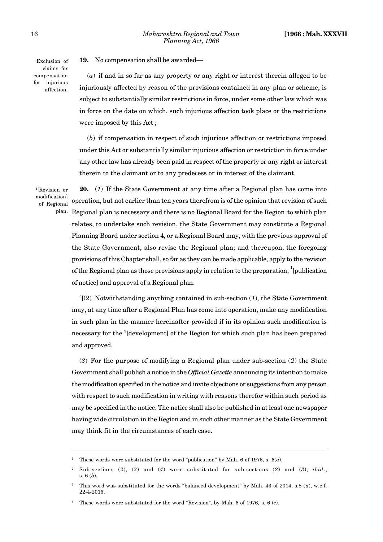**19.** No compensation shall be awarded—

Exclusion of claims for compensation for injurious affection.

(*a*) if and in so far as any property or any right or interest therein alleged to be injuriously affected by reason of the provisions contained in any plan or scheme, is subject to substantially similar restrictions in force, under some other law which was in force on the date on which, such injurious affection took place or the restrictions were imposed by this Act ;

(*b*) if compensation in respect of such injurious affection or restrictions imposed under this Act or substantially similar injurious affection or restriction in force under any other law has already been paid in respect of the property or any right or interest therein to the claimant or to any predecess or in interest of the claimant.

<sup>4</sup>[Revision or modification] of Regional

**20.** (*1*) If the State Government at any time after a Regional plan has come into operation, but not earlier than ten years therefrom is of the opinion that revision of such <sup>plan.</sup> Regional plan is necessary and there is no Regional Board for the Region to which plan relates, to undertake such revision, the State Government may constitute a Regional Planning Board under section 4, or a Regional Board may, with the previous approval of the State Government, also revise the Regional plan; and thereupon, the foregoing provisions of this Chapter shall, so far as they can be made applicable, apply to the revision of the Regional plan as those provisions apply in relation to the preparation,  $\frac{1}{2}$ [publication of notice] and approval of a Regional plan.

<sup>2</sup>[(*2*) Notwithstanding anything contained in sub-section (*1*), the State Government may, at any time after a Regional Plan has come into operation, make any modification in such plan in the manner hereinafter provided if in its opinion such modification is necessary for the <sup>3</sup>[development] of the Region for which such plan has been prepared and approved.

(*3*) For the purpose of modifying a Regional plan under sub-section (*2*) the State Government shall publish a notice in the *Official Gazette* announcing its intention to make the modification specified in the notice and invite objections or suggestions from any person with respect to such modification in writing with reasons therefor within such period as may be specified in the notice. The notice shall also be published in at least one newspaper having wide circulation in the Region and in such other manner as the State Government may think fit in the circumstances of each case.

These words were substituted for the word "publication" by Mah. 6 of 1976, s.  $6(a)$ .

<sup>2</sup> Sub-sections (*2*), (*3*) and (*4*) were substituted for sub-sections (*2*) and (*3*), *ibid*., s. 6 (*b*).

<sup>3</sup> This word was substituted for the words "balanced development" by Mah. 43 of 2014, s.8 (*a*), w.e.f. 22-4-2015.

<sup>4</sup> These words were substituted for the word "Revision", by Mah. 6 of 1976*,* s. 6 (*c*).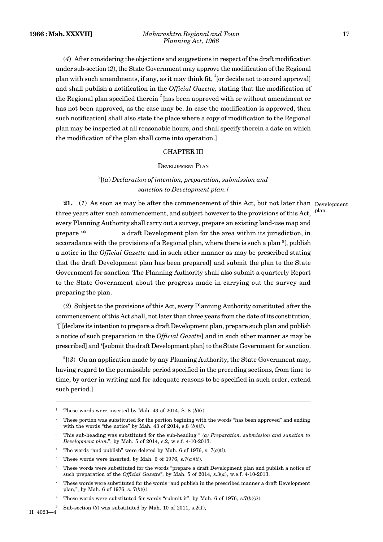#### **1966 : Mah. XXXVII]** *Maharashtra Regional and Town* 17 *Planning Act, 1966*

(*4*) After considering the objections and suggestions in respect of the draft modification under sub-section (*2*), the State Government may approve the modification of the Regional plan with such amendments, if any, as it may think fit,  $\frac{1}{1}$  or decide not to accord approval and shall publish a notification in the *Official Gazette,* stating that the modification of the Regional plan specified therein <sup>2</sup>[has been approved with or without amendment or has not been approved, as the case may be. In case the modification is approved, then such notification] shall also state the place where a copy of modification to the Regional plan may be inspected at all reasonable hours, and shall specify therein a date on which the modification of the plan shall come into operation.]

## CHAPTER III

## DEVELOPMENT PLAN

## <sup>3</sup>[(*a*) *Declaration of intention, preparation, submission and sanction to Development plan.]*

plan.

**21.** (*1*) As soon as may be after the commencement of this Act, but not later than Development three years after such commencement, and subject however to the provisions of this Act, every Planning Authority shall carry out a survey, prepare an existing land-use map and prepare <sup>4</sup>\* a draft Development plan for the area within its jurisdiction, in accoradance with the provisions of a Regional plan, where there is such a plan <sup>5</sup>[, publish a notice in the *Official Gazette* and in such other manner as may be prescribed stating that the draft Development plan has been prepared] and submit the plan to the State Government for sanction. The Planning Authority shall also submit a quarterly Report to the State Government about the progress made in carrying out the survey and preparing the plan.

(*2*) Subject to the provisions of this Act, every Planning Authority constituted after the commencement of this Act shall, not later than three years from the date of its constitution,  $^6$ [ $^7$ [declare its intention to prepare a draft Development plan, prepare such plan and publish a notice of such preparation in the *Official Gazette*] and in such other manner as may be prescribed] and <sup>8</sup>[submit the draft Development plan] to the State Government for sanction.

 $\mathcal{S}^{9}(3)$  On an application made by any Planning Authority, the State Government may, having regard to the permissible period specified in the preceding sections, from time to time, by order in writing and for adequate reasons to be specified in such order, extend such period.]

These words were inserted by Mah. 43 of 2014, S. 8  $(b)(i)$ .

<sup>2</sup> These portion was substituted for the portion begining with the words "has been approved" and ending with the words "the notice" by Mah. 43 of 2014, s.8 (*b*)(*ii*).

<sup>3</sup> This sub-heading was substituted for the sub-heading " *(a) Preparation, submission and sanction to Development plan*.", by Mah. 5 of 2014, s.2, w.e.f. 4-10-2013.

<sup>&</sup>lt;sup>4</sup> The words "and publish" were deleted by Mah. 6 of 1976, s.  $7(a)(i)$ .

<sup>&</sup>lt;sup>5</sup> These words were inserted, by Mah. 6 of 1976, s.  $7(a)(ii)$ .

These words were substituted for the words "prepare a draft Development plan and publish a notice of such preparation of the *Official Gazette*", by Mah. 5 of 2014, s.3(*a*), w.e.f. 4-10-2013.

<sup>7</sup> These words were substituted for the words "and publish in the prescribed manner a draft Development plan,", by Mah. 6 of 1976, s. 7(*b*)(*i*).

<sup>8</sup> These words were substituted for words "submit it", by Mah. 6 of 1976*,* s.7(*b*)(*ii*).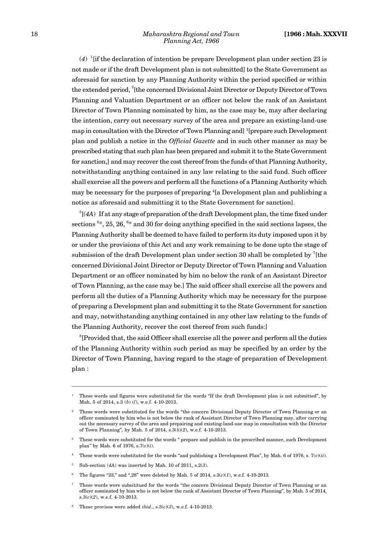$(4)$ <sup>1</sup> [if the declaration of intention be prepare Development plan under section 23 is not made or if the draft Development plan is not submitted] to the State Government as aforesaid for sanction by any Planning Authority within the period specified or within the extended period, <sup>2</sup>[the concerned Divisional Joint Director or Deputy Director of Town Planning and Valuation Department or an officer not below the rank of an Assistant Director of Town Planning nominated by him, as the case may be, may after declaring the intention, carry out necessary survey of the area and prepare an existing-land-use map in consultation with the Director of Town Planning and <sup>3</sup>[prepare such Development] plan and publish a notice in the *Official Gazette* and in such other manner as may be prescribed stating that such plan has been prepared and submit it to the State Government for sanction,] and may recover the cost thereof from the funds of that Planning Authority, notwithstanding anything contained in any law relating to the said fund. Such officer shall exercise all the powers and perform all the functions of a Planning Authority which may be necessary for the purposes of preparing <sup>4</sup>[a Development plan and publishing a notice as aforesaid and submitting it to the State Government for sanction].

 $<sup>5</sup>[(4A)$  If at any stage of preparation of the draft Development plan, the time fixed under</sup> sections  $6*$ , 25, 26,  $6*$  and 30 for doing anything specified in the said sections lapses, the Planning Authority shall be deemed to have failed to perform its duty imposed upon it by or under the provisions of this Act and any work remaining to be done upto the stage of submission of the draft Development plan under section 30 shall be completed by  $^7$ [the concerned Divisional Joint Director or Deputy Director of Town Planning and Valuation Department or an officer nominated by him no below the rank of an Assistant Director of Town Planning, as the case may be.] The said officer shall exercise all the powers and perform all the duties of a Planning Authority which may be necessary for the purpose of preparing a Development plan and submitting it to the State Government for sanction and may, notwithstanding anything contained in any other law relating to the funds of the Planning Authority, recover the cost thereof from such funds:]

<sup>8</sup>[Provided that, the said Officer shall exercise all the power and perform all the duties of the Planning Authority within such period as may be specified by an order by the Director of Town Planning, having regard to the stage of preparation of Development plan :

<sup>1</sup> These words and figures were substituted for the words "If the draft Development plan is not submitted", by Mah. 5 of 2014, s.3 (*b*) (*l*), w.e.f. 4-10-2013.

<sup>2</sup> These words were substituted for the words "the concern Divisional Deputy Director of Town Planning or an officer nominated by him who is not below the rank of Assistant Director of Town Planning may, after carrying out the necessary survey of the area and prepairing and existing-land-use map in consultation with the Director of Town Planning", by Mah. 5 of 2014, s.3(*b*)(*2*), w.e.f. 4-10-2013.

<sup>3</sup> These words were substituted for the words " prepare and publish in the prescribed manner, such Development plan" by Mah. 6 of 1976, s.7(*c*)(*i*).

<sup>4</sup> These words were substituted for the words "and publishing a Development Plan", by Mah. 6 of 1976, s. 7(*c*)(*ii*).

<sup>5</sup> Sub-section (*4A*) was inserted by Mah. 10 of 2011, s.2(*3*).

<sup>6</sup> The figures "23," and ",28" were deleted by Mah. 5 of 2014, s.3(*c*)(*1*), w.e.f. 4-10-2013.

<sup>7</sup> These words were subsititued for the words "the concern Divisional Deputy Director of Town Planning or an officer nominated by him who is not below the rank of Assistant Director of Town Planning", by Mah. 5 of 2014*,* s.3(*c*)(*2*), w.e.f. 4-10-2013.

<sup>8</sup> These provisos were added *ibid*., s.3(*c*)(*3*), w.e.f. 4-10-2013.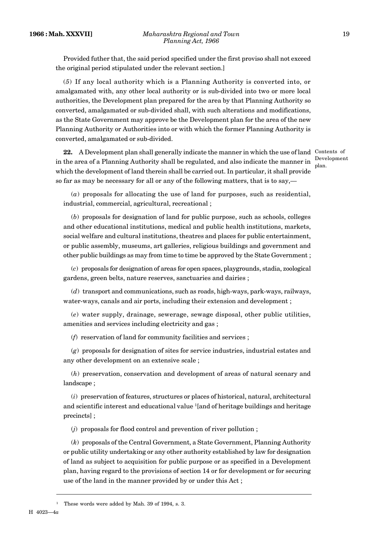Provided futher that, the said period specified under the first proviso shall not exceed the original period stipulated under the relevant section.]

(*5*) If any local authority which is a Planning Authority is converted into, or amalgamated with, any other local authority or is sub-divided into two or more local authorities, the Development plan prepared for the area by that Planning Authority so converted, amalgamated or sub-divided shall, with such alterations and modifications, as the State Government may approve be the Development plan for the area of the new Planning Authority or Authorities into or with which the former Planning Authority is converted, amalgamated or sub-divided.

22. A Development plan shall generally indicate the manner in which the use of land Contents of in the area of a Planning Authority shall be regulated, and also indicate the manner in which the development of land therein shall be carried out. In particular, it shall provide so far as may be necessary for all or any of the following matters, that is to say,—

Development plan.

(*a*) proposals for allocating the use of land for purposes, such as residential, industrial, commercial, agricultural, recreational ;

(*b*) proposals for designation of land for public purpose, such as schools, colleges and other educational institutions, medical and public health institutions, markets, social welfare and cultural institutions, theatres and places for public entertainment, or public assembly, museums, art galleries, religious buildings and government and other public buildings as may from time to time be approved by the State Government ;

(*c*) proposals for designation of areas for open spaces, playgrounds, stadia, zoological gardens, green belts, nature reserves, sanctuaries and dairies ;

(*d*) transport and communications, such as roads, high-ways, park-ways, railways, water-ways, canals and air ports, including their extension and development ;

(*e*) water supply, drainage, sewerage, sewage disposal, other public utilities, amenities and services including electricity and gas ;

(*f*) reservation of land for community facilities and services ;

(*g*) proposals for designation of sites for service industries, industrial estates and any other development on an extensive scale ;

(*h*) preservation, conservation and development of areas of natural scenary and landscape ;

(*i*) preservation of features, structures or places of historical, natural, architectural and scientific interest and educational value <sup>1</sup>[and of heritage buildings and heritage precincts] ;

(*j*) proposals for flood control and prevention of river pollution ;

(*k*) proposals of the Central Government, a State Government, Planning Authority or public utility undertaking or any other authority established by law for designation of land as subject to acquisition for public purpose or as specified in a Development plan, having regard to the provisions of section 14 or for development or for securing use of the land in the manner provided by or under this Act ;

H 4023—4*a*

<sup>&</sup>lt;sup>1</sup> These words were added by Mah. 39 of 1994, s. 3.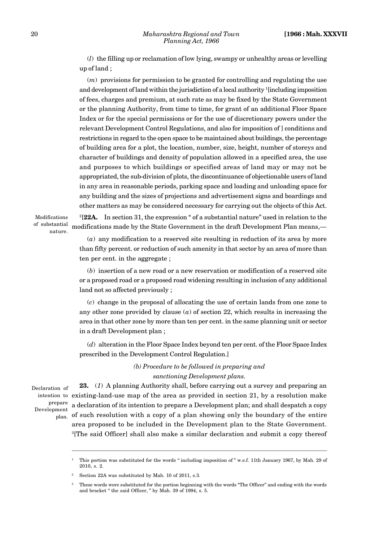(*l*) the filling up or reclamation of low lying, swampy or unhealthy areas or levelling up of land ;

(*m*) provisions for permission to be granted for controlling and regulating the use and development of land within the jurisdiction of a local authority <sup>1</sup>[including imposition of fees, charges and premium, at such rate as may be fixed by the State Government or the planning Authority, from time to time, for grant of an additional Floor Space Index or for the special permissions or for the use of discretionary powers under the relevant Development Control Regulations, and also for imposition of ] conditions and restrictions in regard to the open space to be maintained about buildings, the percentage of building area for a plot, the location, number, size, height, number of storeys and character of buildings and density of population allowed in a specified area, the use and purposes to which buildings or specified areas of land may or may not be appropriated, the sub-division of plots, the discontinuance of objectionable users of land in any area in reasonable periods, parking space and loading and unloading space for any building and the sizes of projections and advertisement signs and boardings and other matters as may be considered necessary for carrying out the objects of this Act. <sup>2</sup>[22A. In section 31, the expression " of a substantial nature" used in relation to the

Modifications of substantial nature.

> (*a*) any modification to a reserved site resulting in reduction of its area by more than fifty percent. or reduction of such amenity in that sector by an area of more than ten per cent. in the aggregate ;

modifications made by the State Government in the draft Development Plan means,—

(*b*) insertion of a new road or a new reservation or modification of a reserved site or a proposed road or a proposed road widening resulting in inclusion of any additional land not so affected previously ;

(*c*) change in the proposal of allocating the use of certain lands from one zone to any other zone provided by clause  $(a)$  of section 22, which results in increasing the area in that other zone by more than ten per cent. in the same planning unit or sector in a draft Development plan ;

(*d*) alteration in the Floor Space Index beyond ten per cent. of the Floor Space Index prescribed in the Development Control Regulation.]

> *(b) Procedure to be followed in preparing and sanctioning Development plans.*

Declaration of intention to prepare Development plan.

**23.** (*1*) A planning Authority shall, before carrying out a survey and preparing an existing-land-use map of the area as provided in section 21, by a resolution make a declaration of its intention to prepare a Development plan; and shall despatch a copy of such resolution with a copy of a plan showing only the boundary of the entire area proposed to be included in the Development plan to the State Government. <sup>3</sup>[The said Officer] shall also make a similar declaration and submit a copy thereof

<sup>1</sup> This portion was substituted for the words " including imposition of " w.e.f. 11th January 1967, by Mah. 29 of 2010, s. 2.

Section 22A was substituted by Mah. 10 of 2011, s.3.

<sup>3</sup> These words were substituted for the portion beginning with the words "The Officer" and ending with the words and bracket " the said Officer, " by Mah. 39 of 1994, s. 5.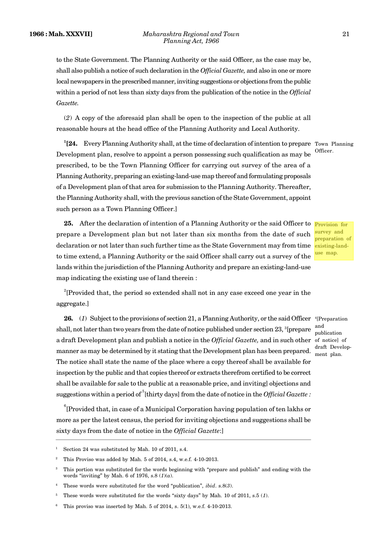to the State Government. The Planning Authority or the said Officer, as the case may be, shall also publish a notice of such declaration in the *Official Gazette,* and also in one or more local newspapers in the prescribed manner, inviting suggestions or objections from the public within a period of not less than sixty days from the publication of the notice in the *Official Gazette.*

(*2*) A copy of the aforesaid plan shall be open to the inspection of the public at all reasonable hours at the head office of the Planning Authority and Local Authority.

**<sup>1</sup>[24.** Every Planning Authority shall, at the time of declaration of intention to prepare Town Planning Development plan, resolve to appoint a person possessing such qualification as may be prescribed, to be the Town Planning Officer for carrying out survey of the area of a Planning Authority, preparing an existing-land-use map thereof and formulating proposals of a Development plan of that area for submission to the Planning Authority. Thereafter, the Planning Authority shall, with the previous sanction of the State Government, appoint such person as a Town Planning Officer.] Officer.

25. After the declaration of intention of a Planning Authority or the said Officer to **Provision** for prepare a Development plan but not later than six months from the date of such declaration or not later than such further time as the State Government may from time existing-landto time extend, a Planning Authority or the said Officer shall carry out a survey of the lands within the jurisdiction of the Planning Authority and prepare an existing-land-use map indicating the existing use of land therein :

survey and preparation of use map.

and publication

draft Development plan.

<sup>2</sup>[Provided that, the period so extended shall not in any case exceed one year in the aggregate.]

26. (1) Subject to the provisions of section 21, a Planning Authority, or the said Officer <sup>4</sup>[Preparation] shall, not later than two years from the date of notice published under section  $23$ , <sup>3</sup>[prepare] a draft Development plan and publish a notice in the *Official Gazette,* and in such other of notice] of manner as may be determined by it stating that the Development plan has been prepared. The notice shall state the name of the place where a copy thereof shall be available for inspection by the public and that copies thereof or extracts therefrom certified to be correct shall be available for sale to the public at a reasonable price, and inviting] objections and suggestions within a period of <sup>5</sup>[thirty days] from the date of notice in the *Official Gazette* :

<sup>6</sup>[Provided that, in case of a Municipal Corporation having population of ten lakhs or more as per the latest census, the period for inviting objections and suggestions shall be sixty days from the date of notice in the *Official Gazette*:]

Section 24 was substituted by Mah. 10 of 2011, s.4.

<sup>2</sup> This Proviso was added by Mah. 5 of 2014, s.4, w.e.f. 4-10-2013.

<sup>3</sup> This portion was substituted for the words beginning with "prepare and publish" and ending with the words "inviting" by Mah. 6 of 1976, s.8 (*1*)(*a*).

<sup>4</sup> These words were substituted for the word "publication", *ibid*. s.8(*3*).

<sup>5</sup> These words were substituted for the words "sixty days" by Mah. 10 of 2011, s.5 (*1*).

This proviso was inserted by Mah.  $5$  of 2014, s.  $5(1)$ , w.e.f.  $4\n-10\n-2013$ .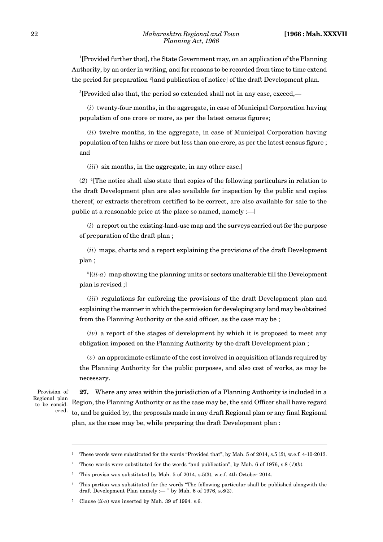<sup>1</sup>[Provided further that], the State Government may, on an application of the Planning Authority, by an order in writing, and for reasons to be recorded from time to time extend the period for preparation <sup>2</sup>[and publication of notice] of the draft Development plan.

<sup>3</sup>[Provided also that, the period so extended shall not in any case, exceed,—

(*i*) twenty-four months, in the aggregate, in case of Municipal Corporation having population of one crore or more, as per the latest census figures;

(*ii*) twelve months, in the aggregate, in case of Municipal Corporation having population of ten lakhs or more but less than one crore, as per the latest census figure ; and

(*iii*) six months, in the aggregate, in any other case.]

(*2*) <sup>4</sup>[The notice shall also state that copies of the following particulars in relation to the draft Development plan are also available for inspection by the public and copies thereof, or extracts therefrom certified to be correct, are also available for sale to the public at a reasonable price at the place so named, namely :—]

(*i*) a report on the existing-land-use map and the surveys carried out for the purpose of preparation of the draft plan ;

(*ii*) maps, charts and a report explaining the provisions of the draft Development plan ;

 $5[(ii-a)$  map showing the planning units or sectors unalterable till the Development plan is revised ;]

(*iii*) regulations for enforcing the provisions of the draft Development plan and explaining the manner in which the permission for developing any land may be obtained from the Planning Authority or the said officer, as the case may be ;

(*iv*) a report of the stages of development by which it is proposed to meet any obligation imposed on the Planning Authority by the draft Development plan ;

(*v*) an approximate estimate of the cost involved in acquisition of lands required by the Planning Authority for the public purposes, and also cost of works, as may be necessary.

Provision of Regional plan to be considered.

**27.** Where any area within the jurisdiction of a Planning Authority is included in a Region, the Planning Authority or as the case may be, the said Officer shall have regard to, and be guided by, the proposals made in any draft Regional plan or any final Regional plan, as the case may be, while preparing the draft Development plan :

<sup>1</sup> These words were substituted for the words "Provided that", by Mah. 5 of 2014, s.5 (*2*), w.e.f. 4-10-2013.

<sup>&</sup>lt;sup>2</sup> These words were substituted for the words "and publication", by Mah. 6 of 1976, s.8 ( $1)(b)$ ).

<sup>&</sup>lt;sup>3</sup> This proviso was substituted by Mah. 5 of 2014, s.5(3), w.e.f. 4th October 2014.

<sup>4</sup> This portion was substituted for the words "The following particular shall be published alongwith the draft Development Plan namely :— " by Mah. 6 of 1976, s.8(2).

Clause  $(ii-a)$  was inserted by Mah. 39 of 1994. s.6.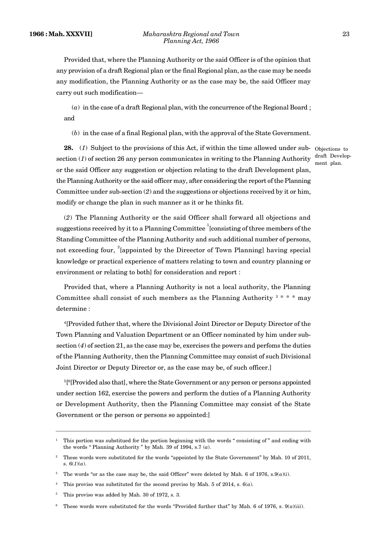Provided that, where the Planning Authority or the said Officer is of the opinion that any provision of a draft Regional plan or the final Regional plan, as the case may be needs any modification, the Planning Authority or as the case may be, the said Officer may carry out such modification—

(*a*) in the case of a draft Regional plan, with the concurrence of the Regional Board ; and

(*b*) in the case of a final Regional plan, with the approval of the State Government.

**28.** (*1*) Subject to the provisions of this Act, if within the time allowed under sub-Objections to section (*1*) of section 26 any person communicates in writing to the Planning Authority or the said Officer any suggestion or objection relating to the draft Development plan, the Planning Authority or the said officer may, after considering the report of the Planning Committee under sub-section (*2*) and the suggestions or objections received by it or him, modify or change the plan in such manner as it or he thinks fit.

draft Development plan.

(*2*) The Planning Authority or the said Officer shall forward all objections and suggestions received by it to a Planning Committee  $\frac{1}{2}$  [consisting of three members of the Standing Committee of the Planning Authority and such additional number of persons, not exceeding four,  $2$ [appointed by the Direector of Town Planning] having special knowledge or practical experience of matters relating to town and country planning or environment or relating to both] for consideration and report :

Provided that, where a Planning Authority is not a local authority, the Planning Committee shall consist of such members as the Planning Authority  $3$  \* \* \* may determine :

<sup>4</sup>[Provided futher that, where the Divisional Joint Director or Deputy Director of the Town Planning and Valuation Department or an Officer nominated by him under subsection (*4*) of section 21, as the case may be, exercises the powers and perfoms the duties of the Planning Authority, then the Planning Committee may consist of such Divisional Joint Director or Deputy Director or, as the case may be, of such officer.]

<sup>5</sup>[ <sup>6</sup>[Provided also that], where the State Government or any person or persons appointed under section 162, exercise the powers and perform the duties of a Planning Authority or Development Authority, then the Planning Committee may consist of the State Government or the person or persons so appointed:]

<sup>1</sup> This portion was substitued for the portion beginning with the words " consisting of " and ending with the words " Planning Authority " by Mah. 39 of 1994, s.7 (*a*).

<sup>2</sup> These words were substituted for the words "appointed by the State Government" by Mah. 10 of 2011, s. 6(*1*)(*a*).

<sup>&</sup>lt;sup>3</sup> The words "or as the case may be, the said Officer" were deleted by Mah. 6 of 1976, s. $9(a)(i)$ .

<sup>4</sup> This proviso was substituted for the second proviso by Mah. 5 of 2014, s. 6(*a*).

<sup>&</sup>lt;sup>5</sup> This proviso was added by Mah. 30 of 1972, s. 3.

<sup>6</sup> These words were substituted for the words "Provided further that" by Mah. 6 of 1976, s. 9(*a*)(*iii*).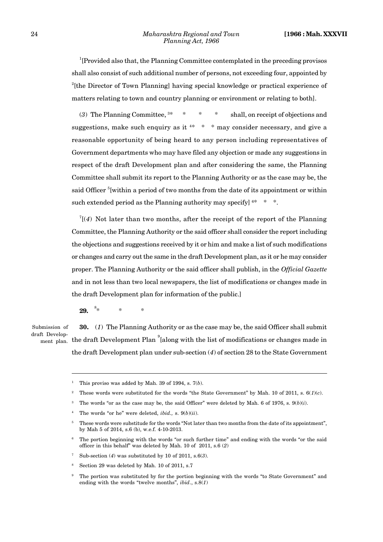<sup>1</sup>[Provided also that, the Planning Committee contemplated in the preceding provisos shall also consist of such additional number of persons, not exceeding four, appointed by <sup>2</sup>[the Director of Town Planning] having special knowledge or practical experience of matters relating to town and country planning or environment or relating to both].

(*3*) The Planning Committee, <sup>3</sup>\* \* \* \* shall, on receipt of objections and suggestions, make such enquiry as it  $4* * *$  may consider necessary, and give a reasonable opportunity of being heard to any person including representatives of Government departments who may have filed any objection or made any suggestions in respect of the draft Development plan and after considering the same, the Planning Committee shall submit its report to the Planning Authority or as the case may be, the said Officer  $5$ [within a period of two months from the date of its appointment or within such extended period as the Planning authority may specify  $16* * *$ .

 $7[(4)$  Not later than two months, after the receipt of the report of the Planning Committee, the Planning Authority or the said officer shall consider the report including the objections and suggestions received by it or him and make a list of such modifications or changes and carry out the same in the draft Development plan, as it or he may consider proper. The Planning Authority or the said officer shall publish, in the *Official Gazette* and in not less than two local newspapers, the list of modifications or changes made in the draft Development plan for information of the public.]

**29.** <sup>8</sup>\* \* \* \*

Submission of draft Develop-

**30.** (*1*) The Planning Authority or as the case may be, the said Officer shall submit  $t_{\text{ment plan.}}$  the draft Development Plan  $\textsuperscript{9}$  [along with the list of modifications or changes made in the draft Development plan under sub-section (*4*) of section 28 to the State Government

This proviso was added by Mah. 39 of 1994, s.  $7(b)$ .

<sup>2</sup> These words were substituted for the words "the State Government" by Mah. 10 of 2011, s. 6(*1*)(*c*).

The words "or as the case may be, the said Officer" were deleted by Mah. 6 of 1976, s.  $9(b)(i)$ .

<sup>4</sup> The words "or he" were deleted, *ibid.,* s. 9(*b*)(*ii*).

<sup>5</sup> These words were substitude for the words "Not later than two months from the date of its appointment", by Mah 5 of 2014, s.6 (b), w.e.f. 4-10-2013.

<sup>6</sup> The portion beginning with the words "or such further time" and ending with the words "or the said officer in this behalf" was deleted by Mah. 10 of 2011, s.6 (*2*)

<sup>7</sup> Sub-section (*4*) was substituted by 10 of 2011, s.6(*3*).

<sup>8</sup> Section 29 was deleted by Mah. 10 of 2011, s.7

The portion was substituted by for the portion beginning with the words "to State Government" and ending with the words "twelve months", *ibid*., s.8(*1*)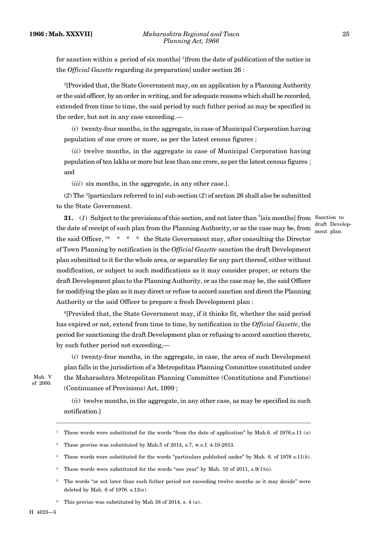for sanction within a period of six months] <sup>1</sup>[from the date of publication of the notice in the *Official Gazette* regarding its preparation] under section 26 :

<sup>2</sup>[Provided that, the State Government may, on an application by a Planning Authority or the said officer, by an order in writing, and for adequate reasons which shall be recorded, extended from time to time, the said period by such futher period as may be specified in the order, but not in any case exceeding.—

(*i*) twenty-four months, in the aggregate, in case of Municipal Corporation having population of one crore or more, as per the latest census figures ;

(*ii*) twelve months, in the aggregate in case of Municipal Corporation having population of ten lakhs or more but less than one crore, as per the latest census figures ; and

(*iii*) six months, in the aggregate, in any other case.].

(*2*) The <sup>3</sup>[particulars referred to in] sub-section (*2*) of section 26 shall also be submitted to the State Government.

**31.** (1) Subject to the provisions of this section, and not later than <sup>4</sup>[six months] from Sanction to the date of receipt of such plan from the Planning Authority, or as the case may be, from  $\frac{m}{m}$  ment plan. the said Officer,  $5* * * *$  the State Government may, after consulting the Director of Town Planning by notification in the *Official Gazette* sanction the draft Development plan submitted to it for the whole area, or separatley for any part thereof, either without modification, or subject to such modifications as it may consider proper, or return the draft Development plan to the Planning Authority, or as the case may be, the said Officer for modifying the plan as it may direct or refuse to accord sanction and direct the Planning Authority or the said Officer to prepare a fresh Development plan : draft Develop-

<sup>6</sup>[Provided that, the State Government may, if it thinks fit, whether the said period has expired or not, extend from time to time, by notification in the *Official Gazette*, the period for sanctioning the draft Development plan or refusing to accord sanction thereto, by such futher period not exceeding,—

(*i*) twenty-four months, in the aggregate, in case, the area of such Development plan falls in the jurisdiction of a Metropolitan Planning Committee constituted under Mah. V the Maharashtra Metropolitan Planning Committee (Constitutions and Functions) (Continuance of Provisions) Act, 1999 ;

of 2000.

(*ii*) twelve months, in the aggregate, in any other case, as may be specified in such notification.]

- <sup>1</sup> These words were substituted for the words "from the date of application" by Mah.6. of 1976,s.11 (*a*)
- <sup>2</sup> These proviso was substituted by Mah.5 of 2014, s.7, w.e.f. 4-10-2013.
- <sup>3</sup> These words were substituted for the words "particulars published under" by Mah. 6. of 1976 s.11(*b*).
- <sup>4</sup> These words were substituted for the words "one year" by Mah. 10 of 2011, s.9( $I$ )(*a*).
- <sup>5</sup> The words "or not later than such futher period not exceeding twelve months as it may decide" were deleted by Mah. 6 of 1976. s.12(*a*).
- <sup>6</sup> This proviso was substituted by Mah 38 of 2014, s. 4  $(a)$ .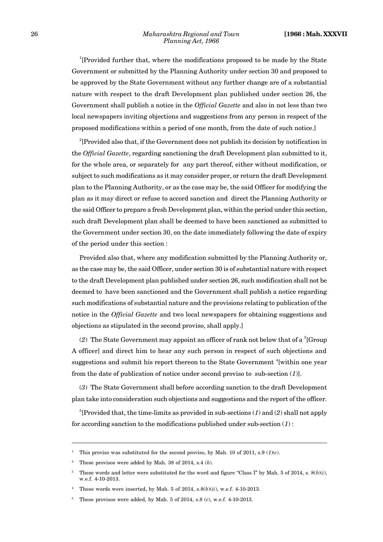<sup>1</sup>[Provided further that, where the modifications proposed to be made by the State Government or submitted by the Planning Authority under section 30 and proposed to be approved by the State Government without any further change are of a substantial nature with respect to the draft Development plan published under section 26, the Government shall publish a notice in the *Official Gazette* and also in not less than two local newspapers inviting objections and suggestions from any person in respect of the proposed modifications within a period of one month, from the date of such notice.]

<sup>2</sup>[Provided also that, if the Government does not publish its decision by notification in the *Official Gazette*, regarding sanctioning the draft Development plan submitted to it, for the whole area, or separately for any part thereof, either without modification, or subject to such modifications as it may consider proper, or return the draft Development plan to the Planning Authority, or as the case may be, the said Officer for modifying the plan as it may direct or refuse to accord sanction and direct the Planning Authority or the said Officer to prepare a fresh Development plan, within the period under this section, such draft Development plan shall be deemed to have been sanctioned as submitted to the Government under section 30, on the date immediately following the date of expiry of the period under this section :

Provided also that, where any modification submitted by the Planning Authority or, as the case may be, the said Officer, under section 30 is of substantial nature with respect to the draft Development plan published under section 26, such modification shall not be deemed to have been sanctioned and the Government shall publish a notice regarding such modifications of substantial nature and the provisions relating to publication of the notice in the *Official Gazette* and two local newspapers for obtaining suggestions and objections as stipulated in the second proviso, shall apply.]

(2) The State Government may appoint an officer of rank not below that of a  ${}^{3}$ [Group] A officer] and direct him to hear any such person in respect of such objections and suggestions and submit his report thereon to the State Government <sup>4</sup>[within one year from the date of publication of notice under second proviso to sub-section (*1*)].

(*3*) The State Government shall before according sanction to the draft Development plan take into consideration such objections and suggestions and the report of the officer.

<sup>5</sup>[Provided that, the time-limits as provided in sub-sections  $(1)$  and  $(2)$  shall not apply for according sanction to the modifications published under sub-section (*1*) :

<sup>&</sup>lt;sup>1</sup> This proviso was substituted for the second proviso, by Mah. 10 of 2011, s.9 ( $I)(c)$ ).

<sup>2</sup> These provisos were added by Mah. 38 of 2014, s.4 (*b*).

These words and letter were substituted for the word and figure "Class I" by Mah. 5 of 2014, s.  $8(b)(i)$ , w.e.f. 4-10-2013.

<sup>4</sup> These words were inserted, by Mah. 5 of 2014, s.8(*b*)(*ii*), w.e.f. 4-10-2013.

<sup>5</sup> These provisos were added, by Mah. 5 of 2014, s.8 (*c*), w.e.f. 4-10-2013.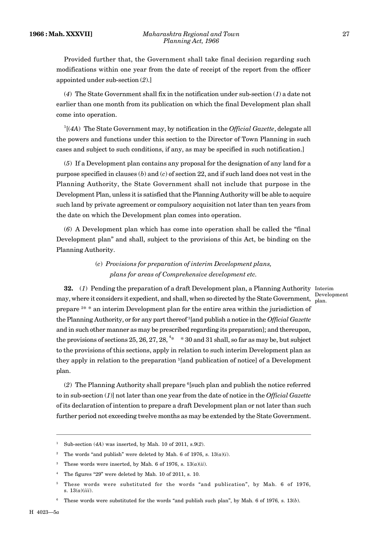Provided further that, the Government shall take final decision regarding such modifications within one year from the date of receipt of the report from the officer appointed under sub-section (*2*).]

(*4*) The State Government shall fix in the notification under sub-section (*1*) a date not earlier than one month from its publication on which the final Development plan shall come into operation.

<sup>1</sup>[(*4A*) The State Government may, by notification in the *Official Gazette*, delegate all the powers and functions under this section to the Director of Town Planning in such cases and subject to such conditions, if any, as may be specified in such notification.]

(*5*) If a Development plan contains any proposal for the designation of any land for a purpose specified in clauses (*b*) and (*c*) of section 22, and if such land does not vest in the Planning Authority, the State Government shall not include that purpose in the Development Plan, unless it is satisfied that the Planning Authority will be able to acquire such land by private agreement or compulsory acquisition not later than ten years from the date on which the Development plan comes into operation.

(*6*) A Development plan which has come into operation shall be called the "final Development plan" and shall, subject to the provisions of this Act, be binding on the Planning Authority.

> (*c*) *Provisions for preparation of interim Development plans, plans for areas of Comprehensive development etc.*

**32.** (1) Pending the preparation of a draft Development plan, a Planning Authority Interim may, where it considers it expedient, and shall, when so directed by the State Government, prepare <sup>2</sup>\* \* an interim Development plan for the entire area within the jurisdiction of the Planning Authority, or for any part thereof <sup>3</sup>[and publish a notice in the *Official Gazette* and in such other manner as may be prescribed regarding its preparation]; and thereupon, the provisions of sections 25, 26, 27, 28,  $4*$  \* 30 and 31 shall, so far as may be, but subject to the provisions of this sections, apply in relation to such interim Development plan as they apply in relation to the preparation <sup>5</sup>[and publication of notice] of a Development plan. Development plan.

(*2*) The Planning Authority shall prepare <sup>6</sup>[such plan and publish the notice referred to in sub-section (*1*)] not later than one year from the date of notice in the *Official Gazette* of its declaration of intention to prepare a draft Development plan or not later than such further period not exceeding twelve months as may be extended by the State Government.

<sup>1</sup> Sub-section (*4A*) was inserted, by Mah. 10 of 2011, s.9(*2*).

<sup>&</sup>lt;sup>2</sup> The words "and publish" were deleted by Mah. 6 of 1976, s.  $13(a)(i)$ .

<sup>&</sup>lt;sup>3</sup> These words were inserted, by Mah. 6 of 1976, s.  $13(a)(ii)$ .

<sup>4</sup> The figures "29" were deleted by Mah. 10 of 2011, s. 10.

<sup>5</sup> These words were substituted for the words "and publication", by Mah. 6 of 1976, s. 13(*a*)(*iii*).

<sup>6</sup> These words were substituted for the words "and publish such plan", by Mah. 6 of 1976*,* s. 13(*b*).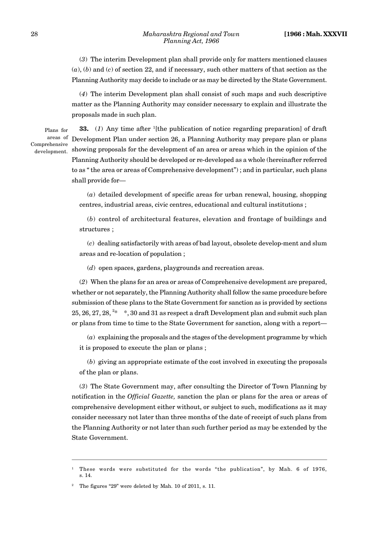(*3*) The interim Development plan shall provide only for matters mentioned clauses (*a*), (*b*) and (*c*) of section 22, and if necessary, such other matters of that section as the Planning Authority may decide to include or as may be directed by the State Government.

(*4*) The interim Development plan shall consist of such maps and such descriptive matter as the Planning Authority may consider necessary to explain and illustrate the proposals made in such plan.

Plans for areas of Comprehensive development.

**33.** (*1*) Any time after <sup>1</sup>[the publication of notice regarding preparation] of draft Development Plan under section 26, a Planning Authority may prepare plan or plans showing proposals for the development of an area or areas which in the opinion of the Planning Authority should be developed or re-developed as a whole (hereinafter referred to as " the area or areas of Comprehensive development") ; and in particular, such plans shall provide for—

(*a*) detailed development of specific areas for urban renewal, housing, shopping centres, industrial areas, civic centres, educational and cultural institutions ;

(*b*) control of architectural features, elevation and frontage of buildings and structures ;

(*c*) dealing satisfactorily with areas of bad layout, obsolete develop-ment and slum areas and re-location of population ;

(*d*) open spaces, gardens, playgrounds and recreation areas.

(*2*) When the plans for an area or areas of Comprehensive development are prepared, whether or not separately, the Planning Authority shall follow the same procedure before submission of these plans to the State Government for sanction as is provided by sections 25, 26, 27, 28,  $2*$  \*, 30 and 31 as respect a draft Development plan and submit such plan or plans from time to time to the State Government for sanction, along with a report—

(*a*) explaining the proposals and the stages of the development programme by which it is proposed to execute the plan or plans ;

(*b*) giving an appropriate estimate of the cost involved in executing the proposals of the plan or plans.

(*3*) The State Government may, after consulting the Director of Town Planning by notification in the *Official Gazette,* sanction the plan or plans for the area or areas of comprehensive development either without, or subject to such, modifications as it may consider necessary not later than three months of the date of receipt of such plans from the Planning Authority or not later than such further period as may be extended by the State Government.

<sup>1</sup> These words were substituted for the words "the publication", by Mah. 6 of 1976, s. 14.

<sup>&</sup>lt;sup>2</sup> The figures "29" were deleted by Mah. 10 of 2011, s. 11.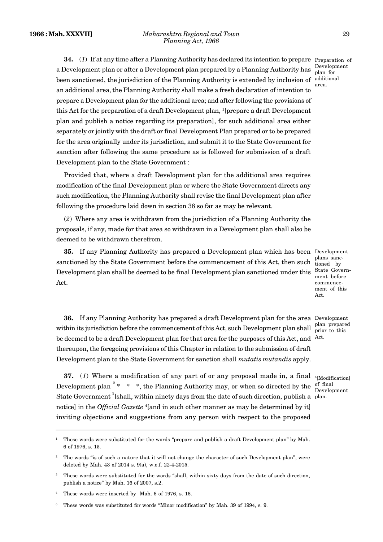Development plan for area.

**34.** (*1*) If at any time after a Planning Authority has declared its intention to prepare Preparation of a Development plan or after a Development plan prepared by a Planning Authority has been sanctioned, the jurisdiction of the Planning Authority is extended by inclusion of additional an additional area, the Planning Authority shall make a fresh declaration of intention to prepare a Development plan for the additional area; and after following the provisions of this Act for the preparation of a draft Development plan, <sup>1</sup>[prepare a draft Development plan and publish a notice regarding its preparation], for such additional area either separately or jointly with the draft or final Development Plan prepared or to be prepared for the area originally under its jurisdiction, and submit it to the State Government for sanction after following the same procedure as is followed for submission of a draft Development plan to the State Government :

Provided that, where a draft Development plan for the additional area requires modification of the final Development plan or where the State Government directs any such modification, the Planning Authority shall revise the final Development plan after following the procedure laid down in section 38 so far as may be relevant.

(*2*) Where any area is withdrawn from the jurisdiction of a Planning Authority the proposals, if any, made for that area so withdrawn in a Development plan shall also be deemed to be withdrawn therefrom.

**35.** If any Planning Authority has prepared a Development plan which has been Development sanctioned by the State Government before the commencement of this Act, then such  $\frac{1}{\text{tioned}}$  by Development plan shall be deemed to be final Development plan sanctioned under this State Govern-Act.

plans sancment before commence ment of this Act.

**36.** If any Planning Authority has prepared a draft Development plan for the area Development within its jurisdiction before the commencement of this Act, such Development plan shall  $\frac{\text{plan prepared}}{\text{prior to this}}$ be deemed to be a draft Development plan for that area for the purposes of this Act, and  $\rm~^{Act.}$ thereupon, the foregoing provisions of this Chapter in relation to the submission of draft Development plan to the State Government for sanction shall *mutatis mutandis* apply.

**37.** (1) Where a modification of any part of or any proposal made in, a final  $\frac{5}{5}$ [Modification] Development plan<sup>2</sup> \* \* \*, the Planning Authority may, or when so directed by the  $\frac{1}{n}$  final State Government  ${}^{3}$ [shall, within ninety days from the date of such direction, publish a plan. notice] in the *Official Gazette* <sup>4</sup>[and in such other manner as may be determined by it] inviting objections and suggestions from any person with respect to the proposed

prior to this

Development

<sup>1</sup> These words were substituted for the words "prepare and publish a draft Development plan" by Mah. 6 of 1976, s. 15.

<sup>&</sup>lt;sup>2</sup> The words "is of such a nature that it will not change the character of such Development plan", were deleted by Mah. 43 of 2014 s. 9(a), w.e.f. 22-4-2015.

These words were substituted for the words "shall, within sixty days from the date of such direction, publish a notice" by Mah. 16 of 2007, s.2.

These words were inserted by Mah. 6 of 1976, s. 16.

<sup>5</sup> These words was substituted for words "Minor modification" by Mah. 39 of 1994, s. 9.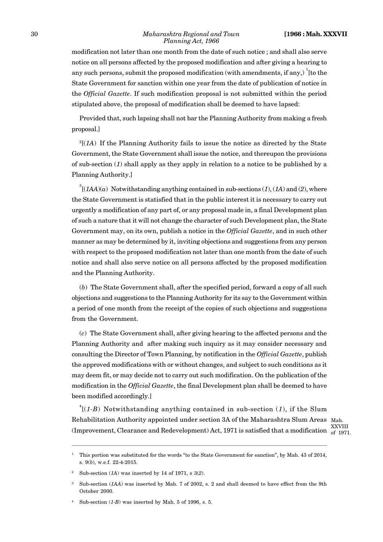modification not later than one month from the date of such notice ; and shall also serve notice on all persons affected by the proposed modification and after giving a hearing to any such persons, submit the proposed modification (with amendments, if any,)  $\frac{1}{1}$  [to the State Government for sanction within one year from the date of publication of notice in the *Official Gazette*. If such modification proposal is not submitted within the period stipulated above, the proposal of modification shall be deemed to have lapsed:

Provided that, such lapsing shall not bar the Planning Authority from making a fresh proposal.]

 $^{2}$ [(*1A*) If the Planning Authority fails to issue the notice as directed by the State Government, the State Government shall issue the notice, and thereupon the provisions of sub-section (*1*) shall apply as they apply in relation to a notice to be published by a Planning Authority.]

 $3$ <sup>3</sup> $(1AA)(a)$  Notwithstanding anything contained in sub-sections (1), (1A) and (2), where the State Government is statisfied that in the public interest it is necessary to carry out urgently a modification of any part of, or any proposal made in, a final Development plan of such a nature that it will not change the character of such Development plan, the State Government may, on its own, publish a notice in the *Official Gazette*, and in such other manner as may be determined by it, inviting objections and suggestions from any person with respect to the proposed modification not later than one month from the date of such notice and shall also serve notice on all persons affected by the proposed modification and the Planning Authority.

(*b*) The State Government shall, after the specified period, forward a copy of all such objections and suggestions to the Planning Authority for its say to the Government within a period of one month from the receipt of the copies of such objections and suggestions from the Government.

(*c*) The State Government shall, after giving hearing to the affected persons and the Planning Authority and after making such inquiry as it may consider necessary and consulting the Director of Town Planning, by notification in the *Official Gazette*, publish the approved modifications with or without changes, and subject to such conditions as it may deem fit, or may decide not to carry out such modification. On the publication of the modification in the *Official Gazette*, the final Development plan shall be deemed to have been modified accordingly.]

 $^{4}$ [(1-B) Notwithstanding anything contained in sub-section (1), if the Slum Rehabilitation Authority appointed under section 3A of the Maharashtra Slum Areas Mah. (Improvement, Clearance and Redevelopment) Act, 1971 is satisfied that a modification  $\frac{XXVIII}{of 1971}$ 

of 1971.

<sup>1</sup> This portion was substituted for the words "to the State Government for sanction", by Mah. 43 of 2014, s. 9(*b*), w.e.f. 22-4-2015.

<sup>2</sup> Sub-section (*1A*) was inserted by 14 of 1971, s 3(*2*).

<sup>3</sup> Sub-section (*1AA*) was inserted by Mah. 7 of 2002, s. 2 and shall deemed to have effect from the 9th October 2000.

Sub-section  $(1-B)$  was inserted by Mah. 5 of 1996, s. 5.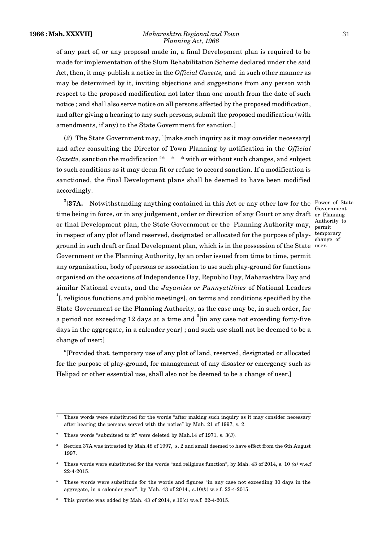#### **1966 : Mah. XXXVII]** *Maharashtra Regional and Town* 31 *Planning Act, 1966*

Government Authority to

temporary change of

of any part of, or any proposal made in, a final Development plan is required to be made for implementation of the Slum Rehabilitation Scheme declared under the said Act, then, it may publish a notice in the *Official Gazette,* and in such other manner as may be determined by it, inviting objections and suggestions from any person with respect to the proposed modification not later than one month from the date of such notice ; and shall also serve notice on all persons affected by the proposed modification, and after giving a hearing to any such persons, submit the proposed modification (with amendments, if any) to the State Government for sanction.]

(*2*) The State Government may, <sup>1</sup>[make such inquiry as it may consider necessary] and after consulting the Director of Town Planning by notification in the *Official Gazette*, sanction the modification <sup>2\*</sup> \* \* with or without such changes, and subject to such conditions as it may deem fit or refuse to accord sanction. If a modification is sanctioned, the final Development plans shall be deemed to have been modified accordingly.

<sup>3</sup>[37A. Notwithstanding anything contained in this Act or any other law for the <sup>Power</sup> of State time being in force, or in any judgement, order or direction of any Court or any draft or Planning or final Development plan, the State Government or the Planning Authority may, permit in respect of any plot of land reserved, designated or allocated for the purpose of playground in such draft or final Development plan, which is in the possession of the State user.Government or the Planning Authority, by an order issued from time to time, permit any organisation, body of persons or association to use such play-ground for functions organised on the occasions of Independence Day, Republic Day, Maharashtra Day and similar National events, and the *Jayanties or Punnyatithies* of National Leaders <sup>4</sup>[, religious functions and public meetings], on terms and conditions specified by the State Government or the Planning Authority, as the case may be, in such order, for a period not exceeding 12 days at a time and  $\delta$ [in any case not exceeding forty-five days in the aggregate, in a calender year] ; and such use shall not be deemed to be a change of user:]

<sup>6</sup>[Provided that, temporary use of any plot of land, reserved, designated or allocated for the purpose of play-ground, for management of any disaster or emergency such as Helipad or other essential use, shall also not be deemed to be a change of user.]

<sup>1</sup> These words were substituted for the words "after making such inquiry as it may consider necessary after hearing the persons served with the notice" by Mah. 21 of 1997, s. 2.

<sup>2</sup> These words "submiteed to it" were deleted by Mah.14 of 1971, s. 3(*3*)*.*

<sup>3</sup> Section 37A was intrested by Mah.48 of 1997, s. 2 and small deemed to have effect from the 6th August 1997.

<sup>4</sup> These words were substituted for the words "and religious function", by Mah. 43 of 2014, s. 10 *(a)* w.e.f 22-4-2015.

<sup>5</sup> These words were substitude for the words and figures "in any case not exceeding 30 days in the aggregate, in a calender year", by Mah. 43 of 2014., s.10(*b*) w.e.f. 22-4-2015.

 $6$  This proviso was added by Mah. 43 of 2014, s.10(c) w.e.f. 22-4-2015.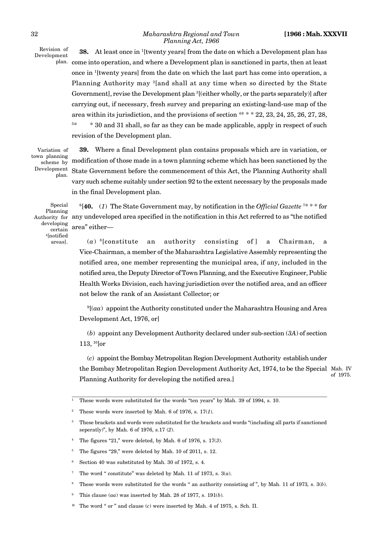Revision of Development

**38.** At least once in <sup>1</sup>[twenty years] from the date on which a Development plan has plan. come into operation, and where a Development plan is sanctioned in parts, then at least once in <sup>1</sup>[twenty years] from the date on which the last part has come into operation, a Planning Authority may <sup>2</sup>[and shall at any time when so directed by the State Government], revise the Development plan <sup>3</sup>[(either wholly, or the parts separately)] after carrying out, if necessary, fresh survey and preparing an existing-land-use map of the area within its jurisdiction, and the provisions of section  $4* * * 22$ ,  $23$ ,  $24$ ,  $25$ ,  $26$ ,  $27$ ,  $28$ , <sup>5\*</sup> \* 30 and 31 shall, so far as they can be made applicable, apply in respect of such revision of the Development plan.

Variation of town planning scheme by Development plan.

**39.** Where a final Development plan contains proposals which are in variation, or modification of those made in a town planning scheme which has been sanctioned by the State Government before the commencement of this Act, the Planning Authority shall vary such scheme suitably under section 92 to the extent necessary by the proposals made in the final Development plan.

Special Planning Authority for developing certain <sup>4</sup>[notified areas].

<sup>6</sup>[**40.** (*1*) The State Government may, by notification in the *Official Gazette* <sup>7</sup>\* \* \* for any undeveloped area specified in the notification in this Act referred to as "the notified area" either—

(*a*) an authority consisting of ] a Chairman, a Vice-Chairman, a member of the Maharashtra Legislative Assembly representing the notified area, one member representing the municipal area, if any, included in the notified area, the Deputy Director of Town Planning, and the Executive Engineer, Public Health Works Division, each having jurisdiction over the notified area, and an officer not below the rank of an Assistant Collector; or

<sup>9</sup>[(*aa*) appoint the Authority constituted under the Maharashtra Housing and Area Development Act, 1976, or]

(*b*) appoint any Development Authority declared under sub-section (*3A*) of section 113, <sup>10</sup>[or

(*c*) appoint the Bombay Metropolitan Region Development Authority establish under the Bombay Metropolitan Region Development Authority Act, 1974, to be the Special Mah. IV Planning Authority for developing the notified area.] of 1975.

<sup>1</sup> These words were substituted for the words "ten years" by Mah. 39 of 1994, s. 10.

These words were inserted by Mah. 6 of 1976, s.  $17(1)$ .

<sup>3</sup> These brackets and words were substituted for the brackets and words "(including all parts if sanctioned seperatly)", by Mah. 6 of 1976, s.17 (*2*).

<sup>4</sup> The figures "21," were deleted, by Mah. 6 of 1976, s. 17(*3*).

<sup>&</sup>lt;sup>5</sup> The figures "29," were deleted by Mah. 10 of 2011, s. 12.

<sup>6</sup> Section 40 was substituted by Mah. 30 of 1972, s. 4.

The word " constitute" was deleted by Mah. 11 of 1973, s.  $3(a)$ .

<sup>8</sup> These words were substituted for the words " an authority consisting of ", by Mah. 11 of 1973*,* s. 3(*b*).

This clause  $(aa)$  was inserted by Mah. 28 of 1977, s. 191 $(b)$ .

The word " or " and clause (*c*) were inserted by Mah. 4 of 1975, s. Sch. II.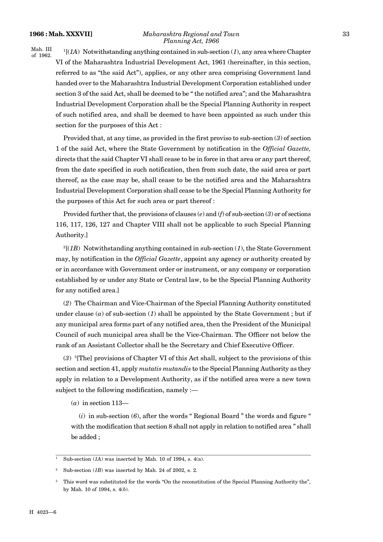#### **1966 : Mah. XXXVII]** *Maharashtra Regional and Town* 33 *Planning Act, 1966*

Mah. III of 1962.

<sup>1</sup>[(*1A*) Notwithstanding anything contained in sub-section (*1*), any area where Chapter VI of the Maharashtra Industrial Development Act, 1961 (hereinafter, in this section, referred to as "the said Act"), applies, or any other area comprising Government land handed over to the Maharashtra Industrial Development Corporation established under section 3 of the said Act, shall be deemed to be " the notified area"; and the Maharashtra Industrial Development Corporation shall be the Special Planning Authority in respect of such notified area, and shall be deemed to have been appointed as such under this section for the purposes of this Act :

Provided that, at any time, as provided in the first proviso to sub-section (*3*) of section 1 of the said Act, where the State Government by notification in the *Official Gazette,* directs that the said Chapter VI shall cease to be in force in that area or any part thereof, from the date specified in such notification, then from such date, the said area or part thereof, as the case may be, shall cease to be the notified area and the Maharashtra Industrial Development Corporation shall cease to be the Special Planning Authority for the purposes of this Act for such area or part thereof :

Provided further that, the provisions of clauses (*e*) and (*f*) of sub-section (*3*) or of sections 116, 117, 126, 127 and Chapter VIII shall not be applicable to such Special Planning Authority.]

 $2[(1B)$  Notwithstanding anything contained in sub-section  $(1)$ , the State Government may, by notification in the *Official Gazette*, appoint any agency or authority created by or in accordance with Government order or instrument, or any company or corporation established by or under any State or Central law, to be the Special Planning Authority for any notified area.]

(*2*) The Chairman and Vice-Chairman of the Special Planning Authority constituted under clause (*a*) of sub-section (*1*) shall be appointed by the State Government ; but if any municipal area forms part of any notified area, then the President of the Municipal Council of such municipal area shall be the Vice-Chairman. The Officer not below the rank of an Assistant Collector shall be the Secretary and Chief Executive Officer.

(*3*) <sup>3</sup>[The] provisions of Chapter VI of this Act shall, subject to the provisions of this section and section 41, apply *mutatis mutandis* to the Special Planning Authority as they apply in relation to a Development Authority, as if the notified area were a new town subject to the following modification, namely :—

(*a*) in section 113—

 $(i)$  in sub-section  $(6)$ , after the words " Regional Board " the words and figure " with the modification that section 8 shall not apply in relation to notified area " shall be added ;

Sub-section  $(1A)$  was inserted by Mah. 10 of 1994, s.  $4(a)$ .

Sub-section  $(IB)$  was inserted by Mah. 24 of 2002, s. 2.

<sup>&</sup>lt;sup>3</sup> This word was substituted for the words "On the reconstitution of the Special Planning Authority the", by Mah. 10 of 1994, s. 4(*b*).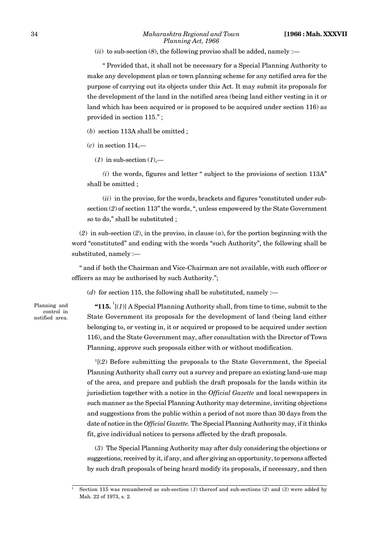$(iii)$  to sub-section  $(8)$ , the following proviso shall be added, namely :—

" Provided that, it shall not be necessary for a Special Planning Authority to make any development plan or town planning scheme for any notified area for the purpose of carrying out its objects under this Act. It may submit its proposals for the development of the land in the notified area (being land either vesting in it or land which has been acquired or is proposed to be acquired under section 116) as provided in section 115." ;

(*b*) section 113A shall be omitted ;

(*c*) in section 114,—

(*1*) in sub-section (*1*),—

*(i*) the words, figures and letter " subject to the provisions of section 113A" shall be omitted ;

(*ii*) in the proviso, for the words, brackets and figures "constituted under subsection (*2*) of section 113" the words, ", unless empowered by the State Government so to do," shall be substituted ;

(*2*) in sub-section (*2*), in the proviso, in clause (*a*), for the portion beginning with the word "constituted" and ending with the words "such Authority", the following shall be substituted, namely :—

" and if both the Chairman and Vice-Chairman are not available, with such officer or officers as may be authorised by such Authority.";

(*d*) for section 115, the following shall be substituted, namely :—

Planning and control in notified area.

"115.  $\frac{1}{i}$ [(*1*)] A Special Planning Authority shall, from time to time, submit to the State Government its proposals for the development of land (being land either belonging to, or vesting in, it or acquired or proposed to be acquired under section 116), and the State Government may, after consultation with the Director of Town Planning, approve such proposals either with or without modification.

 $1(2)$  Before submitting the proposals to the State Government, the Special Planning Authority shall carry out a survey and prepare an existing land-use map of the area, and prepare and publish the draft proposals for the lands within its jurisdiction together with a notice in the *Official Gazette* and local newspapers in such manner as the Special Planning Authority may determine, inviting objections and suggestions from the public within a period of not more than 30 days from the date of notice in the *Official Gazette.* The Special Planning Authority may, if it thinks fit, give individual notices to persons affected by the draft proposals.

(*3*) The Special Planning Authority may after duly considering the objections or suggestions, received by it, if any, and after giving an opportunity, to persons affected by such draft proposals of being heard modify its proposals, if necessary, and then

<sup>1</sup> Section 115 was renumbered as sub-section (*1*) thereof and sub-sections (*2*) and (*3*) were added by Mah. 22 of 1973, s. 2.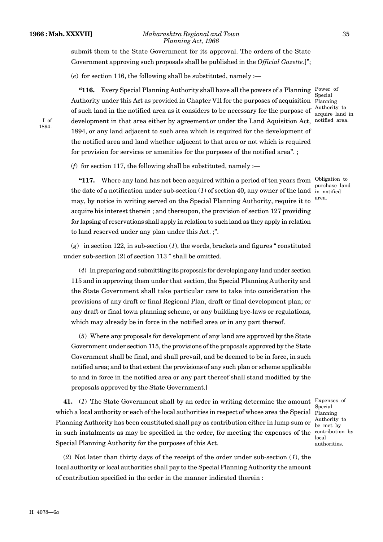I of 1894.

#### **1966 : Mah. XXXVII]** *Maharashtra Regional and Town* 35 *Planning Act, 1966*

submit them to the State Government for its approval. The orders of the State Government approving such proposals shall be published in the *Official Gazette*.]";

(*e*) for section 116, the following shall be substituted, namely :—

**"116.** Every Special Planning Authority shall have all the powers of a Planning Power of Authority under this Act as provided in Chapter VII for the purposes of acquisition of such land in the notified area as it considers to be necessary for the purpose of development in that area either by agreement or under the Land Aquisition Act, 1894, or any land adjacent to such area which is required for the development of the notified area and land whether adjacent to that area or not which is required for provision for services or amenities for the purposes of the notified area". ;

Special Planning Authority to acquire land in notified area.

(*f*) for section 117, the following shall be substituted, namely :—

"117. Where any land has not been acquired within a period of ten years from Obligation to the date of a notification under sub-section  $(1)$  of section 40, any owner of the land  $\frac{1}{10}$  notified may, by notice in writing served on the Special Planning Authority, require it to acquire his interest therein ; and thereupon, the provision of section 127 providing for lapsing of reservations shall apply in relation to such land as they apply in relation to land reserved under any plan under this Act. ;".

purchase land area.

(*g*) in section 122, in sub-section (*1*), the words, brackets and figures " constituted under sub-section (*2*) of section 113 " shall be omitted.

(*4*) In preparing and submittting its proposals for developing any land under section 115 and in approving them under that section, the Special Planning Authority and the State Government shall take particular care to take into consideration the provisions of any draft or final Regional Plan, draft or final development plan; or any draft or final town planning scheme, or any building bye-laws or regulations, which may already be in force in the notified area or in any part thereof.

(*5*) Where any proposals for development of any land are approved by the State Government under section 115, the provisions of the proposals approved by the State Government shall be final, and shall prevail, and be deemed to be in force, in such notified area; and to that extent the provisions of any such plan or scheme applicable to and in force in the notified area or any part thereof shall stand modified by the proposals approved by the State Government.]

**41.** (*1*) The State Government shall by an order in writing determine the amount Expenses of which a local authority or each of the local authorities in respect of whose area the Special Planning Planning Authority has been constituted shall pay as contribution either in lump sum or in such instalments as may be specified in the order, for meeting the expenses of the Special Planning Authority for the purposes of this Act.

Special Authority to be met by contribution by local authorities.

(*2*) Not later than thirty days of the receipt of the order under sub-section (*1*), the local authority or local authorities shall pay to the Special Planning Authority the amount of contribution specified in the order in the manner indicated therein :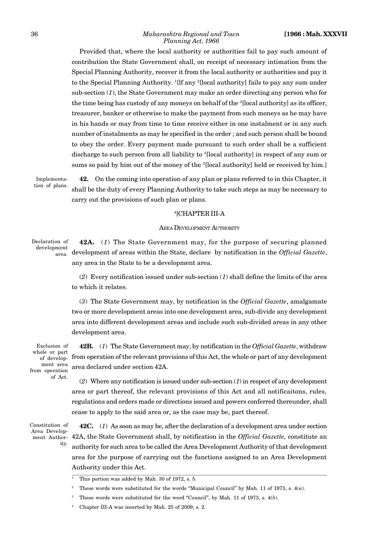Provided that, where the local authority or authorities fail to pay such amount of contribution the State Government shall, on receipt of necessary intimation from the Special Planning Authority, recover it from the local authority or authorities and pay it to the Special Planning Authority. <sup>1</sup>[lf any <sup>2</sup>[local authority] fails to pay any sum under sub-section (*1*), the State Government may make an order directing any person who for the time being has custody of any moneys on behalf of the <sup>3</sup>[local authority] as its officer, treasurer, banker or otherwise to make the payment from such moneys as he may have in his hands or may from time to time receive either in one instalment or in any such number of instalments as may be specified in the order ; and such person shall be bound to obey the order. Every payment made pursuant to such order shall be a sufficient discharge to such person from all liability to <sup>3</sup>[local authority] in respect of any sum or sums so paid by him out of the money of the <sup>3</sup>[local authority] held or received by him.]

Implementation of plans.

**42.** On the coming into operation of any plan or plans referred to in this Chapter, it shall be the duty of every Planning Authority to take such steps as may be necessary to carry out the provisions of such plan or plans.

### <sup>4</sup>[CHAPTER III-A

### AREA DEVELOPMENT AUTHORITY

**42A.** (*1*) The State Government may, for the purpose of securing planned development of areas within the State, declare by notification in the *Official Gazette*, any area in the State to be a development area. Declaration of development

> (*2*) Every notification issued under sub-section (*1*) shall define the limits of the area to which it relates.

> (*3*) The State Government may, by notification in the *Official Gazette*, amalgamate two or more development areas into one development area, sub-divide any development area into different development areas and include such sub-divided areas in any other development area.

Exclusion of whole or part of development area from operation of Act.

**42B.** (*1*) The State Government may, by notification in the *Official Gazette*, withdraw from operation of the relevant provisions of this Act, the whole or part of any development area declared under section 42A.

(*2*) Where any notification is issued under sub-section (*1*) in respect of any development area or part thereof, the relevant provisions of this Act and all notificaitons, rules, regulations and orders made or directions issued and powers conferred thereunder, shall cease to apply to the said area or, as the case may be, part thereof.

Constitution of Area Development Authority.

**42C.** (*1*) As soon as may be, after the declaration of a development area under section 42A, the State Government shall, by notification in the *Official Gazette,* constitute an authority for such area to be called the Area Development Authority of that development area for the purpose of carrying out the functions assigned to an Area Development Authority under this Act.

<sup>&</sup>lt;sup>1</sup> This portion was added by Mah. 30 of 1972, s. 5.

<sup>2</sup> These words were substituted for the words "Municipal Council" by Mah. 11 of 1973, s. 4(*a*).

<sup>3</sup> These words were substituted for the word "Council", by Mah. 11 of 1973, s. 4(*b*).

<sup>4</sup> Chapter III-A was inserted by Mah. 25 of 2009, s. 2.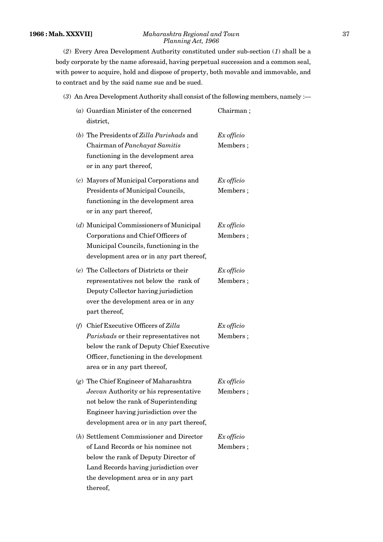# **1966 : Mah. XXXVII]** *Maharashtra Regional and Town* 37 *Planning Act, 1966*

(*2*) Every Area Development Authority constituted under sub-section (*1*) shall be a body corporate by the name aforesaid, having perpetual succession and a common seal, with power to acquire, hold and dispose of property, both movable and immovable, and to contract and by the said name sue and be sued.

# (*3*) An Area Development Authority shall consist of the following members, namely :—

| $(a)$ Guardian Minister of the concerned<br>district,                                                                                                                                                                | Chairman;              |
|----------------------------------------------------------------------------------------------------------------------------------------------------------------------------------------------------------------------|------------------------|
| (b) The Presidents of Zilla Parishads and<br>Chairman of Panchayat Samitis<br>functioning in the development area<br>or in any part thereof,                                                                         | Ex officio<br>Members; |
| (c) Mayors of Municipal Corporations and<br>Presidents of Municipal Councils,<br>functioning in the development area<br>or in any part thereof,                                                                      | Ex officio<br>Members; |
| (d) Municipal Commissioners of Municipal<br>Corporations and Chief Officers of<br>Municipal Councils, functioning in the<br>development area or in any part thereof,                                                 | Ex officio<br>Members; |
| (e) The Collectors of Districts or their<br>representatives not below the rank of<br>Deputy Collector having jurisdiction<br>over the development area or in any<br>part thereof,                                    | Ex officio<br>Members; |
| (f) Chief Executive Officers of Zilla<br>Parishads or their representatives not<br>below the rank of Deputy Chief Executive<br>Officer, functioning in the development<br>area or in any part thereof,               | Ex officio<br>Members; |
| $(g)$ The Chief Engineer of Maharashtra<br>Jeevan Authority or his representative<br>not below the rank of Superintending<br>Engineer having jurisdiction over the<br>development area or in any part thereof,       | Ex officio<br>Members; |
| $(h)$ Settlement Commissioner and Director<br>of Land Records or his nominee not<br>below the rank of Deputy Director of<br>Land Records having jurisdiction over<br>the development area or in any part<br>thereof, | Ex officio<br>Members; |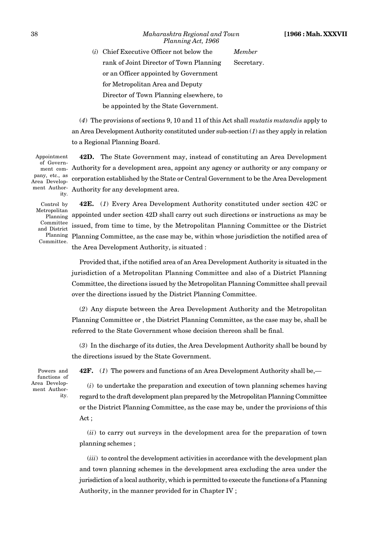38 *Maharashtra Regional and Town* **[1966 : Mah. XXXVII** *Planning Act, 1966*

(*i*) Chief Executive Officer not below the *Member* rank of Joint Director of Town Planning Secretary. or an Officer appointed by Government for Metropolitan Area and Deputy Director of Town Planning elsewhere, to be appointed by the State Government.

(*4*) The provisions of sections 9, 10 and 11 of this Act shall *mutatis mutandis* apply to an Area Development Authority constituted under sub-section (*1*) as they apply in relation to a Regional Planning Board.

Appointment of Government company, etc., as Area Development Authority.

**42D.** The State Government may, instead of constituting an Area Development Authority for a development area, appoint any agency or authority or any company or corporation established by the State or Central Government to be the Area Development Authority for any development area.

Control by Metropolitan Planning Committee and District Planning Committee.

**42E.** (*1*) Every Area Development Authority constituted under section 42C or appointed under section 42D shall carry out such directions or instructions as may be issued, from time to time, by the Metropolitan Planning Committee or the District Planning Committee, as the case may be, within whose jurisdiction the notified area of the Area Development Authority, is situated :

Provided that, if the notified area of an Area Development Authority is situated in the jurisdiction of a Metropolitan Planning Committee and also of a District Planning Committee, the directions issued by the Metropolitan Planning Committee shall prevail over the directions issued by the District Planning Committee.

(*2*) Any dispute between the Area Development Authority and the Metropolitan Planning Committee or , the District Planning Committee, as the case may be, shall be referred to the State Government whose decision thereon shall be final.

(*3*) In the discharge of its duties, the Area Development Authority shall be bound by the directions issued by the State Government.

Powers and functions of Area Development Authority.

**42F.** (*1*) The powers and functions of an Area Development Authority shall be,—

(*i*) to undertake the preparation and execution of town planning schemes having regard to the draft development plan prepared by the Metropolitan Planning Committee or the District Planning Committee, as the case may be, under the provisions of this Act ;

(*ii*) to carry out surveys in the development area for the preparation of town planning schemes ;

(*iii*) to control the development activities in accordance with the development plan and town planning schemes in the development area excluding the area under the jurisdiction of a local authority, which is permitted to execute the functions of a Planning Authority, in the manner provided for in Chapter IV ;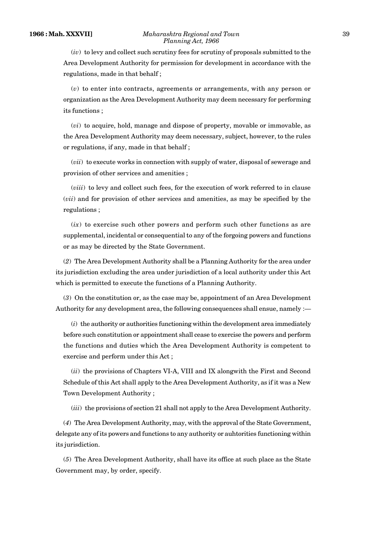(*iv*) to levy and collect such scrutiny fees for scrutiny of proposals submitted to the Area Development Authority for permission for development in accordance with the regulations, made in that behalf ;

(*v*) to enter into contracts, agreements or arrangements, with any person or organization as the Area Development Authority may deem necessary for performing its functions ;

(*vi*) to acquire, hold, manage and dispose of property, movable or immovable, as the Area Development Authority may deem necessary, subject, however, to the rules or regulations, if any, made in that behalf ;

(*vii*) to execute works in connection with supply of water, disposal of sewerage and provision of other services and amenities ;

(*viii*) to levy and collect such fees, for the execution of work referred to in clause (*vii*) and for provision of other services and amenities, as may be specified by the regulations ;

 $(ix)$  to exercise such other powers and perform such other functions as are supplemental, incidental or consequential to any of the forgoing powers and functions or as may be directed by the State Government.

(*2*) The Area Development Authority shall be a Planning Authority for the area under its jurisdiction excluding the area under jurisdiction of a local authority under this Act which is permitted to execute the functions of a Planning Authority.

(*3*) On the constitution or, as the case may be, appointment of an Area Development Authority for any development area, the following consequences shall ensue, namely :—

(*i*) the authority or authorities functioning within the development area immediately before such constitution or appointment shall cease to exercise the powers and perform the functions and duties which the Area Development Authority is competent to exercise and perform under this Act ;

(*ii*) the provisions of Chapters VI-A, VIII and IX alongwith the First and Second Schedule of this Act shall apply to the Area Development Authority, as if it was a New Town Development Authority ;

(*iii*) the provisions of section 21 shall not apply to the Area Development Authority.

(*4*) The Area Development Authority, may, with the approval of the State Government, delegate any of its powers and functions to any authority or auhtorities functioning within its jurisdiction.

(*5*) The Area Development Authority, shall have its office at such place as the State Government may, by order, specify.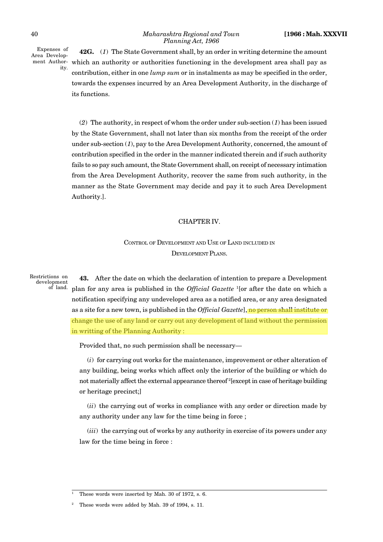Expenses of Area Development Authority.

**42G.** (*1*) The State Government shall, by an order in writing determine the amount which an authority or authorities functioning in the development area shall pay as contribution, either in one *lump sum* or in instalments as may be specified in the order, towards the expenses incurred by an Area Development Authority, in the discharge of its functions.

(*2*) The authority, in respect of whom the order under sub-section (*1*) has been issued by the State Government, shall not later than six months from the receipt of the order under sub-section (*1*), pay to the Area Development Authority, concerned, the amount of contribution specified in the order in the manner indicated therein and if such authority fails to so pay such amount, the State Government shall, on receipt of necessary intimation from the Area Development Authority, recover the same from such authority, in the manner as the State Government may decide and pay it to such Area Development Authority.].

# CHAPTER IV.

CONTROL OF DEVELOPMENT AND USE OF LAND INCLUDED IN DEVELOPMENT PLANS.

Restrictions on development of land.

**43.** After the date on which the declaration of intention to prepare a Development plan for any area is published in the *Official Gazette* <sup>1</sup>[or after the date on which a notification specifying any undeveloped area as a notified area, or any area designated as a site for a new town, is published in the *Official Gazette*], no person shall institute or change the use of any land or carry out any development of land without the permission in writting of the Planning Authority :

Provided that, no such permission shall be necessary—

(*i*) for carrying out works for the maintenance, improvement or other alteration of any building, being works which affect only the interior of the building or which do not materially affect the external appearance thereof <sup>2</sup>[except in case of heritage building or heritage precinct;]

(*ii*) the carrying out of works in compliance with any order or direction made by any authority under any law for the time being in force ;

(*iii*) the carrying out of works by any authority in exercise of its powers under any law for the time being in force :

These words were inserted by Mah. 30 of 1972, s. 6.

These words were added by Mah. 39 of 1994, s. 11.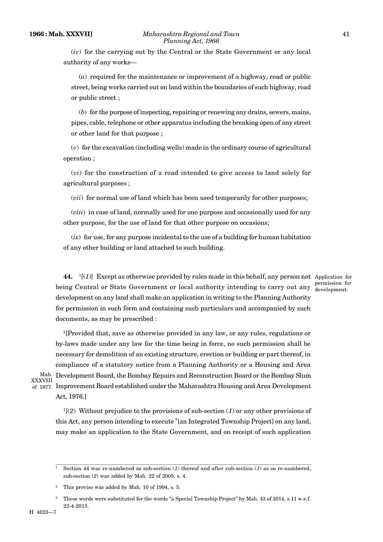(*iv*) for the carrying out by the Central or the State Government or any local authority of any works—

(*a*) required for the maintenance or improvement of a highway, road or public street, being works carried out on land within the boundaries of such highway, road or public street ;

(*b*) for the purpose of inspecting, repairing or renewing any drains, sewers, mains, pipes, cable, telephone or other apparatus including the breaking open of any street or other land for that purpose ;

(*v*) for the excavation (including wells) made in the ordinary course of agricultural operation ;

(*vi*) for the construction of a road intended to give access to land solely for agricultural purposes ;

(*vii*) for normal use of land which has been used temporarily for other purposes;

(*viii*) in case of land, normally used for one purpose and occasionally used for any other purpose, for the use of land for that other purpose on occasions;

(*ix*) for use, for any purpose incidental to the use of a building for human habitation of any other building or land attached to such building.

**44.**  $\binom{1}{1}$  Except as otherwise provided by rules made in this behalf, any person not Application for being Central or State Government or local authority intending to carry out any development on any land shall make an application in writing to the Planning Authority for permission in such form and containing such particulars and accompanied by such documents, as may be prescribed :

permission for development.

<sup>2</sup>[Provided that, save as otherwise provided in any law, or any rules, regulations or by-laws made under any law for the time being in force, no such permission shall be necessary for demolition of an existing structure, erection or building or part thereof, in compliance of a statutory notice from a Planning Authority or a Housing and Area <sup>Mah.</sup> Development Board, the Bombay Repairs and Reconstruction Board or the Bombay Slum  $_{\rm of}$  1977.  $\,$  Improvement Board established under the Maharashtra Housing and Area Development Act, 1976.]

XXXVIII

<sup>1</sup>[(*2*) Without prejudice to the provisions of sub-section (*1*) or any other provisions of this Act, any person intending to execute <sup>3</sup>[an Integrated Township Project] on any land, may make an application to the State Government, and on receipt of such application

Section 44 was re-numbered as sub-section  $(I)$  thereof and after sub-section  $(I)$  as so re-numbered. sub-section (*2*) was added by Mah. 22 of 2005, s. 4.

<sup>2</sup> This proviso was added by Mah. 10 of 1994, s. 5.

<sup>3</sup> These words were substituted for the words "a Special Township Project" by Mah. 43 of 2014, s.11 w.e.f. 22-4-2015.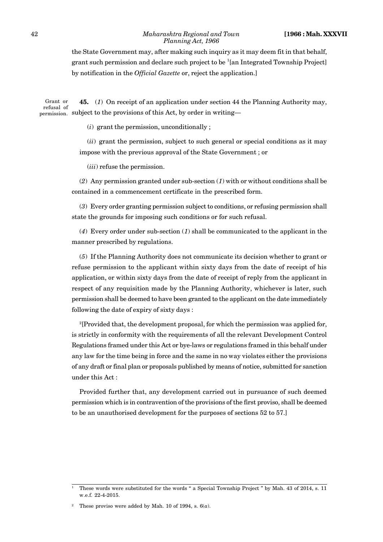#### 42 *Maharashtra Regional and Town* **[1966 : Mah. XXXVII** *Planning Act, 1966*

the State Government may, after making such inquiry as it may deem fit in that behalf, grant such permission and declare such project to be <sup>1</sup>[an Integrated Township Project] by notification in the *Official Gazette* or, reject the application.]

**45.** (*1*) On receipt of an application under section 44 the Planning Authority may,  $S_{\text{permission.}}$  subject to the provisions of this Act, by order in writing— Grant or refusal of

(*i*) grant the permission, unconditionally ;

(*ii*) grant the permission, subject to such general or special conditions as it may impose with the previous approval of the State Government ; or

(*iii*) refuse the permission.

(*2*) Any permission granted under sub-section (*1*) with or without conditions shall be contained in a commencement certificate in the prescribed form.

(*3*) Every order granting permission subject to conditions, or refusing permission shall state the grounds for imposing such conditions or for such refusal.

(*4*) Every order under sub-section (*1*) shall be communicated to the applicant in the manner prescribed by regulations.

(*5*) If the Planning Authority does not communicate its decision whether to grant or refuse permission to the applicant within sixty days from the date of receipt of his application, or within sixty days from the date of receipt of reply from the applicant in respect of any requisition made by the Planning Authority, whichever is later, such permission shall be deemed to have been granted to the applicant on the date immediately following the date of expiry of sixty days :

<sup>2</sup>[Provided that, the development proposal, for which the permission was applied for, is strictly in conformity with the requirements of all the relevant Development Control Regulations framed under this Act or bye-laws or regulations framed in this behalf under any law for the time being in force and the same in no way violates either the provisions of any draft or final plan or proposals published by means of notice, submitted for sanction under this Act :

Provided further that, any development carried out in pursuance of such deemed permission which is in contravention of the provisions of the first proviso, shall be deemed to be an unauthorised development for the purposes of sections 52 to 57.]

<sup>&</sup>lt;sup>1</sup> These words were substituted for the words " a Special Township Project " by Mah. 43 of 2014, s. 11 w.e.f. 22-4-2015.

These proviso were added by Mah. 10 of 1994, s.  $6(a)$ .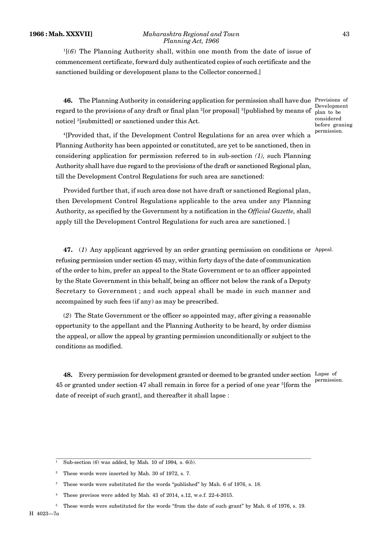#### **1966 : Mah. XXXVII]** *Maharashtra Regional and Town* 43 *Planning Act, 1966*

 $1[(6)$  The Planning Authority shall, within one month from the date of issue of commencement certificate, forward duly authenticated copies of such certificate and the sanctioned building or development plans to the Collector concerned.]

**46.** The Planning Authority in considering application for permission shall have due Provisions of regard to the provisions of any draft or final plan <sup>2</sup>[or proposal] <sup>3</sup>[published by means of notice] <sup>2</sup>[submitted] or sanctioned under this Act.

Development plan to be considered before graning permission.

<sup>4</sup>[Provided that, if the Development Control Regulations for an area over which a Planning Authority has been appointed or constituted, are yet to be sanctioned, then in considering application for permission referred to in sub-section *(1),* such Planning Authority shall have due regard to the provisions of the draft or sanctioned Regional plan, till the Development Control Regulations for such area are sanctioned:

Provided further that, if such area dose not have draft or sanctioned Regional plan, then Development Control Regulations applicable to the area under any Planning Authority, as specified by the Government by a notification in the *Official Gazette,* shall apply till the Development Control Regulations for such area are sanctioned. ]

**47.** (*1*) Any app]icant aggrieved by an order granting permission on conditions or Appeal. refusing permission under section 45 may, within forty days of the date of communication of the order to him, prefer an appeal to the State Government or to an officer appointed by the State Government in this behalf, being an officer not below the rank of a Deputy Secretary to Government ; and such appeal shall be made in such manner and accompained by such fees (if any) as may be prescribed.

(*2*) The State Government or the officer so appointed may, after giving a reasonable opportunity to the appellant and the Planning Authority to be heard, by order dismiss the appeal, or allow the appeal by granting permission unconditionally or subject to the conditions as modified.

**48.** Every permission for development granted or deemed to be granted under section Lapse of 45 or granted under section 47 shall remain in force for a period of one year <sup>5</sup>[form the date of receipt of such grant], and thereafter it shall lapse :

permission.

<sup>1</sup> Sub-section (*6*) was added, by Mah*.* 10 of 1994*,* s. 6(*b*).

<sup>2</sup> These words were inserted by Mah. 30 of 1972, s. 7.

<sup>&</sup>lt;sup>3</sup> These words were substituted for the words "published" by Mah. 6 of 1976, s. 18.

These provisos were added by Mah. 43 of 2014, s.12, w.e.f. 22-4-2015.

<sup>5</sup> These words were substituted for the words "from the date of such grant" by Mah. 6 of 1976, s. 19.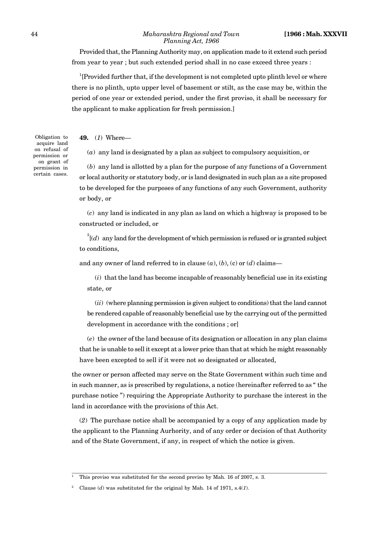Provided that, the Planning Authority may, on application made to it extend such period from year to year ; but such extended period shall in no case exceed three years :

<sup>1</sup>[Provided further that, if the development is not completed upto plinth level or where there is no plinth, upto upper level of basement or stilt, as the case may be, within the period of one year or extended period, under the first proviso, it shall be necessary for the applicant to make application for fresh permission.]

**49.** (*1*) Where—

(*a*) any land is designated by a plan as subject to compulsory acquisition, or

(*b*) any land is allotted by a plan for the purpose of any functions of a Government or local authority or statutory body, or is land designated in such plan as a site proposed to be developed for the purposes of any functions of any such Government, authority or body, or

(*c*) any land is indicated in any plan as land on which a highway is proposed to be constructed or included, or

 $2\lceil (d) \rceil$  any land for the development of which permission is refused or is granted subject to conditions,

and any owner of land referred to in clause  $(a)$ ,  $(b)$ ,  $(c)$  or  $(d)$  claims—

(*i*) that the land has become incapable of reasonably beneficial use in its existing state, or

(*ii*) (where planning permission is given subject to conditions) that the land cannot be rendered capable of reasonably beneficial use by the carrying out of the permitted development in accordance with the conditions ; or]

(*e*) the owner of the land because of its designation or allocation in any plan claims that he is unable to sell it except at a lower price than that at which he might reasonably have been excepted to sell if it were not so designated or allocated,

the owner or person affected may serve on the State Government within such time and in such manner, as is prescribed by regulations, a notice (hereinafter referred to as " the purchase notice ") requiring the Appropriate Authority to purchase the interest in the land in accordance with the provisions of this Act.

(*2*) The purchase notice shall be accompanied by a copy of any application made by the applicant to the Planning Aurhority, and of any order or decision of that Authority and of the State Government, if any, in respect of which the notice is given.

Obligation to acquire land on refusal of permission or on grant of permission in certain cases.

<sup>1</sup> This proviso was substituted for the second proviso by Mah. 16 of 2007, s. 3.

<sup>2</sup> Clause (*d*) was substituted for the original by Mah. 14 of 1971, s.4(*1*).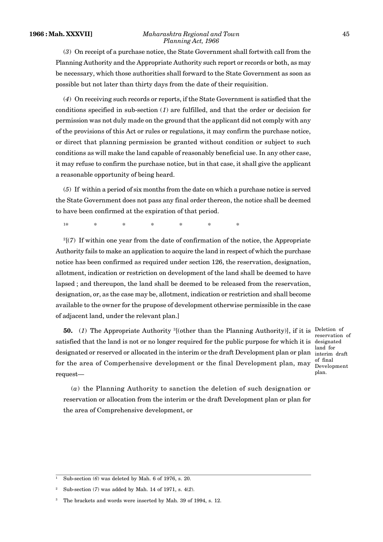#### **1966 : Mah. XXXVII]** *Maharashtra Regional and Town* 45 *Planning Act, 1966*

(*3*) On receipt of a purchase notice, the State Government shall fortwith call from the Planning Authority and the Appropriate Authority such report or records or both, as may be necessary, which those authorities shall forward to the State Government as soon as possible but not later than thirty days from the date of their requisition.

(*4*) On receiving such records or reports, if the State Government is satisfied that the conditions specified in sub-section (*1*) are fulfilled, and that the order or decision for permission was not duly made on the ground that the applicant did not comply with any of the provisions of this Act or rules or regulations, it may confirm the purchase notice, or direct that planning permission be granted without condition or subject to such conditions as will make the land capable of reasonably beneficial use. In any other case, it may refuse to confirm the purchase notice, but in that case, it shall give the applicant a reasonable opportunity of being heard.

(*5*) If within a period of six months from the date on which a purchase notice is served the State Government does not pass any final order thereon, the notice shall be deemed to have been confirmed at the expiration of that period.

1\* \* \* \* \* \* \* \*

 $2<sup>2</sup>$ (7) If within one year from the date of confirmation of the notice, the Appropriate Authority fails to make an application to acquire the land in respect of which the purchase notice has been confirmed as required under section 126, the reservation, designation, allotment, indication or restriction on development of the land shall be deemed to have lapsed ; and thereupon, the land shall be deemed to be released from the reservation, designation, or, as the case may be, allotment, indication or restriction and shall become available to the owner for the prupose of development otherwise permissible in the case of adjacent land, under the relevant plan.]

**50.** (1) The Appropriate Authority <sup>3</sup>[(other than the Planning Authority)], if it is Deletion of satisfied that the land is not or no longer required for the public purpose for which it is designated designated or reserved or allocated in the interim or the draft Development plan or plan for the area of Comperhensive development or the final Development plan, may request—

reservation of land for interim draft of final Development plan.

(*a*) the Planning Authority to sanction the deletion of such designation or reservation or allocation from the interim or the draft Development plan or plan for the area of Comprehensive development, or

<sup>1</sup> Sub-section (*6*) was deleted by Mah. 6 of 1976, s. 20.

<sup>2</sup> Sub-section (*7*) was added by Mah. 14 of 1971, s. 4(*2*).

The brackets and words were inserted by Mah. 39 of 1994, s. 12.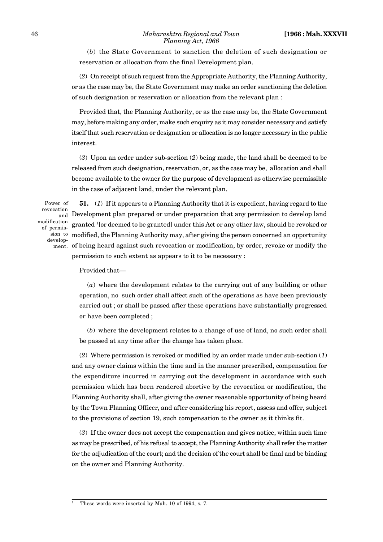#### 46 *Maharashtra Regional and Town* **[1966 : Mah. XXXVII** *Planning Act, 1966*

(*b*) the State Government to sanction the deletion of such designation or reservation or allocation from the final Development plan.

(*2*) On receipt of such request from the Appropriate Authority, the Planning Authority, or as the case may be, the State Government may make an order sanctioning the deletion of such designation or reservation or allocation from the relevant plan :

Provided that, the Planning Authority, or as the case may be, the State Government may, before making any order, make such enquiry as it may consider necessary and satisfy itself that such reservation or designation or allocation is no longer necessary in the public interest.

(*3*) Upon an order under sub-section (*2*) being made, the land shall be deemed to be released from such designation, reservation, or, as the case may be, allocation and shall become available to the owner for the purpose of development as otherwise permissible in the case of adjacent land, under the relevant plan.

Power of revocation modification of permission to develop-

**51.** (*1*) If it appears to a Planning Authority that it is expedient, having regard to the Development plan prepared or under preparation that any permission to develop land and granted <sup>1</sup>[or deemed to be granted] under this Act or any other law, should be revoked or modified, the Planning Authority may, after giving the person concerned an opportunity  $\min$  of being heard against such revocation or modification, by order, revoke or modify the permission to such extent as appears to it to be necessary :

Provided that—

(*a*) where the development relates to the carrying out of any building or other operation, no such order shall affect such of the operations as have been previously carried out ; or shall be passed after these operations have substantially progressed or have been completed ;

(*b*) where the development relates to a change of use of land, no such order shall be passed at any time after the change has taken place.

(*2*) Where permission is revoked or modified by an order made under sub-section (*1*) and any owner claims within the time and in the manner prescribed, compensation for the expenditure incurred in carrying out the development in accordance with such permission which has been rendered abortive by the revocation or modification, the Planning Authority shall, after giving the owner reasonable opportunity of being heard by the Town Planning Officer, and after considering his report, assess and offer, subject to the provisions of section 19, such compensation to the owner as it thinks fit.

(*3*) If the owner does not accept the compensation and gives notice, within such time as may be prescribed, of his refusal to accept, the Planning Authority shall refer the matter for the adjudication of the court; and the decision of the court shall be final and be binding on the owner and Planning Authority.

These words were inserted by Mah. 10 of 1994, s. 7.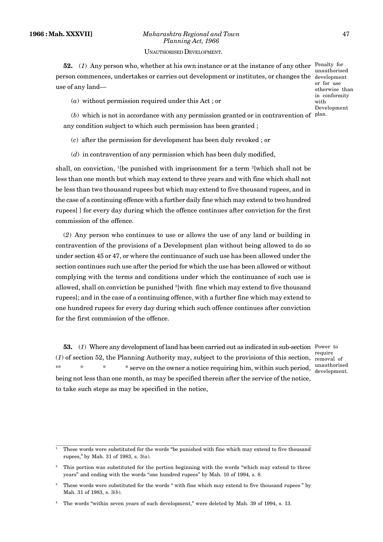# **1966 : Mah. XXXVII]** *Maharashtra Regional and Town* 47 *Planning Act, 1966*

#### UNAUTHORISED DEVELOPMENT.

**52.** (1) Any person who, whether at his own instance or at the instance of any other Penalty for person commences, undertakes or carries out development or institutes, or changes the development use of any land—

(*a*) without permission required under this Act ; or

 $(b)$  which is not in accordance with any permission granted or in contravention of  $p$ lan. any condition subject to which such permission has been granted ;

(*c*) after the permission for development has been duly revoked ; or

(*d*) in contravention of any permission which has been duly modified,

shall, on conviction,  $\frac{1}{e}$  [be punished with imprisonment for a term  $\frac{2}{e}$ [which shall not be less than one month but which may extend to three years and with fine which shall not be less than two thousand rupees but which may extend to five thousand rupees, and in the case of a continuing offence with a further daily fine which may extend to two hundred rupees] ] for every day during which the offence continues after conviction for the first commission of the offence.

(*2*) Any person who continues to use or allows the use of any land or building in contravention of the provisions of a Development plan without being allowed to do so under section 45 or 47, or where the continuance of such use has been allowed under the section continues such use after the period for which the use has been allowed or without complying with the terms and conditions under which the continuance of such use is allowed, shall on conviction be punished  $\delta$ [with fine which may extend to five thousand rupees]; and in the case of a continuing offence, with a further fine which may extend to one hundred rupees for every day during which such offence continues after conviction for the first commission of the offence.

**53.** (*1*) Where any development of land has been carried out as indicated in sub-section Power to <sup>require</sup><br>(*1*) of section 52, the Planning Authority may, subject to the provisions of this section, removal of <sup>4</sup>\* \* \* \* serve on the owner a notice requiring him, within such period, unauthorised being not less than one month, as may be specified therein after the service of the notice, to take such steps as may be specified in the notice,

removal of development.

unauthorised  $or$  for  $use$ otherwise than in conformity with Development

<sup>1</sup> These words were substituted for the words "be punished with fine which may extend to five thousand rupees," by Mah. 31 of 1983, s. 3(*a*).

<sup>&</sup>lt;sup>2</sup> This portion was substituted for the portion beginning with the words "which may extend to three years" and ending with the words "one hundred rupees" by Mah. 10 of 1994, s. 8.

These words were substituted for the words " with fine which may extend to five thousand rupees " by Mah. 31 of 1983, s. 3(*b*).

<sup>4</sup> The words "within seven years of such development," were deleted by Mah. 39 of 1994, s. 13.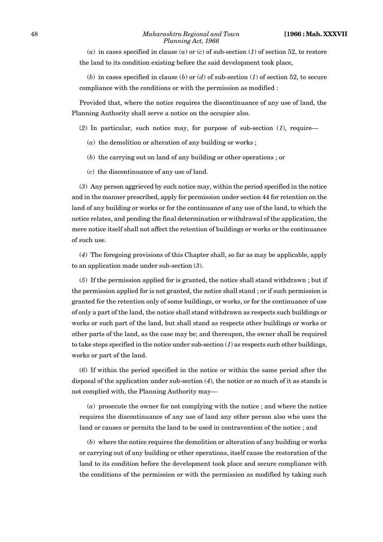#### 48 *Maharashtra Regional and Town* **[1966 : Mah. XXXVII** *Planning Act, 1966*

 $(a)$  in cases specified in clause  $(a)$  or  $(c)$  of sub-section  $(1)$  of section 52, to restore the land to its condition existing before the said development took place,

(*b*) in cases specified in clause (*b*) or (*d*) of sub-section (*1*) of section 52, to secure compliance with the conditions or with the permission as modified :

Provided that, where the notice requires the discontinuance of any use of land, the Planning Authority shall serve a notice on the occupier also.

- (*2*) In particular, such notice may, for purpose of sub-section (*1*), require—
	- (*a*) the demolition or alteration of any building or works ;
	- (*b*) the carrying out on land of any building or other operations ; or
	- (*c*) the discontinuance of any use of land.

(*3*) Any person aggrieved by such notice may, within the period specified in the notice and in the manner prescribed, apply for permission under section 44 for retention on the land of any building or works or for the continuance of any use of the land, to which the notice relates, and pending the final determination or withdrawal of the application, the mere notice itself shall not affect the retention of buildings or works or the continuance of such use.

(*4*) The foregoing provisions of this Chapter shall, so far as may be applicable, apply to an application made under sub-section (*3*).

(*5*) If the permission applied for is granted, the notice shall stand withdrawn ; but if the permission applied for is not granted, the notice shall stand ; or if such permission is granted for the retention only of some buildings, or works, or for the continuance of use of only a part of the land, the notice shall stand withdrawn as respects such buildings or works or such part of the land, but shall stand as respects other buildings or works or other parts of the land, as the case may be; and thereupon, the owner shall be required to take steps specified in the notice under sub-section  $(1)$  as respects such other buildings, works or part of the land.

(*6*) If within the period specified in the notice or within the same period after the disposal of the application under sub-section (*4*), the notice or so much of it as stands is not complied with, the Planning Authority may—

(*a*) prosecute the owner for not complying with the notice ; and where the notice requires the discontinuance of any use of land any other person also who uses the land or causes or permits the land to be used in contravention of the notice ; and

(*b*) where the notice requires the demolition or alteration of any building or works or carrying out of any building or other operations, itself cause the restoration of the land to its condition before the development took place and secure compliance with the conditions of the permission or with the permission as modified by taking such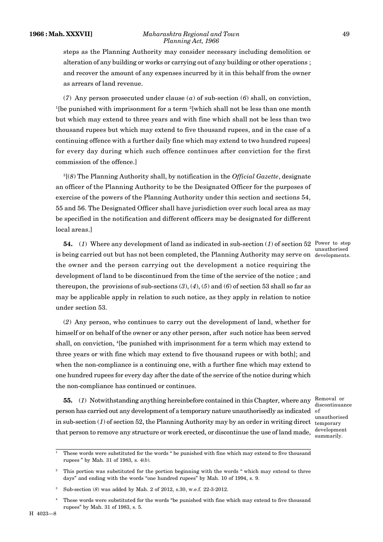#### **1966 : Mah. XXXVII]** *Maharashtra Regional and Town* 49 *Planning Act, 1966*

steps as the Planning Authority may consider necessary including demolition or alteration of any building or works or carrying out of any building or other operations ; and recover the amount of any expenses incurred by it in this behalf from the owner as arrears of land revenue.

(*7*) Any person prosecuted under clause (*a*) of sub-section (*6*) shall, on conviction, <sup>1</sup>[be punished with imprisonment for a term  $\frac{2}{1}$ [which shall not be less than one month but which may extend to three years and with fine which shall not be less than two thousand rupees but which may extend to five thousand rupees, and in the case of a continuing offence with a further daily fine which may extend to two hundred rupees] for every day during which such offence continues after conviction for the first commission of the offence.]

<sup>3</sup>[(*8*) The Planning Authority shall, by notification in the *Official Gazette*, designate an officer of the Planning Authority to be the Designated Officer for the purposes of exercise of the powers of the Planning Authority under this section and sections 54, 55 and 56. The Designated Officer shall have jurisdiction over such local area as may be specified in the notification and different officers may be designated for different local areas.]

**54.** (1) Where any development of land as indicated in sub-section (1) of section 52 Power to stop is being carried out but has not been completed, the Planning Authority may serve on developments. the owner and the person carrying out the development a notice requiring the development of land to be discontinued from the time of the service of the notice ; and thereupon, the provisions of sub-sections  $(3)$ ,  $(4)$ ,  $(5)$  and  $(6)$  of section 53 shall so far as may be applicable apply in relation to such notice, as they apply in relation to notice under section 53.

(*2*) Any person, who continues to carry out the development of land, whether for himself or on behalf of the owner or any other person, after such notice has been served shall, on conviction, <sup>4</sup>[be punished with imprisonment for a term which may extend to three years or with fine which may extend to five thousand rupees or with both]; and when the non-compliance is a continuing one, with a further fine which may extend to one hundred rupees for every day after the date of the service of the notice during which the non-compliance has continued or continues.

**55.** (1) Notwithstanding anything hereinbefore contained in this Chapter, where any Removal or person has carried out any development of a temporary nature unauthorisedly as indicated of in sub-section (*1*) of section 52, the Planning Authority may by an order in writing direct that person to remove any structure or work erected, or discontinue the use of land made,

unauthorised

discontinuance unauthorised temporary development summarily.

<sup>1</sup> These words were substituted for the words " be punished with fine which may extend to five thousand rupees " by Mah. 31 of 1983, s. 4(*b*).

<sup>2</sup> This portion was substituted for the portion beginning with the words " which may extend to three days" and ending with the words "one hundred rupees" by Mah. 10 of 1994, s. 9.

<sup>3</sup> Sub-section (*8*) was added by Mah. 2 of 2012, s.30, w.e.f. 22-3-2012.

<sup>4</sup> These words were substituted for the words "be punished with fine which may extend to five thousand rupees" by Mah. 31 of 1983, s. 5.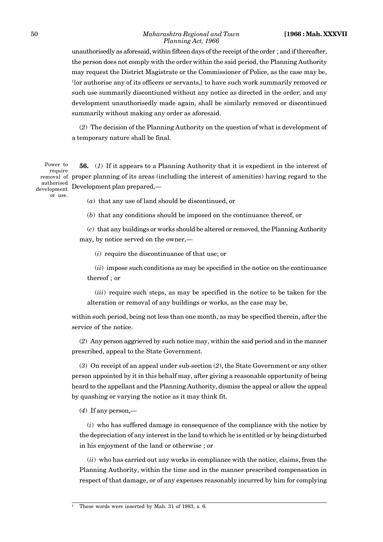unauthorisedly as aforesaid, within fifteen days of the receipt of the order ; and if thereafter, the person does not comply with the order within the said period, the Planning Authority may request the District Magistrate or the Commissioner of Police, as the case may be, <sup>1</sup>[or authorise any of its officers or servants,] to have such work summarily removed or such use summarily discontiuned without any notice as directed in the order; and any development unauthorisedly made again, shall be similarly removed or discontinued summarily without making any order as aforesaid.

(*2*) The decision of the Planning Authority on the question of what is development of a temporary nature shall be final.

**56.** (*1*) If it appears to a Planning Authority that it is expedient in the interest of proper planning of its areas (including the interest of amenities) having regard to the Development plan prepared,— Power to require removal of authorised development

(*a*) that any use of land should be discontinued, or

(*b*) that any conditions should be imposed on the continuance thereof, or

(*c*) that any buildings or works should be altered or removed, the Planning Authority may, by notice served on the owner,—

(*i*) require the discontinuance of that use; or

(*ii*) impose such conditions as may be specified in the notice on the continuance thereof ; or

(*iii*) require such steps, as may be specified in the notice to be taken for the alteration or removal of any buildings or works, as the case may be,

within such period, being not less than one month, as may be specified therein, after the service of the notice.

(*2*) Any person aggrieved by such notice may, within the said period and in the manner prescribed, appeal to the State Government.

(*3*) On receipt of an appeal under sub-section (*2*), the State Government or any other person appointed by it in this behalf may, after giving a reasonable opportunity of being heard to the appellant and the Planning Authority, dismiss the appeal or allow the appeal by quashing or varying the notice as it may think fit.

(*4*) If any person,—

(*i*) who has suffered damage in consequence of the compliance with the notice by the depreciation of any interest in the land to which he is entitled or by being disturbed in his enjoyment of the land or otherwise ; or

(*ii*) who has carried out any works in compliance with the notice, claims, from the Planning Authority, within the time and in the manner prescribed compensation in respect of that damage, or of any expenses reasonably incurred by him for complying

These words were inserted by Mah. 31 of 1983, s. 6.

or use.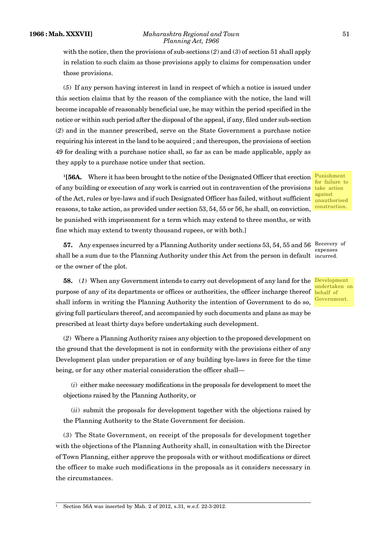#### **1966 : Mah. XXXVII]** *Maharashtra Regional and Town* 51 *Planning Act, 1966*

with the notice, then the provisions of sub-sections (*2*) and (*3*) of section 51 shall apply in relation to such claim as those provisions apply to claims for compensation under those provisions.

(*5*) If any person having interest in land in respect of which a notice is issued under this section claims that by the reason of the compliance with the notice, the land will become incapable of reasonably beneficial use, he may within the period specified in the notice or within such period after the disposal of the appeal, if any, filed under sub-section (*2*) and in the manner prescribed, serve on the State Government a purchase notice requiring his interest in the land to be acquired ; and thereupon, the provisions of section 49 for dealing with a purchase notice shall, so far as can be made applicable, apply as they apply to a purchase notice under that section.

**<sup>1</sup>[56A.** Where it has been brought to the notice of the Designated Officer that erection of any building or execution of any work is carried out in contravention of the provisions of the Act, rules or bye-laws and if such Designated Officer has failed, without sufficient reasons, to take action, as provided under section 53, 54, 55 or 56, he shall, on conviction, be punished with imprisonment for a term which may extend to three months, or with fine which may extend to twenty thousand rupees, or with both.]

**57.** Any expenses incurred by a Planning Authority under sections 53, 54, 55 and 56 Recovery of shall be a sum due to the Planning Authority under this Act from the person in default incurred. or the owner of the plot.

**58.** (*1*) When any Government intends to carry out development of any land for the Development purpose of any of its departments or offices or authorities, the officer incharge thereof shall inform in writing the Planning Authority the intention of Government to do so, giving full particulars thereof, and accompanied by such documents and plans as may be prescribed at least thirty days before undertaking such development.

(*2*) Where a Planning Authority raises any objection to the proposed development on the ground that the development is not in conformity with the provisions either of any Development plan under preparation or of any building bye-laws in force for the time being, or for any other material consideration the officer shall—

(*i*) either make necessary modifications in the proposals for development to meet the objections raised by the Planning Authority, or

(*ii*) submit the proposals for development together with the objections raised by the Planning Authority to the State Government for decision.

(*3*) The State Government, on receipt of the proposals for development together with the objections of the Planning Authority shall, in consultation with the Director of Town Planning, either approve the proposals with or without modifications or direct the officer to make such modifications in the proposals as it considers necessary in the circumstances.

for failure to take action against unauthorised construction.

Punishment

expenses

undertaken on behalf of **Government** 

<sup>1</sup> Section 56A was inserted by Mah. 2 of 2012, s.31, w.e.f. 22-3-2012.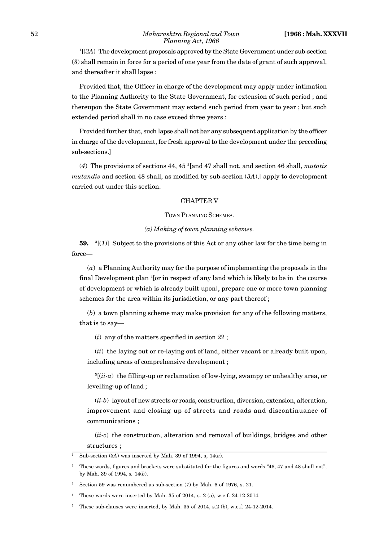<sup>1</sup>[(*3A*) The development proposals approved by the State Government under sub-section (*3*) shall remain in force for a period of one year from the date of grant of such approval, and thereafter it shall lapse :

Provided that, the Officer in charge of the development may apply under intimation to the Planning Authority to the State Government, for extension of such period ; and thereupon the State Government may extend such period from year to year ; but such extended period shall in no case exceed three years :

Provided further that, such lapse shall not bar any subsequent application by the officer in charge of the development, for fresh approval to the development under the preceding sub-sections.]

(*4*) The provisions of sections 44, 45 <sup>2</sup>[and 47 shall not, and section 46 shall, *mutatis mutandis* and section 48 shall, as modified by sub-section (*3A*),] apply to development carried out under this section.

## CHAPTER V

#### TOWN PLANNING SCHEMES.

# *(a) Making of town planning schemes.*

**59.** <sup>3</sup>[(*1*)] Subject to the provisions of this Act or any other law for the time being in force—

(*a*) a Planning Authority may for the purpose of implementing the proposals in the final Development plan <sup>4</sup>[or in respect of any land which is likely to be in the course of development or which is already built upon], prepare one or more town planning schemes for the area within its jurisdiction, or any part thereof ;

(*b*) a town planning scheme may make provision for any of the following matters, that is to say—

(*i*) any of the matters specified in section 22 ;

(*ii*) the laying out or re-laying out of land, either vacant or already built upon, including areas of comprehensive development ;

 $5[(ii-a)$  the filling-up or reclamation of low-lying, swampy or unhealthy area, or levelling-up of land ;

(*ii-b*) layout of new streets or roads, construction, diversion, extension, alteration, improvement and closing up of streets and roads and discontinuance of communications ;

(*ii-c*) the construction, alteration and removal of buildings, bridges and other structures ;

Sub-section  $(3A)$  was inserted by Mah. 39 of 1994, s,  $14(a)$ .

<sup>2</sup> These words, figures and brackets were substituted for the figures and words "46, 47 and 48 shall not", by Mah. 39 of 1994, *s.* 14(*b*).

Section 59 was renumbered as sub-section  $(1)$  by Mah. 6 of 1976, s. 21.

These words were inserted by Mah. 35 of 2014, s. 2 (a), w.e.f. 24-12-2014.

<sup>5</sup> These sub-clauses were inserted, by Mah. 35 of 2014, s.2 (b), w.e.f. 24-12-2014.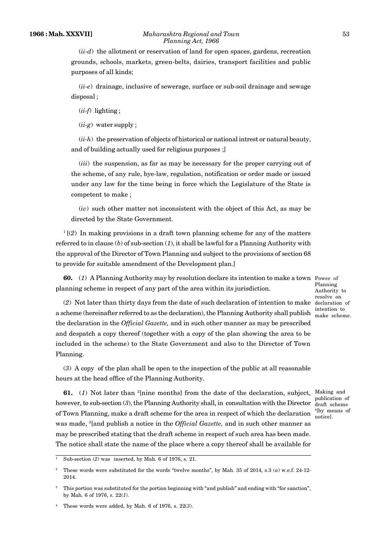(*ii-d*) the allotment or reservation of land for open spaces, gardens, recreation grounds, schools, markets, green-belts, dairies, transport facilities and public purposes of all kinds;

(*ii-e*) drainage, inclusive of sewerage, surface or sub-soil drainage and sewage disposal ;

(*ii-f*) lighting ;

(*ii-g*) water supply ;

(*ii-h*) the preservation of objects of historical or national intrest or natural beauty, and of building actually used for religious purposes ;]

(*iii*) the suspension, as far as may be necessary for the proper carrying out of the scheme, of any rule, bye-law, regulation, notification or order made or issued under any law for the time being in force which the Legislature of the State is competent to make ;

(*iv*) such other matter not inconsistent with the object of this Act, as may be directed by the State Government.

 $1(2)$  In making provisions in a draft town planning scheme for any of the matters referred to in clause (*b*) of sub-section (*1*), it shall be lawful for a Planning Authority with the approval of the Director of Town Planning and subject to the provisions of section 68 to provide for suitable amendment of the Development plan.]

**60.** (*1*) A Planning Authority may by resolution declare its intention to make a town Power of planning scheme in respect of any part of the area within its jurisdiction.

Planning Authority to resolve on intention to make scheme.

(*2*) Not later than thirty days from the date of such declaration of intention to make declaration of a scheme (hereinafter referred to as the declaration), the Planning Authority shall publish the declaration in the *Official Gazette,* and in such other manner as may be prescribed and despatch a copy thereof (together with a copy of the plan showing the area to be included in the scheme) to the State Government and also to the Director of Town Planning.

(*3*) A copy of the plan shall be open to the inspection of the public at all reasonable hours at the head office of the Planning Authority.

**61.** (1) Not later than <sup>2</sup>[nine months] from the date of the declaration, subject, Making and however, to sub-section (3), the Planning Authority shall, in consultation with the Director draft scheme of Town Planning, make a draft scheme for the area in respect of which the declaration  $\frac{^{4}$  [by means of was made, <sup>3</sup>[and publish a notice in the *Official Gazette,* and in such other manner as may be prescribed stating that the draft scheme in respect of such area has been made. The notice shall state the name of the place where a copy thereof shall be available for

publication of notice].

<sup>&</sup>lt;sup>1</sup> Sub-section (2) was inserted, by Mah. 6 of 1976, s. 21.

<sup>2</sup> These words were substituted for the words "twelve months", by Mah. 35 of 2014, s.3 (*a*) w.e.f. 24-12- 2014.

<sup>&</sup>lt;sup>3</sup> This portion was substituted for the portion beginning with "and publish" and ending with "for sanction", by Mah. 6 of 1976, *s.* 22(*1*).

<sup>4</sup> These words were added, by Mah. 6 of 1976, s. 22(*3*).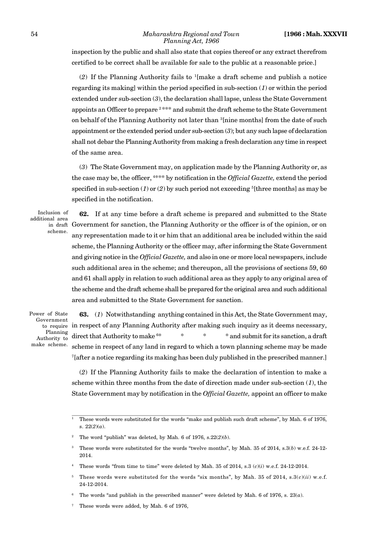inspection by the public and shall also state that copies thereof or any extract therefrom certified to be correct shall be available for sale to the public at a reasonable price.]

(*2*) If the Planning Authority fails to <sup>1</sup>[make a draft scheme and publish a notice regarding its making] within the period specified in sub-section (*1*) or within the period extended under sub-section (*3*), the declaration shall lapse, unless the State Government appoints an Officer to prepare <sup>2</sup> \*\*\* and submit the draft scheme to the State Government on behalf of the Planning Authority not later than <sup>3</sup>[nine months] from the date of such appointment or the extended period under sub-section (*3*); but any such lapse of declaration shall not debar the Planning Authority from making a fresh declaration any time in respect of the same area.

(*3*) The State Government may, on application made by the Planning Authority or, as the case may be, the officer, <sup>4</sup>\*\*\* by notification in the *Official Gazette,* extend the period specified in sub-section (*1*) or (*2*) by such period not exceeding <sup>5</sup>[three months] as may be specified in the notification.

Inclusion of additional area scheme.

**62.** If at any time before a draft scheme is prepared and submitted to the State in draft Government for sanction, the Planning Authority or the officer is of the opinion, or on any representation made to it or him that an additional area be included within the said scheme, the Planning Authority or the officer may, after informing the State Government and giving notice in the *Official Gazette,* and also in one or more local newspapers, include such additional area in the scheme; and thereupon, all the provisions of sections 59, 60 and 61 shall apply in relation to such additional area as they apply to any original area of the scheme and the draft scheme shall be prepared for the original area and such additional area and submitted to the State Government for sanction.

Power of State Government Planning Authority to make scheme.

**63.** (*1*) Notwithstanding anything contained in this Act, the State Government may, to require in respect of any Planning Authority after making such inquiry as it deems necessary, direct that Authority to make  $6*$  \* \* \* \* and submit for its sanction, a draft scheme in respect of any land in regard to which a town planning scheme may be made <sup>7</sup>[after a notice regarding its making has been duly published in the prescribed manner.]

(*2*) If the Planning Authority fails to make the declaration of intention to make a scheme within three months from the date of direction made under sub-section (*1*), the State Government may by notification in the *Official Gazette,* appoint an officer to make

- <sup>4</sup> These words "from time to time" were deleted by Mah. 35 of 2014, s.3 (*c*)(*i*) w.e.f. 24-12-2014.
- These words were substituted for the words "six months", by Mah. 35 of 2014,  $s.3(c)(ii)$  w.e.f. 24-12-2014.
- <sup>6</sup> The words "and publish in the prescribed manner" were deleted by Mah. 6 of 1976, s. 23(*a*).
- <sup>7</sup> These words were added, by Mah. 6 of 1976,

<sup>1</sup> These words were substituted for the words "make and publish such draft scheme", by Mah. 6 of 1976, s.  $22(2)(a)$ .

<sup>2</sup> The word "publish" was deleted, by Mah. 6 of 1976, s.22(*2*)(*b*).

<sup>3</sup> These words were substituted for the words "twelve months", by Mah. 35 of 2014, s.3(*b*) w.e.f. 24-12- 2014.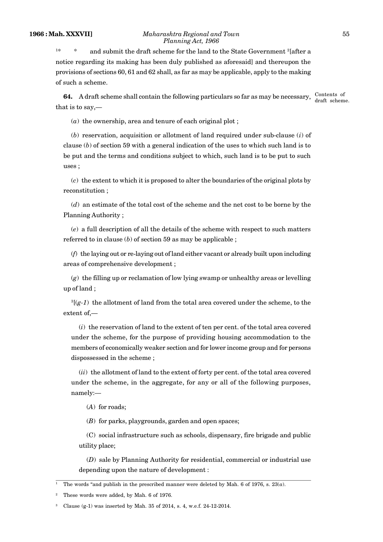<sup>1\*</sup>  $*$  and submit the draft scheme for the land to the State Government <sup>2</sup>[after a notice regarding its making has been duly published as aforesaid] and thereupon the provisions of sections 60, 61 and 62 shall, as far as may be applicable, apply to the making of such a scheme.

**64.** A draft scheme shall contain the following particulars so far as may be necessary, that is to say,— Contents of draft scheme.

(*a*) the ownership, area and tenure of each original plot ;

(*b*) reservation, acquisition or allotment of land required under sub-clause (*i*) of clause (*b*) of section 59 with a general indication of the uses to which such land is to be put and the terms and conditions subject to which, such land is to be put to such uses ;

(*c*) the extent to which it is proposed to alter the boundaries of the original plots by reconstitution ;

(*d*) an estimate of the total cost of the scheme and the net cost to be borne by the Planning Authority ;

(*e*) a full description of all the details of the scheme with respect to such matters referred to in clause (*b*) of section 59 as may be applicable ;

(*f*) the laying out or re-laying out of land either vacant or already built upon including areas of comprehensive development ;

(*g*) the filling up or reclamation of low lying swamp or unhealthy areas or levelling up of land ;

<sup>3</sup>[(*g-1*) the allotment of land from the total area covered under the scheme, to the extent of,—

(*i*) the reservation of land to the extent of ten per cent. of the total area covered under the scheme, for the purpose of providing housing accommodation to the members of economically weaker section and for lower income group and for persons dispossessed in the scheme ;

(*ii*) the allotment of land to the extent of forty per cent. of the total area covered under the scheme, in the aggregate, for any or all of the following purposes, namely:—

(*A*) for roads;

(*B*) for parks, playgrounds, garden and open spaces;

(C) social infrastructure such as schools, dispensary, fire brigade and public utility place;

(*D*) sale by Planning Authority for residential, commercial or industrial use depending upon the nature of development :

<sup>&</sup>lt;sup>1</sup> The words "and publish in the prescribed manner were deleted by Mah. 6 of 1976, s.  $23(a)$ .

<sup>2</sup> These words were added, by Mah. 6 of 1976.

Clause  $(g-1)$  was inserted by Mah. 35 of 2014, s. 4, w.e.f. 24-12-2014.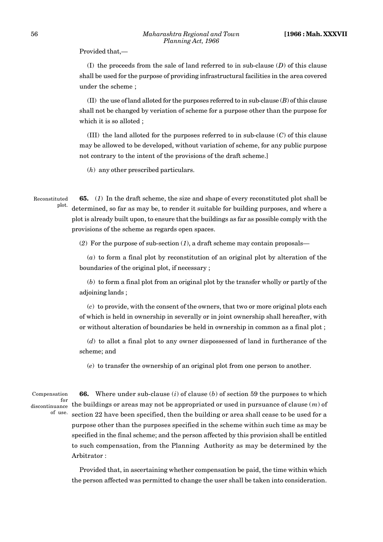Provided that,—

(I) the proceeds from the sale of land referred to in sub-clause (*D*) of this clause shall be used for the purpose of providing infrastructural facilities in the area covered under the scheme ;

(II) the use of land alloted for the purposes referred to in sub-clause (*B*) of this clause shall not be changed by veriation of scheme for a purpose other than the purpose for which it is so alloted :

(III) the land alloted for the purposes referred to in sub-clause (*C*) of this clause may be allowed to be developed, without variation of scheme, for any public purpose not contrary to the intent of the provisions of the draft scheme.]

(*h*) any other prescribed particulars.

**65.** (*1*) In the draft scheme, the size and shape of every reconstituted plot shall be determined, so far as may be, to render it suitable for building purposes, and where a plot is already built upon, to ensure that the buildings as far as possible comply with the provisions of the scheme as regards open spaces. Reconstituted plot.

(*2*) For the purpose of sub-section (*1*), a draft scheme may contain proposals—

(*a*) to form a final plot by reconstitution of an original plot by alteration of the boundaries of the original plot, if necessary ;

(*b*) to form a final plot from an original plot by the transfer wholly or partly of the adjoining lands ;

(*c*) to provide, with the consent of the owners, that two or more original plots each of which is held in ownership in severally or in joint ownership shall hereafter, with or without alteration of boundaries be held in ownership in common as a final plot ;

(*d*) to allot a final plot to any owner dispossessed of land in furtherance of the scheme; and

(*e*) to transfer the ownership of an original plot from one person to another.

Compensation discontinuance of use.

**66.** Where under sub-clause (*i*) of clause (*b*) of section 59 the purposes to which  $_{\rm{nce}}^{\rm{for}}$  the buildings or areas may not be appropriated or used in pursuance of clause  $\left( m\right)$  of section 22 have been specified, then the building or area shall cease to be used for a purpose other than the purposes specified in the scheme within such time as may be specified in the final scheme; and the person affected by this provision shall be entitled to such compensation, from the Planning Authority as may be determined by the Arbitrator :

Provided that, in ascertaining whether compensation be paid, the time within which the person affected was permitted to change the user shall be taken into consideration.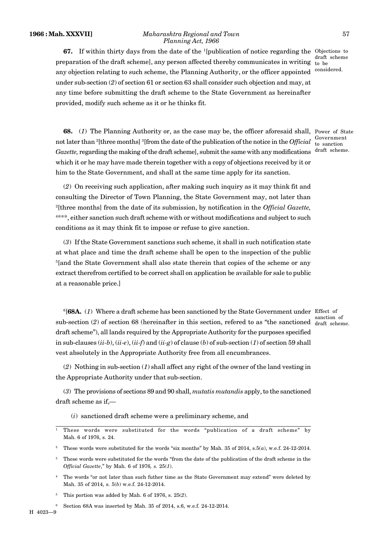#### **1966 : Mah. XXXVII]** *Maharashtra Regional and Town* 57 *Planning Act, 1966*

**67.** If within thirty days from the date of the <sup>1</sup>[publication of notice regarding the Objections to preparation of the draft scheme], any person affected thereby communicates in writing any objection relating to such scheme, the Planning Authority, or the officer appointed under sub-section (*2*) of section 61 or section 63 shall consider such objection and may, at any time before submitting the draft scheme to the State Government as hereinafter provided, modify such scheme as it or he thinks fit.

draft scheme to be considered.

**68.** (1) The Planning Authority or, as the case may be, the officer aforesaid shall, Power of State not later than <sup>2</sup>[three months] <sup>3</sup>[from the date of the publication of the notice in the *Official*  $\frac{Govername{h}}{G}$ Gazette, regarding the making of the draft scheme], submit the same with any modifications draft scheme. to sanction

(*2*) On receiving such application, after making such inquiry as it may think fit and consulting the Director of Town Planning, the State Government may, not later than <sup>2</sup>[three months] from the date of its submission, by notification in the *Official Gazette,* <sup>4</sup>\*\*\*, either sanction such draft scheme with or without modifications and subject to such conditions as it may think fit to impose or refuse to give sanction.

which it or he may have made therein together with a copy of objections received by it or

him to the State Government, and shall at the same time apply for its sanction.

(*3*) If the State Government sanctions such scheme, it shall in such notification state at what place and time the draft scheme shall be open to the inspection of the public <sup>5</sup>[and the State Government shall also state therein that copies of the scheme or any extract therefrom certified to be correct shall on application be available for sale to public at a reasonable price.]

<sup>6</sup>[**68A.** (*1*) Where a draft scheme has been sanctioned by the State Government under Effect of sub-section  $(2)$  of section 68 (hereinafter in this section, referred to as "the sanctioned  $\frac{d}{dr}$  scheme. draft scheme"), all lands required by the Appropriate Authority for the purposes specified in sub-clauses (*ii-b*), (*ii-e*), (*ii-f*) and (*ii-g*) of clause (*b*) of sub-section (*1*) of section 59 shall vest absolutely in the Appropriate Authority free from all encumbrances.

(*2*) Nothing in sub-section (*1*) shall affect any right of the owner of the land vesting in the Appropriate Authority under that sub-section.

(*3*) The provisions of sections 89 and 90 shall, *mutatis mutandis* apply, to the sanctioned draft scheme as if,—

(*i*) sanctioned draft scheme were a preliminary scheme, and

<sup>4</sup> The words "or not later than such futher time as the State Government may extend" were deleted by Mah. 35 of 2014, s. 5(*b*) w.e.f. 24-12-2014.

<sup>6</sup> Section 68A was inserted by Mah. 35 of 2014, s.6, w.e.f. 24-12-2014.

sanction of

<sup>1</sup> These words were substituted for the words "publication of a draft scheme" by Mah. 6 of 1976, s. 24.

<sup>2</sup> These words were substituted for the words "six months" by Mah. 35 of 2014, s.5(*a*), w.e.f. 24-12-2014.

<sup>&</sup>lt;sup>3</sup> These words were substituted for the words "from the date of the publication of the draft scheme in the *Official Gazette*," by Mah. 6 of 1976*, s.* 25(*1*).

<sup>5</sup> This portion was added by Mah. 6 of 1976, s. 25(*2*).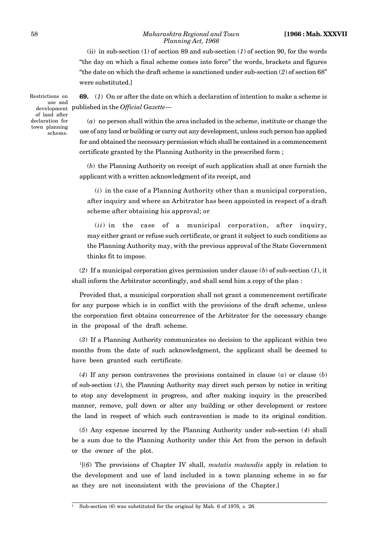#### 58 *Maharashtra Regional and Town* **[1966 : Mah. XXXVII** *Planning Act, 1966*

(ii) in sub-section (1) of section 89 and sub-section (*1*) of section 90, for the words "the day on which a final scheme comes into force" the words, brackets and figures "the date on which the draft scheme is sanctioned under sub-section (*2*) of section 68" were substituted.]

Restrictions on development Pub of land after declaration for town planning scheme.

**69.** (*1*) On or after the date on which a declaration of intention to make a scheme is use and<br><sub>lopment</sub> published in the *Official Gazette—* 

> (*a*) no person shall within the area included in the scheme, institute or change the use of any land or building or carry out any development, unless such person has applied for and obtained the necessary permission which shall be contained in a commencement certificate granted by the Planning Authority in the prescribed form ;

> (*b*) the Planning Authority on receipt of such application shall at once furnish the applicant with a written acknowledgment of its receipt, and

(*i*) in the case of a Planning Authority other than a municipal corporation, after inquiry and where an Arbitrator has been appointed in respect of a draft scheme after obtaining his approval; or

(*ii*) in the case of a municipal corporation, after inquiry, may either grant or refuse such certificate, or grant it subject to such conditions as the Planning Authority may, with the previous approval of the State Government thinks fit to impose.

(*2*) If a municipal corporation gives permission under clause (*b*) of sub-section (*1*), it shall inform the Arbitrator accordingly, and shall send him a copy of the plan :

Provided that, a municipal corporation shall not grant a commencement certificate for any purpose which is in conflict with the provisions of the draft scheme, unless the corporation first obtains concurrence of the Arbitrator for the necessary change in the proposal of the draft scheme.

(*3*) If a Planning Authority communicates no decision to the applicant within two months from the date of such acknowledgment, the applicant shall be deemed to have been granted such certificate.

(*4*) If any person contravenes the provisions contained in clause (*a*) or clause (*b*) of sub-section (*1*), the Planning Authority may direct such person by notice in writing to stop any development in progress, and after making inquiry in the prescribed manner, remove, pull down or alter any building or other development or restore the land in respect of which such contravention is made to its original condition.

(*5*) Any expense incurred by the Planning Authority under sub-section (*4*) shall be a sum due to the Planning Authority under this Act from the person in default or the owner of the plot.

<sup>1</sup>[(*6*) The provisions of Chapter IV shall, *mutatis mutandis* apply in relation to the development and use of land included in a town planning scheme in so far as they are not inconsistent with the provisions of the Chapter.]

<sup>1</sup> Sub-section (*6*) was substituted for the original by Mah. 6 of 1976*, s.* 26.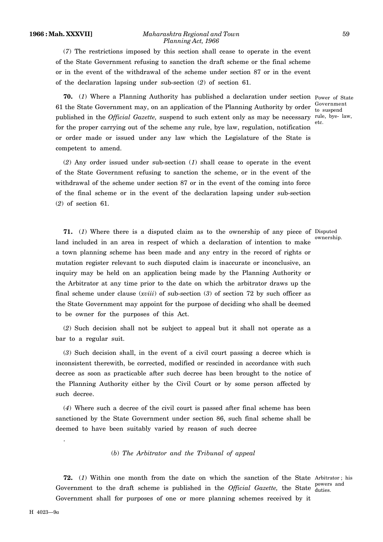#### **1966 : Mah. XXXVII]** *Maharashtra Regional and Town* 59 *Planning Act, 1966*

(*7*) The restrictions imposed by this section shall cease to operate in the event of the State Government refusing to sanction the draft scheme or the final scheme or in the event of the withdrawal of the scheme under section 87 or in the event of the declaration lapsing under sub-section (*2*) of section 61.

**70.** (*1*) Where a Planning Authority has published a declaration under section Power of State 61 the State Government may, on an application of the Planning Authority by order  $\frac{\text{Government}}{\text{to }\text{ground}}$ published in the *Official Gazette*, suspend to such extent only as may be necessary rule, bye-law, for the proper carrying out of the scheme any rule, bye law, regulation, notification or order made or issued under any law which the Legislature of the State is competent to amend.

(*2*) Any order issued under sub-section (*1*) shall cease to operate in the event of the State Government refusing to sanction the scheme, or in the event of the withdrawal of the scheme under section 87 or in the event of the coming into force of the final scheme or in the event of the declaration lapsing under sub-section (*2*) of section 61.

**71.** (*1*) Where there is a disputed claim as to the ownership of any piece of Disputed land included in an area in respect of which a declaration of intention to make a town planning scheme has been made and any entry in the record of rights or mutation register relevant to such disputed claim is inaccurate or inconclusive, an inquiry may be held on an application being made by the Planning Authority or the Arbitrator at any time prior to the date on which the arbitrator draws up the final scheme under clause (*xviii*) of sub-section (*3*) of section 72 by such officer as the State Government may appoint for the purpose of deciding who shall be deemed to be owner for the purposes of this Act.

(*2*) Such decision shall not be subject to appeal but it shall not operate as a bar to a regular suit.

(*3*) Such decision shall, in the event of a civil court passing a decree which is inconsistent therewith, be corrected, modified or rescinded in accordance with such decree as soon as practicable after such decree has been brought to the notice of the Planning Authority either by the Civil Court or by some person affected by such decree.

(*4*) Where such a decree of the civil court is passed after final scheme has been sanctioned by the State Government under section 86, such final scheme shall be deemed to have been suitably varied by reason of such decree

# (*b*) *The Arbitrator and the Tribunal of appeal*

**72.** (*1*) Within one month from the date on which the sanction of the State Arbitrator ; his Government to the draft scheme is published in the *Official Gazette*, the State <sub>duties</sub> same Government shall for purposes of one or more planning schemes received by it duties.

.

to suspend

etc.

ownership.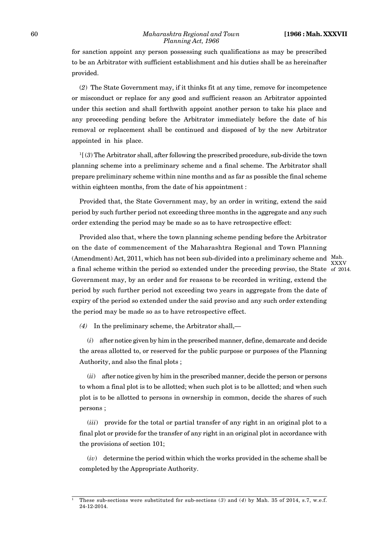#### 60 *Maharashtra Regional and Town* **[1966 : Mah. XXXVII** *Planning Act, 1966*

for sanction appoint any person possessing such qualifications as may be prescribed to be an Arbitrator with sufficient establishment and his duties shall be as hereinafter provided.

(*2*) The State Government may, if it thinks fit at any time, remove for incompetence or misconduct or replace for any good and sufficient reason an Arbitrator appointed under this section and shall forthwith appoint another person to take his place and any proceeding pending before the Arbitrator immediately before the date of his removal or replacement shall be continued and disposed of by the new Arbitrator appointed in his place.

 $<sup>1</sup>$  (3) The Arbitrator shall, after following the prescribed procedure, sub-divide the town</sup> planning scheme into a preliminary scheme and a final scheme. The Arbitrator shall prepare preliminary scheme within nine months and as far as possible the final scheme within eighteen months, from the date of his appointment :

Provided that, the State Government may, by an order in writing, extend the said period by such further period not exceeding three months in the aggregate and any such order extending the period may be made so as to have retrospective effect:

Provided also that, where the town planning scheme pending before the Arbitrator on the date of commencement of the Maharashtra Regional and Town Planning (Amendment) Act, 2011, which has not been sub-divided into a preliminary scheme and Mah. a final scheme within the period so extended under the preceding proviso, the State of 2014.Government may, by an order and for reasons to be recorded in writing, extend the period by such further period not exceeding two years in aggregate from the date of expiry of the period so extended under the said proviso and any such order extending the period may be made so as to have retrospective effect.

XXXV

*(4)* In the preliminary scheme, the Arbitrator shall,—

(*i*) after notice given by him in the prescribed manner, define, demarcate and decide the areas allotted to, or reserved for the public purpose or purposes of the Planning Authority, and also the final plots ;

(*ii*) after notice given by him in the prescribed manner, decide the person or persons to whom a final plot is to be allotted; when such plot is to be allotted; and when such plot is to be allotted to persons in ownership in common, decide the shares of such persons ;

(*iii*) provide for the total or partial transfer of any right in an original plot to a final plot or provide for the transfer of any right in an original plot in accordance with the provisions of section 101;

(*iv*) determine the period within which the works provided in the scheme shall be completed by the Appropriate Authority.

<sup>1</sup> These sub-sections were substituted for sub-sections (*3*) and (*4*) by Mah. 35 of 2014, s.7, w.e.f. 24-12-2014.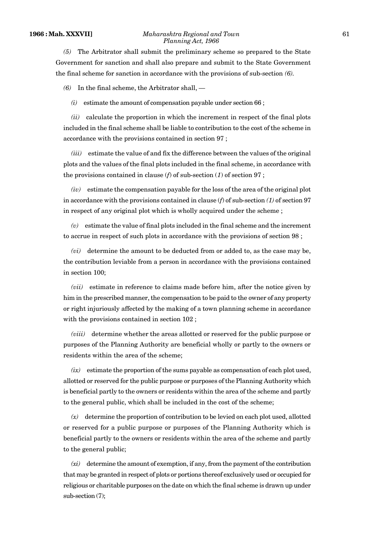#### **1966 : Mah. XXXVII]** *Maharashtra Regional and Town* 61 *Planning Act, 1966*

*(5)* The Arbitrator shall submit the preliminary scheme so prepared to the State Government for sanction and shall also prepare and submit to the State Government the final scheme for sanction in accordance with the provisions of sub-section *(6).*

*(6)* In the final scheme, the Arbitrator shall, —

*(i)* estimate the amount of compensation payable under section 66 ;

*(ii)* calculate the proportion in which the increment in respect of the final plots included in the final scheme shall be liable to contribution to the cost of the scheme in accordance with the provisions contained in section 97 ;

*(iii)* estimate the value of and fix the difference between the values of the original plots and the values of the final plots included in the final scheme, in accordance with the provisions contained in clause ( $f$ ) of sub-section ( $1$ ) of section 97;

*(iv)* estimate the compensation payable for the loss of the area of the original plot in accordance with the provisions contained in clause (*f*) of sub-section *(1)* of section 97 in respect of any original plot which is wholly acquired under the scheme ;

*(v)* estimate the value of final plots included in the final scheme and the increment to accrue in respect of such plots in accordance with the provisions of section 98 ;

*(vi)* determine the amount to be deducted from or added to, as the case may be, the contribution leviable from a person in accordance with the provisions contained in section 100;

*(vii)* estimate in reference to claims made before him, after the notice given by him in the prescribed manner, the compensation to be paid to the owner of any property or right injuriously affected by the making of a town planning scheme in accordance with the provisions contained in section 102 ;

*(viii)* determine whether the areas allotted or reserved for the public purpose or purposes of the Planning Authority are beneficial wholly or partly to the owners or residents within the area of the scheme;

*(ix)* estimate the proportion of the sums payable as compensation of each plot used, allotted or reserved for the public purpose or purposes of the Planning Authority which is beneficial partly to the owners or residents within the area of the scheme and partly to the general public, which shall be included in the cost of the scheme;

*(x)* determine the proportion of contribution to be levied on each plot used, allotted or reserved for a public purpose or purposes of the Planning Authority which is beneficial partly to the owners or residents within the area of the scheme and partly to the general public;

*(xi)* determine the amount of exemption, if any, from the payment of the contribution that may be granted in respect of plots or portions thereof exclusively used or occupied for religious or charitable purposes on the date on which the final scheme is drawn up under sub-section (7);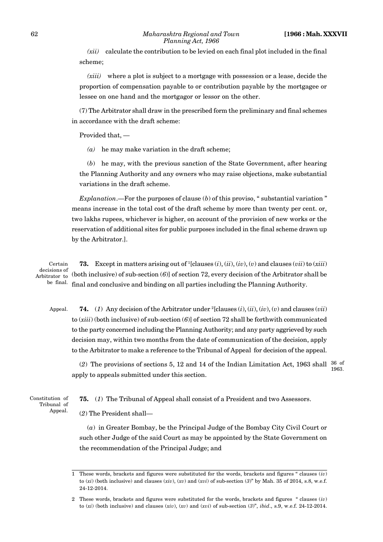*(xii)* calculate the contribution to be levied on each final plot included in the final scheme;

*(xiii)* where a plot is subject to a mortgage with possession or a lease, decide the proportion of compensation payable to or contribution payable by the mortgagee or lessee on one hand and the mortgagor or lessor on the other.

(7) The Arbitrator shall draw in the prescribed form the preliminary and final schemes in accordance with the draft scheme:

Provided that, —

*(a)* he may make variation in the draft scheme;

(*b*) he may, with the previous sanction of the State Government, after hearing the Planning Authority and any owners who may raise objections, make substantial variations in the draft scheme.

*Explanation*.—For the purposes of clause (*b*) of this proviso, " substantial variation " means increase in the total cost of the draft scheme by more than twenty per cent. or, two lakhs rupees, whichever is higher, on account of the provision of new works or the reservation of additional sites for public purposes included in the final scheme drawn up by the Arbitrator.].

**73.** Except in matters arising out of <sup>1</sup>[clauses (*i*), (*ii*), (*iv*), (*v*) and clauses (*vii*) to (*xiii*) (both inclusive) of sub-section (*6*)] of section 72, every decision of the Arbitrator shall be final and conclusive and binding on all parties including the Planning Authority. Certain decisions of Arbitrator to be final.

**74.** (*1*) Any decision of the Arbitrator under <sup>2</sup>[clauses (*i*), (*ii*), (*iv*), (*v*) and clauses (*vii*) to (*xiii*) (both inclusive) of sub-section (*6*)] of section 72 shall be forthwith communicated to the party concerned including the Planning Authority; and any party aggrieved by such decision may, within two months from the date of communication of the decision, apply to the Arbitrator to make a reference to the Tribunal of Appeal for decision of the appeal. Appeal.

(2) The provisions of sections 5, 12 and 14 of the Indian Limitation Act, 1963 shall  $\frac{36}{1000}$  of apply to appeals submitted under this section. 1963.

Constitution of Tribunal of Appeal. **75.** (*1*) The Tribunal of Appeal shall consist of a President and two Assessors.

(*2*) The President shall—

(*a*) in Greater Bombay, be the Principal Judge of the Bombay City Civil Court or such other Judge of the said Court as may be appointed by the State Government on the recommendation of the Principal Judge; and

<sup>1</sup> These words, brackets and figures were substituted for the words, brackets and figures " clauses (*iv*) to (*xi*) (both inclusive) and clauses (*xiv*), (*xv*) and (*xvi*) of sub-section (*3*)" by Mah. 35 of 2014, s.8, w.e.f. 24-12-2014.

<sup>2</sup> These words, brackets and figures were substituted for the words, brackets and figures " clauses (*iv*) to (*xi*) (both inclusive) and clauses (*xiv*), (*xv*) and (*xvi*) of sub-section (*3*)", *ibid*., s.9, w.e.f. 24-12-2014.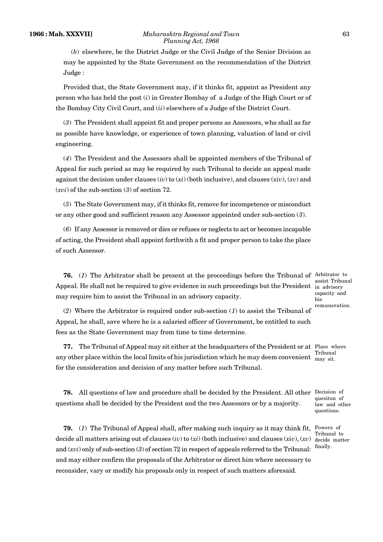(*b*) elsewhere, be the District Judge or the Civil Judge of the Senior Division as may be appointed by the State Government on the recommendation of the District Judge :

Provided that, the State Government may, if it thinks fit, appoint as President any person who has held the post (*i*) in Greater Bombay of a Judge of the High Court or of the Bombay City Civil Court, and (*ii*) elsewhere of a Judge of the District Court.

(*3*) The President shall appoint fit and proper persons as Assessors, who shall as far as possible have knowledge, or experience of town planning, valuation of land or civil engineering.

(*4*) The President and the Assessors shall be appointed members of the Tribunal of Appeal for such period as may be required by such Tribunal to decide an appeal made against the decision under clauses (*iv*) to (*xi*) (both inclusive), and clauses (*xiv*), (*xv*) and (*xvi*) of the sub-section (*3*) of section 72.

(*5*) The State Government may, if it thinks fit, remove for incompetence or misconduct or any other good and sufficient reason any Assessor appointed under sub-section (*3*).

(*6*) If any Assessor is removed or dies or refuses or neglects to act or becomes incapable of acting, the President shall appoint forthwith a fit and proper person to take the place of such Assessor.

**76.** (1) The Arbitrator shall be present at the proceedings before the Tribunal of Arbitrator to Appeal. He shall not be required to give evidence in such proceedings but the President  $\,$  <sub>in advisory</sub> may require him to assist the Tribunal in an advisory capacity.

assist Tribunal capacity and his remuneration.

(*2*) Where the Arbitrator is required under sub-section (*1*) to assist the Tribunal of Appeal, he shall, save where he is a salaried officer of Government, be entitled to such fees as the State Government may from time to time determine.

**77.** The Tribunal of Appeal may sit either at the headquarters of the President or at Place where any other place within the local limits of his jurisdiction which he may deem convenient  $\frac{m}{m}$  sit. for the consideration and decision of any matter before such Tribunal. Tribunal

**78.** All questions of law and procedure shall be decided by the President. All other Decision of questions shall be decided by the President and the two Assessors or by a majority.

**79.** (*1*) The Tribunal of Appeal shall, after making such inquiry as it may think fit, Powers of decide all matters arising out of clauses (*iv*) to (*xi*) (both inclusive) and clauses (*xiv*), (*xv*) and (*xvi*) only of sub-section (*3*) of section 72 in respect of appeals referred to the Tribunal: and may either confirm the proposals of the Arbitrator or direct him where necessary to reconsider, vary or modify his proposals only in respect of such matters aforesaid.

Tribunal to decide matter finally.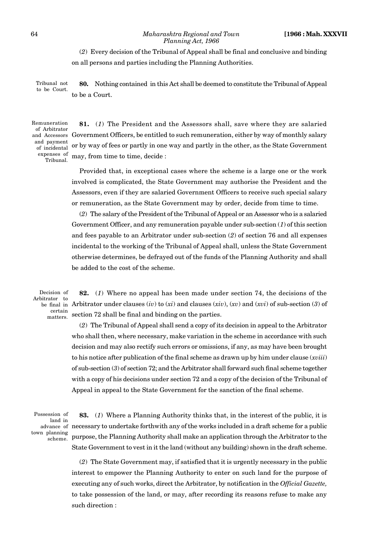#### 64 *Maharashtra Regional and Town* **[1966 : Mah. XXXVII** *Planning Act, 1966*

(*2*) Every decision of the Tribunal of Appeal shall be final and conclusive and binding on all persons and parties including the Planning Authorities.

**80.** Nothing contained in this Act shall be deemed to constitute the Tribunal of Appeal to be a Court. Tribunal not to be Court.

Remuneration of Arbitrator and payment of incidental expenses of Tribunal.

**81.** (*1*) The President and the Assessors shall, save where they are salaried and Accessors  $\,$  Government Officers, be entitled to such remuneration, either by way of monthly salary or by way of fees or partly in one way and partly in the other, as the State Government may, from time to time, decide :

> Provided that, in exceptional cases where the scheme is a large one or the work involved is complicated, the State Government may authorise the President and the Assessors, even if they are salaried Government Officers to receive such special salary or remuneration, as the State Government may by order, decide from time to time.

> (*2*) The salary of the President of the Tribunal of Appeal or an Assessor who is a salaried Government Officer, and any remuneration payable under sub-section (*1*) of this section and fees payable to an Arbitrator under sub-section (*2*) of section 76 and all expenses incidental to the working of the Tribunal of Appeal shall, unless the State Government otherwise determines, be defrayed out of the funds of the Planning Authority and shall be added to the cost of the scheme.

Decision of Arbitrator to be final in certain matters.

**82.** (*1*) Where no appeal has been made under section 74, the decisions of the Arbitrator under clauses (*iv*) to (*xi*) and clauses (*xiv*), (*xv*) and (*xvi*) of sub-section (*3*) of section 72 shall be final and binding on the parties.

(*2*) The Tribunal of Appeal shall send a copy of its decision in appeal to the Arbitrator who shall then, where necessary, make variation in the scheme in accordance with such decision and may also rectify such errors or omissions, if any, as may have been brought to his notice after publication of the final scheme as drawn up by him under clause (*xviii*) of sub-section (*3*) of section 72; and the Arbitrator shall forward such final scheme together with a copy of his decisions under section 72 and a copy of the decision of the Tribunal of Appeal in appeal to the State Government for the sanction of the final scheme.

Possession of land in town planning scheme.

**83.** (*1*) Where a Planning Authority thinks that, in the interest of the public, it is advance of necessary to undertake forthwith any of the works included in a draft scheme for a public purpose, the Planning Authority shall make an application through the Arbitrator to the State Government to vest in it the land (without any building) shown in the draft scheme.

(*2*) The State Government may, if satisfied that it is urgently necessary in the public interest to empower the Planning Authority to enter on such land for the purpose of executing any of such works, direct the Arbitrator, by notification in the *Official Gazette,* to take possession of the land, or may, after recording its reasons refuse to make any such direction :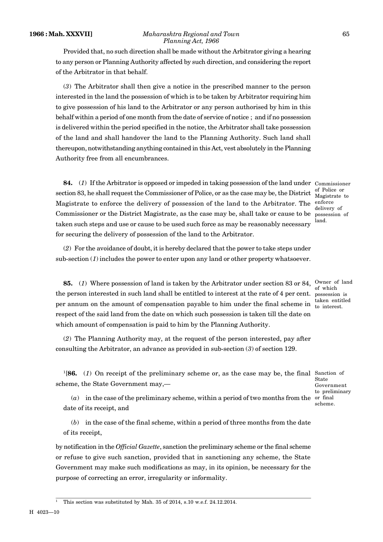Provided that, no such direction shall be made without the Arbitrator giving a hearing to any person or Planning Authority affected by such direction, and considering the report of the Arbitrator in that behalf.

(*3*) The Arbitrator shall then give a notice in the prescribed manner to the person interested in the land the possession of which is to be taken by Arbitrator requiring him to give possession of his land to the Arbitrator or any person authorised by him in this behalf within a period of one month from the date of service of notice ; and if no possession is delivered within the period specified in the notice, the Arbitrator shall take possession of the land and shall handover the land to the Planning Authority. Such land shall thereupon, notwithstanding anything contained in this Act, vest absolutely in the Planning Authority free from all encumbrances.

**84.** (*1*) If the Arbitrator is opposed or impeded in taking possession of the land under Commissioner section 83, he shall request the Commissioner of Police, or as the case may be, the District  $\frac{0}{\text{Mooistrate}}$  to Magistrate to enforce the delivery of possession of the land to the Arbitrator. The enforce Commissioner or the District Magistrate, as the case may be, shall take or cause to be taken such steps and use or cause to be used such force as may be reasonably necessary for securing the delivery of possession of the land to the Arbitrator.

Magistrate to delivery of possession of land.

of which

taken entitled

(*2*) For the avoidance of doubt, it is hereby declared that the power to take steps under sub-section (1) includes the power to enter upon any land or other property whatsoever.

**85.** (1) Where possession of land is taken by the Arbitrator under section 83 or 84, <sup>Owner</sup> of land the person interested in such land shall be entitled to interest at the rate of 4 per cent. possession is per annum on the amount of compensation payable to him under the final scheme in  $\frac{t}{t_0}$  interest. respect of the said land from the date on which such possession is taken till the date on which amount of compensation is paid to him by the Planning Authority.

(*2*) The Planning Authority may, at the request of the person interested, pay after consulting the Arbitrator, an advance as provided in sub-section (*3*) of section 129.

<sup>1</sup>[**86.** (*1*) On receipt of the preliminary scheme or, as the case may be, the final Sanction of scheme, the State Government may,—

State Government to preliminary scheme.

(*a*) in the case of the preliminary scheme, within a period of two months from the or final date of its receipt, and

(*b*) in the case of the final scheme, within a period of three months from the date of its receipt,

by notification in the *Official Gazette*, sanction the preliminary scheme or the final scheme or refuse to give such sanction, provided that in sanctioning any scheme, the State Government may make such modifications as may, in its opinion, be necessary for the purpose of correcting an error, irregularity or informality.

<sup>1</sup> This section was substituted by Mah. 35 of 2014, s.10 w.e.f. 24.12.2014.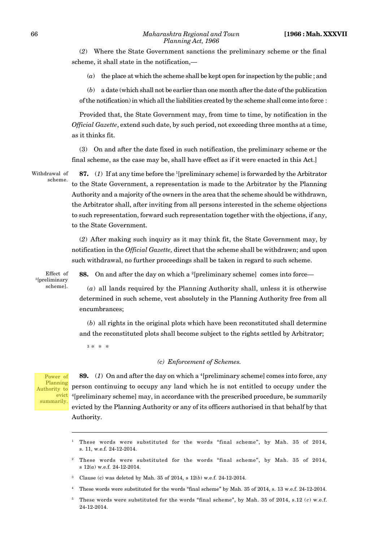(*2*) Where the State Government sanctions the preliminary scheme or the final scheme, it shall state in the notification,—

(*a*) the place at which the scheme shall be kept open for inspection by the public ; and

(*b*) a date (which shall not be earlier than one month after the date of the publication of the notification) in which all the liabilities created by the scheme shall come into force :

Provided that, the State Government may, from time to time, by notification in the *Official Gazette*, extend such date, by such period, not exceeding three months at a time, as it thinks fit.

(3) On and after the date fixed in such notification, the preliminary scheme or the final scheme, as the case may be, shall have effect as if it were enacted in this Act.]

Withdrawal of scheme.

**87.** (*1*) If at any time before the <sup>1</sup>[preliminary scheme] is forwarded by the Arbitrator to the State Government, a representation is made to the Arbitrator by the Planning Authority and a majority of the owners in the area that the scheme should be withdrawn, the Arbitrator shall, after inviting from all persons interested in the scheme objections to such representation, forward such representation together with the objections, if any, to the State Government.

(*2*) After making such inquiry as it may think fit, the State Government may, by notification in the *Official Gazette,* direct that the scheme shall be withdrawn; and upon such withdrawal, no further proceedings shall be taken in regard to such scheme.

Effect of <sup>5</sup>[preliminary scheme].

**88.** On and after the day on which a <sup>2</sup>[preliminary scheme] comes into force—

(*a*) all lands required by the Planning Authority shall, unless it is otherwise determined in such scheme, vest absolutely in the Planning Authority free from all encumbrances;

(*b*) all rights in the original plots which have been reconstituted shall determine and the reconstituted plots shall become subject to the rights settled by Arbitrator;

3 \* \* \*

#### *(c) Enforcement of Schemes.*

Power of Planning Authority to evict summarily.

**89.** (*1*) On and after the day on which a <sup>4</sup>[preliminary scheme] comes into force, any person continuing to occupy any land which he is not entitled to occupy under the <sup>4</sup>[preliminary scheme] may, in accordance with the prescribed procedure, be summarily evicted by the Planning Authority or any of its officers authorised in that behalf by that Authority.

<sup>4</sup> These words were substituted for the words "final scheme" by Mah. 35 of 2014, s. 13 w.e.f. 24-12-2014.

<sup>1</sup> These words were substituted for the words "final scheme", by Mah. 35 of 2014, s. 11, w.e.f. 24-12-2014.

<sup>2</sup> These words were substituted for the words "final scheme", by Mah. 35 of 2014, s 12(*a*) w.e.f. 24-12-2014.

<sup>3</sup> Clause (c) was deleted by Mah. 35 of 2014, s 12(*b*) w.e.f. 24-12-2014.

 $5$  These words were substituted for the words "final scheme", by Mah. 35 of 2014, s.12  $(c)$  w.e.f. 24-12-2014.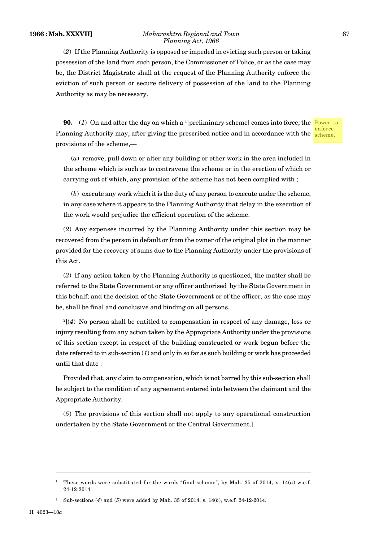#### **1966 : Mah. XXXVII]** *Maharashtra Regional and Town* 67 *Planning Act, 1966*

(*2*) If the Planning Authority is opposed or impeded in evicting such person or taking possession of the land from such person, the Commissioner of Police, or as the case may be, the District Magistrate shall at the request of the Planning Authority enforce the eviction of such person or secure delivery of possession of the land to the Planning Authority as may be necessary.

**90.** (1) On and after the day on which a <sup>1</sup>[preliminary scheme] comes into force, the Power to Planning Authority may, after giving the prescribed notice and in accordance with the scheme. provisions of the scheme,—

enforce

(*a*) remove, pull down or alter any building or other work in the area included in the scheme which is such as to contravene the scheme or in the erection of which or carrying out of which, any provision of the scheme has not been complied with ;

(*b*) execute any work which it is the duty of any person to execute under the scheme, in any case where it appears to the Planning Authority that delay in the execution of the work would prejudice the efficient operation of the scheme.

(*2*) Any expenses incurred by the Planning Authority under this section may be recovered from the person in default or from the owner of the original plot in the manner provided for the recovery of sums due to the Planning Authority under the provisions of this Act.

(*3*) If any action taken by the Planning Authority is questioned, the matter shall be referred to the State Government or any officer authorised by the State Government in this behalf; and the decision of the State Government or of the officer, as the case may be, shall be final and conclusive and binding on all persons.

 $^{2}$ [(*4*) No person shall be entitled to compensation in respect of any damage, loss or injury resulting from any action taken by the Appropriate Authority under the provisions of this section except in respect of the building constructed or work begun before the date referred to in sub-section  $(1)$  and only in so far as such building or work has proceeded until that date :

Provided that, any claim to compensation, which is not barred by this sub-section shall be subject to the condition of any agreement entered into between the claimant and the Appropriate Authority.

(*5*) The provisions of this section shall not apply to any operational construction undertaken by the State Government or the Central Government.]

<sup>&</sup>lt;sup>1</sup> These words were substituted for the words "final scheme", by Mah. 35 of 2014, s.  $14(a)$  w.e.f. 24-12-2014.

<sup>2</sup> Sub-sections (*4*) and (*5*) were added by Mah. 35 of 2014, s. 14(*b*), w.e.f. 24-12-2014.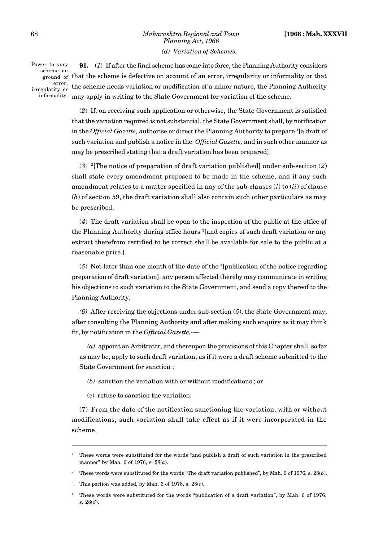# 68 *Maharashtra Regional and Town* **[1966 : Mah. XXXVII** *Planning Act, 1966 (d) Variation of Schemes.*

Power to vary scheme on error, irregularity or

**91.** (*1*) If after the final scheme has come into force, the Planning Authority considers ground of that the scheme is defective on account of an error, irregularity or informality or that the scheme needs variation or modification of a minor nature, the Planning Authority informality. may apply in writing to the State Government for variation of the scheme.

> (*2*) If, on receiving such application or otherwise, the State Government is satisfied that the variation required is not substantial, the State Government shall, by notification in the *Official Gazette,* authorise or direct the Planning Authority to prepare <sup>1</sup>[a draft of such variation and publish a notice in the *Official Gazette,* and in such other manner as may be prescribed stating that a draft variation has been prepared].

(*3*) <sup>2</sup>[The notice of preparation of draft variation published] under sub-seciton (*2*) shall state every amendment proposed to be made in the scheme, and if any such amendment relates to a matter specified in any of the sub-clauses (*i*) to (*ii*) of clause (*b*) of section 59, the draft variation shall also contain such other particulars as may be prescribed.

(*4*) The draft variation shall be open to the inspection of the public at the office of the Planning Authority during office hours <sup>3</sup>[and copies of such draft variation or any extract therefrom certified to be correct shall be available for sale to the public at a reasonable price.]

(*5*) Not later than one month of the date of the <sup>4</sup>[publication of the notice regarding preparation of draft variation], any person affected thereby may communicate in writing his objections to such variation to the State Government, and send a copy thereof to the Planning Authority.

*(6)* After receiving the objections under sub-section (*5*), the State Government may, after consulting the Planning Authority and after making such enquiry as it may think fit, by notification in the *Official Gazette,-—*

*(a)* appoint an Arbitrator, and thereupon the provisions of this Chapter shall, so far as may be, apply to such draft variation, as if it were a draft scheme submitted to the State Government for sanction ;

- *(b)* sanction the variation with or without modifications ; or
- (c) refuse to sanction the variation.

(7) From the date of the notification sanctioning the variation, with or without modifications, such variation shall take effect as if it were incorporated in the scheme.

<sup>1</sup> These words were substituted for the words "and publish a draft of such variation in the prescribed manner" by Mah. 6 of 1976, s. 28(*a*).

<sup>2</sup> These words were substituted for the words "The draft variation published", by Mah. 6 of 1976, s. 28(*b*).

This portion was added, by Mah. 6 of 1976, s.  $28(c)$ .

<sup>4</sup> These words were substituted for the words "publication of a draft variation", by Mah. 6 of 1976, s. 28(*d*).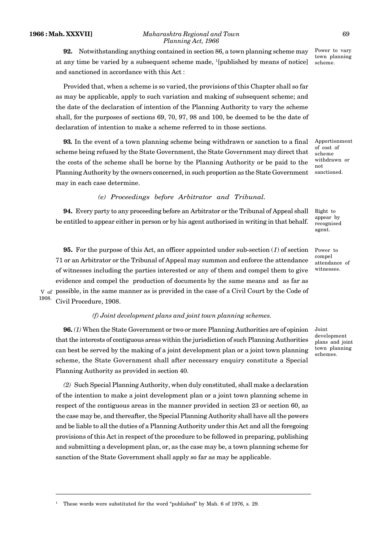**92.** Notwithstanding anything contained in section 86, a town planning scheme may at any time be varied by a subsequent scheme made,  $\frac{1}{2}$ [published by means of notice] and sanctioned in accordance with this Act :

Provided that, when a scheme is so varied, the provisions of this Chapter shall so far as may be applicable, apply to such variation and making of subsequent scheme; and the date of the declaration of intention of the Planning Authority to vary the scheme shall, for the purposes of sections 69, 70, 97, 98 and 100, be deemed to be the date of declaration of intention to make a scheme referred to in those sections.

**93***.* In the event of a town planning scheme being withdrawn or sanction to a final scheme being refused by the State Government, the State Government may direct that the costs of the scheme shall be borne by the Planning Authority or be paid to the Planning Authority by the owners concerned, in such proportion as the State Government may in each case determine.

# *(e) Proceedings before Arbitrator and Tribunal.*

**94.** Every party to any proceeding before an Arbitrator or the Tribunal of Appeal shall be entitled to appear either in person or by his agent authorised in writing in that behalf.

**95.** For the purpose of this Act, an officer appointed under sub-section (*1*) of section 71 or an Arbitrator or the Tribunal of Appeal may summon and enforce the attendance of witnesses including the parties interested or any of them and compel them to give evidence and compel the production of documents by the same means and as far as  $_{\rm V}$  <sub>of</sub> possible, in the same manner as is provided in the case of a Civil Court by the Code of Civil Procedure, 1908.

1908.

# *(f) Joint development plans and joint town planning schemes.*

**96.** *(1)* When the State Government or two or more Planning Authorities are of opinion that the interests of contiguous areas within the jurisdiction of such Planning Authorities can best be served by the making of a joint development plan or a joint town planning scheme, the State Government shall after necessary enquiry constitute a Special Planning Authority as provided in section 40.

*(2)* Such Special Planning Authority, when duly constituted, shall make a declaration of the intention to make a joint development plan or a joint town planning scheme in respect of the contiguous areas in the manner provided in section 23 or section 60, as the case may be, and thereafter, the Special Planning Authority shall have all the powers and be liable to all the duties of a Planning Authority under this Act and all the foregoing provisions of this Act in respect of the procedure to be followed in preparing, publishing and submitting a development plan, or, as the case may be, a town planning scheme for sanction of the State Government shall apply so far as may be applicable.

Power to vary town planning scheme.

Apportionment of cost of scheme withdrawn or not sanctioned.

Right to appear by recognised agent.

Power to compel attendance of witnesses.

Joint development plans and joint town planning schemes.

<sup>1</sup> These words were substituted for the word "published" by Mah. 6 of 1976, s. 29.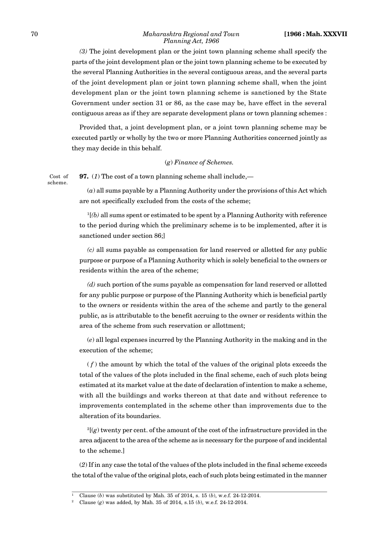*(3)* The joint development plan or the joint town planning scheme shall specify the parts of the joint development plan or the joint town planning scheme to be executed by the several Planning Authorities in the several contiguous areas, and the several parts of the joint development plan or joint town planning scheme shall, when the joint development plan or the joint town planning scheme is sanctioned by the State Government under section 31 or 86, as the case may be, have effect in the several contiguous areas as if they are separate development plans or town planning schemes :

Provided that, a joint development plan, or a joint town planning scheme may be executed partly or wholly by the two or more Planning Authorities concerned jointly as they may decide in this behalf.

#### (*g*) *Finance of Schemes.*

**97.** (*1*) The cost of a town planning scheme shall include,— Cost of scheme.

> (*a*) all sums payable by a Planning Authority under the provisions of this Act which are not specifically excluded from the costs of the scheme;

> $1/2$ <sup>1</sup> $(b)$  all sums spent or estimated to be spent by a Planning Authority with reference to the period during which the preliminary scheme is to be implemented, after it is sanctioned under section 86;]

> *(c)* all sums payable as compensation for land reserved or allotted for any public purpose or purpose of a Planning Authority which is solely beneficial to the owners or residents within the area of the scheme;

> *(d)* such portion of the sums payable as compensation for land reserved or allotted for any public purpose or purpose of the Planning Authority which is beneficial partly to the owners or residents within the area of the scheme and partly to the general public, as is attributable to the benefit accruing to the owner or residents within the area of the scheme from such reservation or allottment;

> (*e*) all legal expenses incurred by the Planning Authority in the making and in the execution of the scheme;

> $(f)$  the amount by which the total of the values of the original plots exceeds the total of the values of the plots included in the final scheme, each of such plots being estimated at its market value at the date of declaration of intention to make a scheme, with all the buildings and works thereon at that date and without reference to improvements contemplated in the scheme other than improvements due to the alteration of its boundaries.

> $^{2}$ [ $(g)$ ] twenty per cent. of the amount of the cost of the infrastructure provided in the area adjacent to the area of the scheme as is necessary for the purpose of and incidental to the scheme.]

(*2*) If in any case the total of the values of the plots included in the final scheme exceeds the total of the value of the original plots, each of such plots being estimated in the manner

<sup>1</sup> Clause (*b*) was substituted by Mah. 35 of 2014, s. 15 (*b*), w.e.f. 24-12-2014.

<sup>2</sup> Clause (*g*) was added, by Mah. 35 of 2014, s.15 (*b*), w.e.f. 24-12-2014.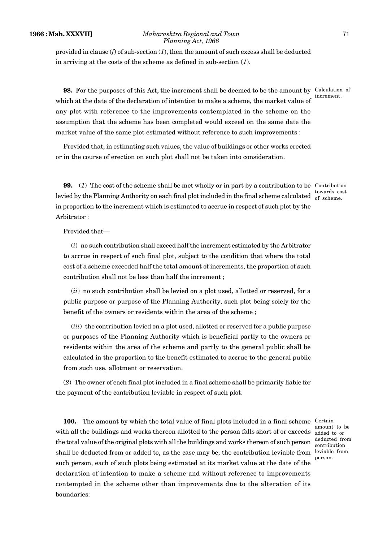provided in clause (*f*) of sub-section (*1*), then the amount of such excess shall be deducted in arriving at the costs of the scheme as defined in sub-section (*1*).

**98.** For the purposes of this Act, the increment shall be deemed to be the amount by Calculation of which at the date of the declaration of intention to make a scheme, the market value of any plot with reference to the improvements contemplated in the scheme on the assumption that the scheme has been completed would exceed on the same date the market value of the same plot estimated without reference to such improvements :

Provided that, in estimating such values, the value of buildings or other works erected or in the course of erection on such plot shall not be taken into consideration.

**99.** (1) The cost of the scheme shall be met wholly or in part by a contribution to be Contribution levied by the Planning Authority on each final plot included in the final scheme calculated of scheme. in proportion to the increment which is estimated to accrue in respect of such plot by the Arbitrator : towards cost

Provided that—

(*i*) no such contribution shall exceed half the increment estimated by the Arbitrator to accrue in respect of such final plot, subject to the condition that where the total cost of a scheme exceeded half the total amount of increments, the proportion of such contribution shall not be less than half the increment ;

(*ii*) no such contribution shall be levied on a plot used, allotted or reserved, for a public purpose or purpose of the Planning Authority, such plot being solely for the benefit of the owners or residents within the area of the scheme ;

(*iii*) the contribution levied on a plot used, allotted or reserved for a public purpose or purposes of the Planning Authority which is beneficial partly to the owners or residents within the area of the scheme and partly to the general public shall be calculated in the proportion to the benefit estimated to accrue to the general public from such use, allotment or reservation.

(*2*) The owner of each final plot included in a final scheme shall be primarily liable for the payment of the contribution leviable in respect of such plot.

**100.** The amount by which the total value of final plots included in a final scheme Certain with all the buildings and works thereon allotted to the person falls short of or exceeds  $\,$   $_{\rm added \,\, to \,\, or}$ the total value of the original plots with all the buildings and works thereon of such person shall be deducted from or added to, as the case may be, the contribution leviable from such person, each of such plots being estimated at its market value at the date of the declaration of intention to make a scheme and without reference to improvements contempted in the scheme other than improvements due to the alteration of its boundaries:

amount to be deducted from contribution leviable from person.

increment.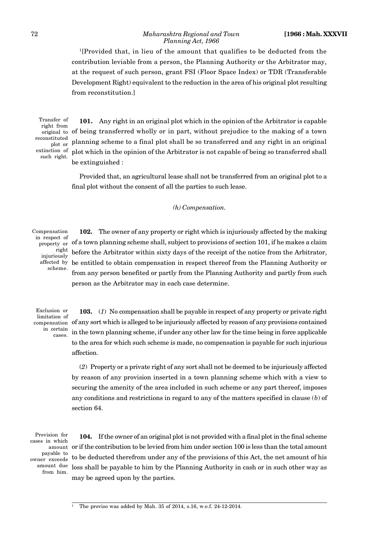<sup>1</sup>[Provided that, in lieu of the amount that qualifies to be deducted from the contribution leviable from a person, the Planning Authority or the Arbitrator may, at the request of such person, grant FSI (Floor Space Index) or TDR (Transferable Development Right) equivalent to the reduction in the area of his original plot resulting from reconstitution.]

Transfer of right from reconstituted plot or extinction of such right.

**101.** Any right in an original plot which in the opinion of the Arbitrator is capable original to of being transferred wholly or in part, without prejudice to the making of a town planning scheme to a final plot shall be so transferred and any right in an original plot which in the opinion of the Arbitrator is not capable of being so transferred shall be extinguished :

Provided that, an agricultural lease shall not be transferred from an original plot to a final plot without the consent of all the parties to such lease.

*(h) Compensation.*

Compensation in respect of property or right injuriously affected by scheme.

**102.** The owner of any property or right which is injuriously affected by the making of a town planning scheme shall, subject to provisions of section 101, if he makes a claim before the Arbitrator within sixty days of the receipt of the notice from the Arbitrator, be entitled to obtain compensation in respect thereof from the Planning Authority or from any person benefited or partly from the Planning Authority and partly from such person as the Arbitrator may in each case determine.

Exclusion or limitation of compensation in certain cases.

**103.** (*1*) No compensation shall be payable in respect of any property or private right of any sort which is alleged to be injuriously affected by reason of any provisions contained in the town planning scheme, if under any other law for the time being in force applicable to the area for which such scheme is made, no compensation is payable for such injurious affection.

(*2*) Property or a private right of any sort shall not be deemed to be injuriously affected by reason of any provision inserted in a town planning scheme which with a view to securing the amenity of the area included in such scheme or any part thereof, imposes any conditions and restrictions in regard to any of the matters specified in clause (*b*) of section 64.

Provision for cases in which payable to owner exceeds amount due from him.

**104.** If the owner of an original plot is not provided with a final plot in the final scheme  $\alpha$  amount  $\,\,\,\mathrm{or}\,\,$  if the contribution to be levied from him under section 100 is less than the total amount to be deducted therefrom under any of the provisions of this Act, the net amount of his loss shall be payable to him by the Planning Authority in cash or in such other way as may be agreed upon by the parties.

<sup>1</sup> The proviso was added by Mah. 35 of 2014, s.16, w.e.f. 24-12-2014.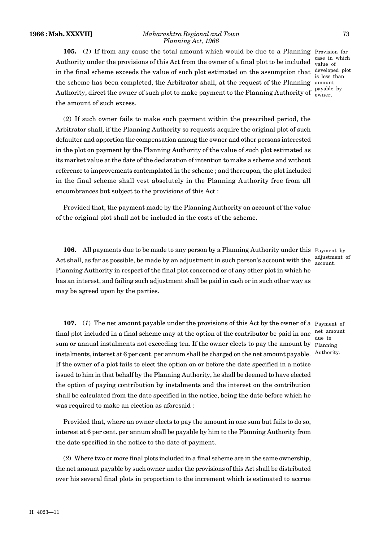#### **1966 : Mah. XXXVII]** *Maharashtra Regional and Town* 73 *Planning Act, 1966*

**105.** (1) If from any cause the total amount which would be due to a Planning Provision for Authority under the provisions of this Act from the owner of a final plot to be included in the final scheme exceeds the value of such plot estimated on the assumption that the scheme has been completed, the Arbitrator shall, at the request of the Planning amount Authority, direct the owner of such plot to make payment to the Planning Authority of  $\frac{\text{payable by}}{\text{owner}}$ the amount of such excess.

(*2*) If such owner fails to make such payment within the prescribed period, the Arbitrator shall, if the Planning Authority so requests acquire the original plot of such defaulter and apportion the compensation among the owner and other persons interested in the plot on payment by the Planning Authority of the value of such plot estimated as its market value at the date of the declaration of intention to make a scheme and without reference to improvements contemplated in the scheme ; and thereupon, the plot included in the final scheme shall vest absolutely in the Planning Authority free from all encumbrances but subject to the provisions of this Act :

Provided that, the payment made by the Planning Authority on account of the value of the original plot shall not be included in the costs of the scheme.

**106.** All payments due to be made to any person by a Planning Authority under this Payment by Act shall, as far as possible, be made by an adjustment in such person's account with the  $\frac{a_{ij}^{2}}{3}$  account. Planning Authority in respect of the final plot concerned or of any other plot in which he has an interest, and failing such adjustment shall be paid in cash or in such other way as may be agreed upon by the parties.

adjustment of

**107.** (*1*) The net amount payable under the provisions of this Act by the owner of a Payment of final plot included in a final scheme may at the option of the contributor be paid in one net amount sum or annual instalments not exceeding ten. If the owner elects to pay the amount by Planning instalments, interest at 6 per cent. per annum shall be charged on the net amount payable. Authority. If the owner of a plot fails to elect the option on or before the date specified in a notice issued to him in that behalf by the Planning Authority, he shall be deemed to have elected the option of paying contribution by instalments and the interest on the contribution shall be calculated from the date specified in the notice, being the date before which he was required to make an election as aforesaid : due to

Provided that, where an owner elects to pay the amount in one sum but fails to do so, interest at 6 per cent. per annum shall be payable by him to the Planning Authority from the date specified in the notice to the date of payment.

(*2*) Where two or more final plots included in a final scheme are in the same ownership, the net amount payable by such owner under the provisions of this Act shall be distributed over his several final plots in proportion to the increment which is estimated to accrue

case in which value of developed plot is less than owner.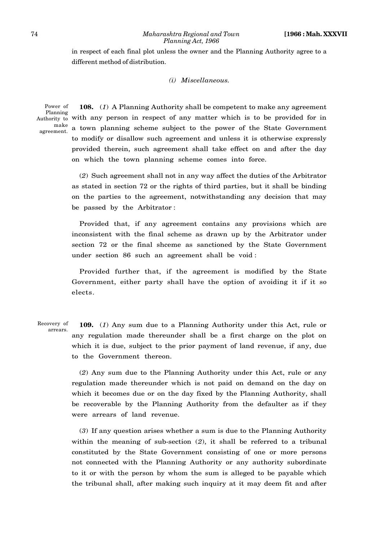in respect of each final plot unless the owner and the Planning Authority agree to a different method of distribution.

# *(i) Miscellaneous.*

Power of Authority to make agreement.

**108.** (*1*) A Planning Authority shall be competent to make any agreement Planning<br>hority to with any person in respect of any matter which is to be provided for in a town planning scheme subject to the power of the State Government to modify or disallow such agreement and unless it is otherwise expressly provided therein, such agreement shall take effect on and after the day on which the town planning scheme comes into force.

(*2*) Such agreement shall not in any way affect the duties of the Arbitrator as stated in section 72 or the rights of third parties, but it shall be binding on the parties to the agreement, notwithstanding any decision that may be passed by the Arbitrator :

Provided that, if any agreement contains any provisions which are inconsistent with the final scheme as drawn up by the Arbitrator under section 72 or the final shceme as sanctioned by the State Government under section 86 such an agreement shall be void :

Provided further that, if the agreement is modified by the State Government, either party shall have the option of avoiding it if it so elects.

**109.** (*1*) Any sum due to a Planning Authority under this Act, rule or any regulation made thereunder shall be a first charge on the plot on which it is due, subject to the prior payment of land revenue, if any, due to the Government thereon. Recovery of arrears.

> (*2*) Any sum due to the Planning Authority under this Act, rule or any regulation made thereunder which is not paid on demand on the day on which it becomes due or on the day fixed by the Planning Authority, shall be recoverable by the Planning Authority from the defaulter as if they were arrears of land revenue.

> (*3*) If any question arises whether a sum is due to the Planning Authority within the meaning of sub-section (*2*), it shall be referred to a tribunal constituted by the State Government consisting of one or more persons not connected with the Planning Authority or any authority subordinate to it or with the person by whom the sum is alleged to be payable which the tribunal shall, after making such inquiry at it may deem fit and after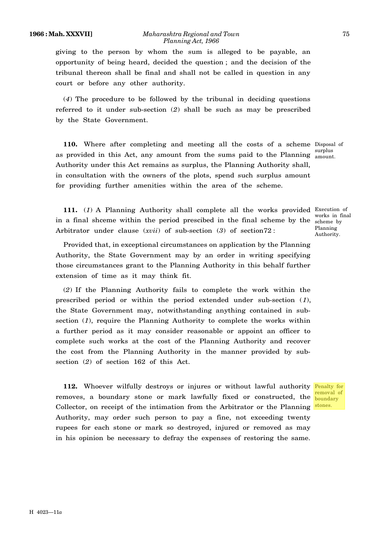giving to the person by whom the sum is alleged to be payable, an opportunity of being heard, decided the question ; and the decision of the tribunal thereon shall be final and shall not be called in question in any court or before any other authority.

(*4*) The procedure to be followed by the tribunal in deciding questions referred to it under sub-section (*2*) shall be such as may be prescribed by the State Government.

**110.** Where after completing and meeting all the costs of a scheme Disposal of as provided in this Act, any amount from the sums paid to the Planning  $\frac{\text{surplus}}{\text{amount}}$ Authority under this Act remains as surplus, the Planning Authority shall, in consultation with the owners of the plots, spend such surplus amount for providing further amenities within the area of the scheme.

amount.

**111.** (*1*) A Planning Authority shall complete all the works provided Execution of in a final shceme within the period prescibed in the final scheme by the scheme by Arbitrator under clause (*xvii*) of sub-section (3) of section72 :

Provided that, in exceptional circumstances on application by the Planning Authority, the State Government may by an order in writing specifying those circumstances grant to the Planning Authority in this behalf further extension of time as it may think fit.

(*2*) If the Planning Authority fails to complete the work within the prescribed period or within the period extended under sub-section (*1*), the State Government may, notwithstanding anything contained in subsection (*1*), require the Planning Authority to complete the works within a further period as it may consider reasonable or appoint an officer to complete such works at the cost of the Planning Authority and recover the cost from the Planning Authority in the manner provided by subsection (*2*) of section 162 of this Act.

112. Whoever wilfully destroys or injures or without lawful authority Penalty for removes, a boundary stone or mark lawfully fixed or constructed, the  $\frac{\text{boundary}}{\text{boundary}}$ Collector, on receipt of the intimation from the Arbitrator or the Planning Authority, may order such person to pay a fine, not exceeding twenty rupees for each stone or mark so destroyed, injured or removed as may in his opinion be necessary to defray the expenses of restoring the same.

works in final Planning Authority.

removal of stones.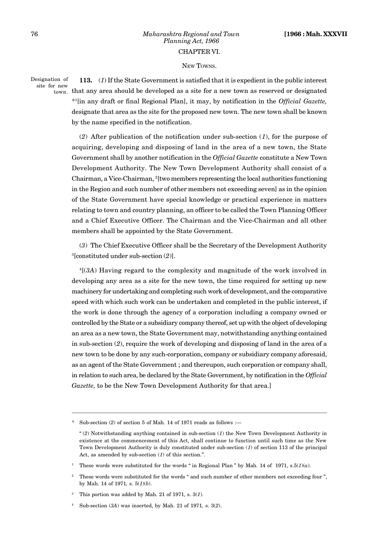# 76 *Maharashtra Regional and Town* **[1966 : Mah. XXXVII** *Planning Act, 1966*

#### CHAPTER VI.

## NEW TOWNS.

Designation of site for new

**113.** (*1*) If the State Government is satisfied that it is expedient in the public interest

 $_{\rm town.}$  that any area should be developed as a site for a new town as reserved or designated \* <sup>1</sup>[in any draft or final Regional Plan], it may, by notification in the *Official Gazette,* designate that area as the site for the proposed new town. The new town shall be known by the name specified in the notification.

(*2*) After publication of the notification under sub-section (*1*), for the purpose of acquiring, developing and disposing of land in the area of a new town, the State Government shall by another notification in the *Official Gazette* constitute a New Town Development Authority. The New Town Development Authority shall consist of a Chairman, a Vice-Chairman, <sup>2</sup>[two members representing the local authorities functioning in the Region and such number of other members not exceeding seven] as in the opinion of the State Government have special knowledge or practical experience in matters relating to town and country planning, an officer to be called the Town Planning Officer and a Chief Executive Officer. The Chairman and the Vice-Chairman and all other members shall be appointed by the State Government.

(*3*) The Chief Executive Officer shall be the Secretary of the Development Authority <sup>3</sup>[constituted under sub-section (*2*)].

<sup>4</sup>[(*3A*) Having regard to the complexity and magnitude of the work involved in developing any area as a site for the new town, the time required for setting up new machinery for undertaking and completing such work of development, and the comparative speed with which such work can be undertaken and completed in the public interest, if the work is done through the agency of a corporation including a company owned or controlled by the State or a subsidiary company thereof, set up with the object of developing an area as a new town, the State Government may, notwithstanding anything contained in sub-section (*2*), require the work of developing and disposing of land in the area of a new town to be done by any such-corporation, company or subsidiary company aforesaid, as an agent of the State Government ; and thereupon, such corporation or company shall, in relation to such area, be declared by the State Government, by notification in the *Official Gazette,* to be the New Town Development Authority for that area.]

<sup>\*</sup> Sub-section (*2*) of section 5 of Mah. 14 of 1971 reads as follows :—

<sup>&</sup>quot; (*2*) Notwithstanding anything contained in sub-section (*1*) the New Town Development Authority in existence at the commencement of this Act, shall continue to function until such time as the New Town Development Authority is duly constituted under sub-section (*1*) of section 113 of the principal Act, as amended by sub-section (*1*) of this section.".

<sup>&</sup>lt;sup>1</sup> These words were substituted for the words " in Regional Plan " by Mah. 14 of 1971, s. $5(1)(a)$ .

<sup>&</sup>lt;sup>2</sup> These words were substituted for the words " and such number of other members not exceeding four ". by Mah. 14 of 1971*,* s. 5(*1*)(*b*).

<sup>3</sup> This portion was added by Mah. 21 of 1971, s. 3(*1*).

<sup>4</sup> Sub-section (*3A*) was inserted, by Mah. 21 of 1971*,* s. 3(*2*).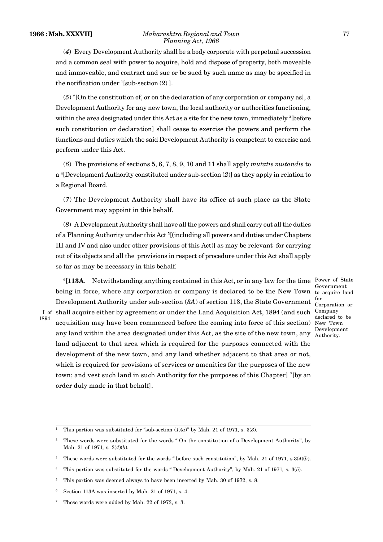#### **1966 : Mah. XXXVII]** *Maharashtra Regional and Town* 77 *Planning Act, 1966*

(*4*) Every Development Authority shall be a body corporate with perpetual succession and a common seal with power to acquire, hold and dispose of property, both moveable and immoveable, and contract and sue or be sued by such name as may be specified in the notification under  $\frac{1}{s}$ [sub-section  $(2)$ ].

(*5*) <sup>2</sup>[On the constitution of, or on the declaration of any corporation or company as], a Development Authority for any new town, the local authority or authorities functioning, within the area designated under this Act as a site for the new town, immediately <sup>3</sup>[before such constitution or declaration] shall cease to exercise the powers and perform the functions and duties which the said Development Authority is competent to exercise and perform under this Act.

(*6*) The provisions of sections 5, 6, 7, 8, 9, 10 and 11 shall apply *mutatis mutandis* to a <sup>4</sup>[Development Authority constituted under sub-section (*2*)] as they apply in relation to a Regional Board.

(*7*) The Development Authority shall have its office at such place as the State Government may appoint in this behalf.

(*8*) A Development Authority shall have all the powers and shall carry out all the duties of a Planning Authority under this Act <sup>5</sup>[(including all powers and duties under Chapters III and IV and also under other provisions of this Act)] as may be relevant for carrying out of its objects and all the provisions in respect of procedure under this Act shall apply so far as may be necessary in this behalf.

<sup>6</sup>[113A. Notwithstanding anything contained in this Act, or in any law for the time Power of State being in force, where any corporation or company is declared to be the New Town to acquire land Development Authority under sub-section (*3A*) of section 113, the State Government I of shall acquire either by agreement or under the Land Acquisition Act, 1894 (and such Company acquisition may have been commenced before the coming into force of this section) New Town any land within the area designated under this Act, as the site of the new town, any  $\frac{\text{Evebymen}}{\text{Authority}}$ . land adjacent to that area which is required for the purposes connected with the development of the new town, and any land whether adjacent to that area or not, which is required for provisions of services or amenities for the purposes of the new town; and vest such land in such Authority for the purposes of this Chapter] <sup>7</sup>[by an order duly made in that behalf].

Government for Corporation or declared to be Development

1894.

This portion was substituted for "sub-section  $(1)(a)$ " by Mah. 21 of 1971, s. 3(3).

<sup>2</sup> These words were substituted for the words " On the constitution of a Development Authority", by Mah. 21 of 1971*,* s*.* 3(*4*)(*b*).

<sup>3</sup> These words were substituted for the words " before such constitution", by Mah. 21 of 1971*,* s*.*3(*4*)(*b*).

<sup>4</sup> This portion was substituted for the words " Development Authority", by Mah. 21 of 1971*,* s*.* 3(*5*).

<sup>&</sup>lt;sup>5</sup> This portion was deemed always to have been inserted by Mah. 30 of 1972, s. 8.

Section 113A was inserted by Mah. 21 of 1971, s. 4.

<sup>7</sup> These words were added by Mah. 22 of 1973, s. 3.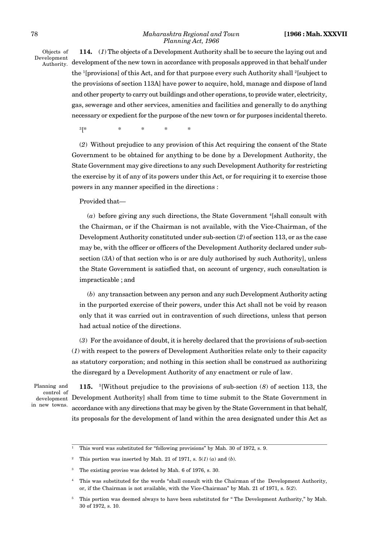#### 78 *Maharashtra Regional and Town* **[1966 : Mah. XXXVII** *Planning Act, 1966*

Objects of Development Authority.

**114.** (*1*) The objects of a Development Authority shall be to secure the laying out and development of the new town in accordance with proposals approved in that behalf under the <sup>1</sup>[provisions] of this Act, and for that purpose every such Authority shall <sup>2</sup>[subject to the provisions of section 113A] have power to acquire, hold, manage and dispose of land and other property to carry out buildings and other operations, to provide water, electricity, gas, sewerage and other services, amenities and facilities and generally to do anything necessary or expedient for the purpose of the new town or for purposes incidental thereto.

<sup>3</sup>[\* \* \* \* \*

(*2*) Without prejudice to any provision of this Act requiring the consent of the State Government to be obtained for anything to be done by a Development Authority, the State Government may give directions to any such Development Authority for restricting the exercise by it of any of its powers under this Act, or for requiring it to exercise those powers in any manner specified in the directions :

Provided that—

 $(a)$  before giving any such directions, the State Government  $\frac{4}{1}$ shall consult with the Chairman, or if the Chairman is not available, with the Vice-Chairman, of the Development Authority constituted under sub-section (*2*) of section 113, or as the case may be, with the officer or officers of the Development Authority declared under subsection (*3A*) of that section who is or are duly authorised by such Authority], unless the State Government is satisfied that, on account of urgency, such consultation is impracticable ; and

(*b*) any transaction between any person and any such Development Authority acting in the purported exercise of their powers, under this Act shall not be void by reason only that it was carried out in contravention of such directions, unless that person had actual notice of the directions.

(*3*) For the avoidance of doubt, it is hereby declared that the provisions of sub-section (*1*) with respect to the powers of Development Authorities relate only to their capacity as statutory corporation; and nothing in this section shall be construed as authorizing the disregard by a Development Authority of any enactment or rule of law.

Planning and control of development in new towns.

**115.** <sup>5</sup>[Without prejudice to the provisions of sub-section (*8*) of section 113, the Development Authority] shall from time to time submit to the State Government in accordance with any directions that may be given by the State Government in that behalf, its proposals for the development of land within the area designated under this Act as

<sup>&</sup>lt;sup>1</sup> This word was substituted for "following provisions" by Mah. 30 of 1972, s. 9.

This portion was inserted by Mah. 21 of 1971, s.  $5(1)$  (*a*) and (*b*).

The existing proviso was deleted by Mah. 6 of 1976, s. 30.

<sup>4</sup> This was substituted for the words "shall consult with the Chairman of the Development Authority, or, if the Chairman is not available, with the Vice-Chairman" by Mah. 21 of 1971, s. 5(*2*).

<sup>5</sup> This portion was deemed always to have been substituted for " The Development Authority," by Mah. 30 of 1972, s. 10.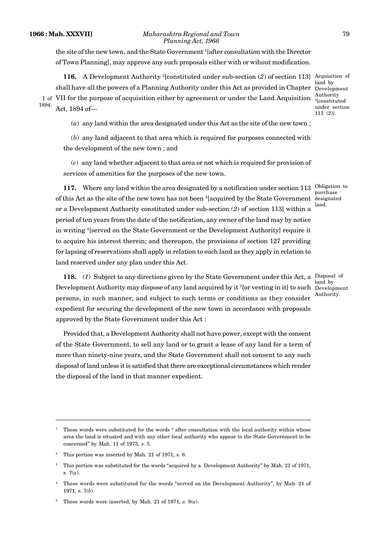#### **1966 : Mah. XXXVII]** *Maharashtra Regional and Town* 79 *Planning Act, 1966*

the site of the new town, and the State Government <sup>1</sup>[after consultation with the Director of Town Planning], may approve any such proposals either with or wihout modification.

**116.** A Development Authority <sup>2</sup>[constituted under sub-section (2) of section 113] Acquisition of shall have all the powers of a Planning Authority under this Act as provided in Chapter Development I of VII for the purpose of acquisition either by agreement or under the Land Acquisition  $\frac{1}{2}$  constitution Act, 1894 of— 1894.

land by Authority <sup>3</sup>[constituted under section 113 (*2*)].

(*a*) any land within the area designated under this Act as the site of the new town ;

(*b*) any land adjacent to that area which is required for purposes connected with the development of the new town ; and

(*c*) any land whether adjacent to that area or not which is required for provision of services of amenities for the purposes of the new town.

117. Where any land within the area designated by a notification under section 113 Obligation to of this Act as the site of the new town has not been <sup>3</sup>[acquired by the State Government designated or a Development Authority constituted under sub-section (*2*) of section 113] within a period of ten years from the date of the notification, any owner of the land may by notice in writing <sup>4</sup>[served on the State Government or the Development Authority] require it to acquire his interest therein; and thereupon, the provisions of section 127 providing for lapsing of reservations shall apply in relation to such land as they apply in relation to land reserved under any plan under this Act.

118. (1) Subject to any directions given by the State Government under this Act, a Disposal of Development Authority may dispose of any land acquired by it <sup>5</sup>[or vesting in it] to such Development persons, in such manner, and subject to such terms or conditions as they consider expedient for securing the development of the new town in accordance with proposals approved by the State Government under this Act :

land by Authority.

purchase land.

Provided that, a Development Authority shall not have power, except with the consent of the State Government, to sell any land or to grant a lease of any land for a term of more than ninety-nine years, and the State Government shall not consent to any such disposal of land unless it is satisfied that there are exceptional circumstances which render the disposal of the land in that manner expedient.

<sup>1</sup> These words were substituted for the words " after consultation with the local authority within whose area the land is situated and with any other local authority who appear to the State Government to be concerned" by Mah. 11 of 1973, s. 5.

This portion was inserted by Mah. 21 of 1971, s. 6.

<sup>3</sup> This portion was substituted for the words "acquired by a Development Authority" by Mah. 21 of 1971, s. 7(*a*).

<sup>4</sup> These words were substituted for the words "served on the Development Authority", by Mah. 21 of 1971*,* s. 7(*b*).

These words were inserted, by Mah. 21 of 1971,  $s$ .  $8(a)$ .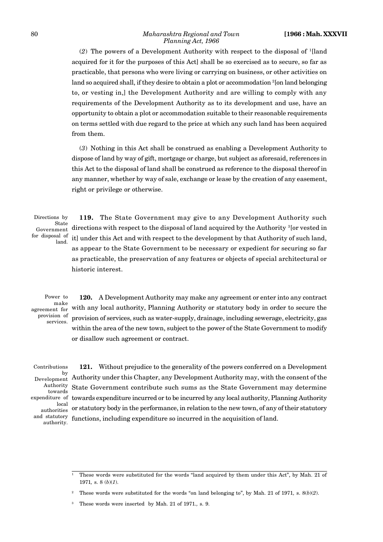(*2*) The powers of a Development Authority with respect to the disposal of <sup>1</sup>[land acquired for it for the purposes of this Act] shall be so exercised as to secure, so far as practicable, that persons who were living or carrying on business, or other activities on land so acquired shall, if they desire to obtain a plot or accommodation  $^{2}$ [on land belonging to, or vesting in,] the Development Authority and are willing to comply with any requirements of the Development Authority as to its development and use, have an opportunity to obtain a plot or accommodation suitable to their reasonable requirements on terms settled with due regard to the price at which any such land has been acquired from them.

(*3*) Nothing in this Act shall be construed as enabling a Development Authority to dispose of land by way of gift, mortgage or charge, but subject as aforesaid, references in this Act to the disposal of land shall be construed as reference to the disposal thereof in any manner, whether by way of sale, exchange or lease by the creation of any easement, right or privilege or otherwise.

Directions by State Government for disposal of land.

**119.** The State Government may give to any Development Authority such directions with respect to the disposal of land acquired by the Authority <sup>3</sup>[or vested in it] under this Act and with respect to the development by that Authority of such land, as appear to the State Government to be necessary or expedient for securing so far as practicable, the preservation of any features or objects of special architectural or historic interest.

Power to make agreement for provision of services.

**120.** A Development Authority may make any agreement or enter into any contract with any local authority, Planning Authority or statutory body in order to secure the provision of services, such as water-supply, drainage, including sewerage, electricity, gas within the area of the new town, subject to the power of the State Government to modify or disallow such agreement or contract.

Contributions Development Authority towards local authorities and statutory authority.

**121.** Without prejudice to the generality of the powers conferred on a Development  $_{\rm nt}^{\rm by}$  Authority under this Chapter, any Development Authority may, with the consent of the State Government contribute such sums as the State Government may determine expenditure of towards expenditure incurred or to be incurred by any local authority, Planning Authority or statutory body in the performance, in relation to the new town, of any of their statutory functions, including expenditure so incurred in the acquisition of land.

<sup>1</sup> These words were substituted for the words "land acquired by them under this Act", by Mah. 21 of 1971*,* s. 8 (*b*)(*1*).

<sup>2</sup> These words were substituted for the words "on land belonging to", by Mah. 21 of 1971*,* s. 8(*b*)(*2*).

<sup>3</sup> These words were inserted by Mah. 21 of 1971*.,* s. 9.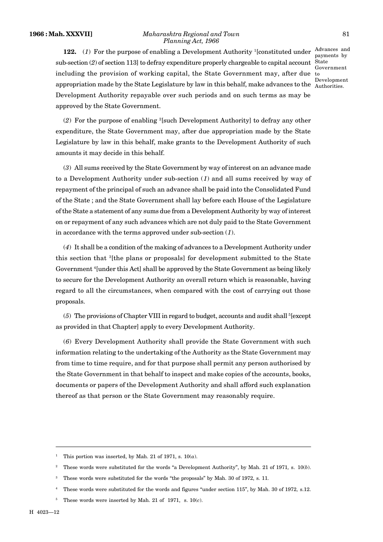#### **1966 : Mah. XXXVII]** *Maharashtra Regional and Town* 81 *Planning Act, 1966*

**122.** (1) For the purpose of enabling a Development Authority <sup>1</sup>[constituted under  $\frac{\text{Advances and}}{\text{newents}}$ sub-section (*2*) of section 113] to defray expenditure properly chargeable to capital account including the provision of working capital, the State Government may, after due to appropriation made by the State Legislature by law in this behalf, make advances to the Authorities. Development Authority repayable over such periods and on such terms as may be approved by the State Government.

payments by State Government Development

(*2*) For the purpose of enabling <sup>2</sup>[such Development Authority] to defray any other expenditure, the State Government may, after due appropriation made by the State Legislature by law in this behalf, make grants to the Development Authority of such amounts it may decide in this behalf.

(*3*) All sums received by the State Government by way of interest on an advance made to a Development Authority under sub-section (*1*) and all sums received by way of repayment of the principal of such an advance shall be paid into the Consolidated Fund of the State ; and the State Government shall lay before each House of the Legislature of the State a statement of any sums due from a Development Authority by way of interest on or repayment of any such advances which are not duly paid to the State Government in accordance with the terms approved under sub-section (*1*).

(*4*) It shall be a condition of the making of advances to a Development Authority under this section that <sup>3</sup>[the plans or proposals] for development submitted to the State Government <sup>4</sup>[under this Act] shall be approved by the State Government as being likely to secure for the Development Authority an overall return which is reasonable, having regard to all the circumstances, when compared with the cost of carrying out those proposals.

 $(5)$  The provisions of Chapter VIII in regard to budget, accounts and audit shall <sup>5</sup>[except] as provided in that Chapter] apply to every Development Authority.

(*6*) Every Development Authority shall provide the State Government with such information relating to the undertaking of the Authority as the State Government may from time to time require, and for that purpose shall permit any person authorised by the State Government in that behalf to inspect and make copies of the accounts, books, documents or papers of the Development Authority and shall afford such explanation thereof as that person or the State Government may reasonably require.

<sup>&</sup>lt;sup>1</sup> This portion was inserted, by Mah. 21 of 1971, s.  $10(a)$ .

<sup>2</sup> These words were substituted for the words "a Development Authority", by Mah. 21 of 1971*,* s. 10(*b*).

<sup>&</sup>lt;sup>3</sup> These words were substituted for the words "the proposals" by Mah. 30 of 1972, s. 11.

<sup>4</sup> These words were substituted for the words and figures "under section 115", by Mah. 30 of 1972*,* s.12.

<sup>&</sup>lt;sup>5</sup> These words were inserted by Mah. 21 of 1971, s.  $10(c)$ .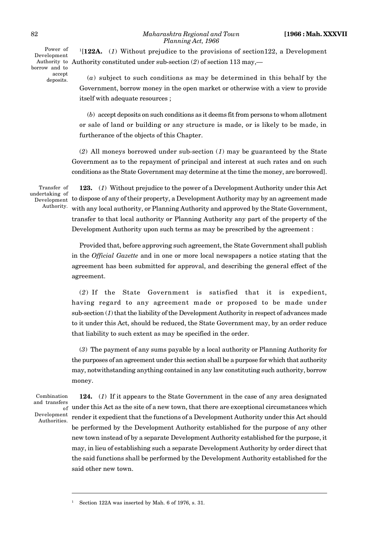#### 82 *Maharashtra Regional and Town* **[1966 : Mah. XXXVII** *Planning Act, 1966*

Power of Development borrow and to accept deposits.

<sup>1</sup>[**122A.** (*1*) Without prejudice to the provisions of section122, a Development Authority to Authority constituted under sub-section  $(2)$  of section 113 may,—

> (*a*) subject to such conditions as may be determined in this behalf by the Government, borrow money in the open market or otherwise with a view to provide itself with adequate resources ;

> (*b*) accept deposits on such conditions as it deems fit from persons to whom allotment or sale of land or building or any structure is made, or is likely to be made, in furtherance of the objects of this Chapter.

(*2*) All moneys borrowed under sub-section (*1*) may be guaranteed by the State Government as to the repayment of principal and interest at such rates and on such conditions as the State Government may determine at the time the money, are borrowed].

Transfer of undertaking of Authority.

**123.** (*1*) Without prejudice to the power of a Development Authority under this Act Development to dispose of any of their property, a Development Authority may by an agreement made with any local authority, or Planning Authority and approved by the State Government, transfer to that local authority or Planning Authority any part of the property of the Development Authority upon such terms as may be prescribed by the agreement :

> Provided that, before approving such agreement, the State Government shall publish in the *Official Gazette* and in one or more local newspapers a notice stating that the agreement has been submitted for approval, and describing the general effect of the agreement.

> (*2*) If the State Government is satisfied that it is expedient, having regard to any agreement made or proposed to be made under sub-section (*1*) that the liability of the Development Authority in respect of advances made to it under this Act, should be reduced, the State Government may, by an order reduce that liability to such extent as may be specified in the order.

> (*3*) The payment of any sums payable by a local authority or Planning Authority for the purposes of an agreement under this section shall be a purpose for which that authority may, notwithstanding anything contained in any law constituting such authority, borrow money.

Combination and transfers Development Authorities.

**124.** (*1*) If it appears to the State Government in the case of any area designated  $\tilde{f}_{\rm of}$  under this Act as the site of a new town, that there are exceptional circumstances which render it expedient that the functions of a Development Authority under this Act should be performed by the Development Authority established for the purpose of any other new town instead of by a separate Development Authority established for the purpose, it may, in lieu of establishing such a separate Development Authority by order direct that the said functions shall be performed by the Development Authority established for the said other new town.

Section 122A was inserted by Mah. 6 of 1976, s. 31.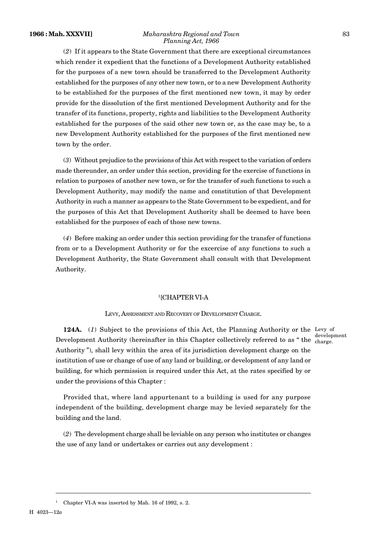#### **1966 : Mah. XXXVII]** *Maharashtra Regional and Town* 83 *Planning Act, 1966*

(*2*) If it appears to the State Government that there are exceptional circumstances which render it expedient that the functions of a Development Authority established for the purposes of a new town should be transferred to the Development Authority established for the purposes of any other new town, or to a new Development Authority to be established for the purposes of the first mentioned new town, it may by order provide for the dissolution of the first mentioned Development Authority and for the transfer of its functions, property, rights and liabilities to the Development Authority established for the purposes of the said other new town or, as the case may be, to a new Development Authority established for the purposes of the first mentioned new town by the order.

(*3*) Without prejudice to the provisions of this Act with respect to the variation of orders made thereunder, an order under this section, providing for the exercise of functions in relation to purposes of another new town, or for the transfer of such functions to such a Development Authority, may modify the name and constitution of that Development Authority in such a manner as appears to the State Government to be expedient, and for the purposes of this Act that Development Authority shall be deemed to have been established for the purposes of each of those new towns.

(*4*) Before making an order under this section providing for the transfer of functions from or to a Development Authority or for the excercise of any functions to such a Development Authority, the State Government shall consult with that Development Authority.

#### <sup>1</sup>[CHAPTER VI-A

#### LEVY, ASSESSMENT AND RECOVERY OF DEVELOPMENT CHARGE.

**124A.** (1) Subject to the provisions of this Act, the Planning Authority or the Levy of Development Authority (hereinafter in this Chapter collectively referred to as "the charge. Authority "), shall levy within the area of its jurisdiction development charge on the institution of use or change of use of any land or building, or development of any land or building, for which permission is required under this Act, at the rates specified by or under the provisions of this Chapter :

development

Provided that, where land appurtenant to a building is used for any purpose independent of the building, development charge may be levied separately for the building and the land.

(*2*) The development charge shall be leviable on any person who institutes or changes the use of any land or undertakes or carries out any development :

<sup>1</sup> Chapter VI-A was inserted by Mah. 16 of 1992, s. 2.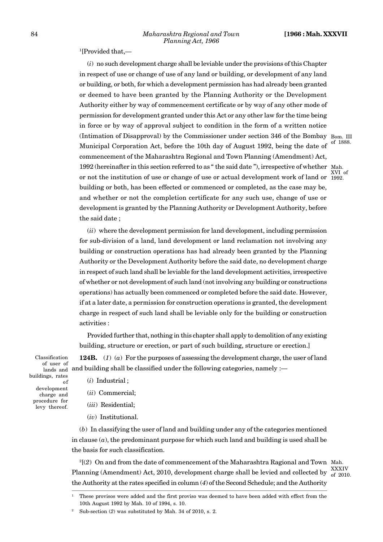<sup>1</sup>[Provided that,-

(*i*) no such development charge shall be leviable under the provisions of this Chapter in respect of use or change of use of any land or building, or development of any land or building, or both, for which a development permission has had already been granted or deemed to have been granted by the Planning Authority or the Development Authority either by way of commencement certificate or by way of any other mode of permission for development granted under this Act or any other law for the time being in force or by way of approval subject to condition in the form of a written notice (Intimation of Disapproval) by the Commissioner under section 346 of the Bombay  $_{\text{Bom. III}}$ Municipal Corporation Act, before the 10th day of August 1992, being the date of <sup>of 1888.</sup> commencement of the Maharashtra Regional and Town Planning (Amendment) Act, 1992 (hereinafter in this section referred to as " the said date "), irrespective of whether Mah. or not the institution of use or change of use or actual development work of land or 1992. building or both, has been effected or commenced or completed, as the case may be, and whether or not the completion certificate for any such use, change of use or development is granted by the Planning Authority or Development Authority, before the said date ;

(*ii*) where the development permission for land development, including permission for sub-division of a land, land development or land reclamation not involving any building or construction operations has had already been granted by the Planning Authority or the Development Authority before the said date, no development charge in respect of such land shall be leviable for the land development activities, irrespective of whether or not development of such land (not involving any building or constructions operations) has actually been commenced or completed before the said date. However, if at a later date, a permission for construction operations is granted, the development charge in respect of such land shall be leviable only for the building or construction activities :

Provided further that, nothing in this chapter shall apply to demolition of any existing building, structure or erection, or part of such building, structure or erection.]

**124B.** (*1*) (*a*) For the purposes of assessing the development charge, the user of land lands and building shall be classified under the following categories, namely :— Classification

of user of buildings, rates of development charge and procedure for levy thereof.

(*i*) Industrial ;

(*ii*) Commercial;

(*iii*) Residential;

(*iv*) Institutional.

(*b*) In classifying the user of land and building under any of the categories mentioned in clause (*a*), the predominant purpose for which such land and building is used shall be the basis for such classification.

<sup>2</sup>[(*2*) On and from the date of commencement of the Maharashtra Ragional and Town Mah. Planning (Amendment) Act, 2010, development charge shall be levied and collected by  $\frac{XXXIV}{of 2010}$ the Authority at the rates specified in column (*4*) of the Second Schedule; and the Authority

of 2010.

XVI of

<sup>1</sup> These provisos were added and the first proviso was deemed to have been added with effect from the 10th August 1992 by Mah. 10 of 1994, s. 10.

Sub-section (2) was substituted by Mah. 34 of 2010, s. 2.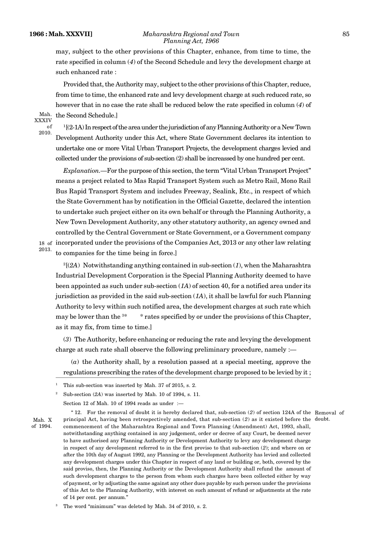#### **1966 : Mah. XXXVII]** *Maharashtra Regional and Town* 85 *Planning Act, 1966*

may, subject to the other provisions of this Chapter, enhance, from time to time, the rate specified in column (*4*) of the Second Schedule and levy the development charge at such enhanced rate :

Provided that, the Authority may, subject to the other provisions of this Chapter, reduce, from time to time, the enhanced rate and levy development charge at such reduced rate, so however that in no case the rate shall be reduced below the rate specified in column (*4*) of the Second Schedule.]

Mah. XXXIV of 2010.

<sup>1</sup>[(2-1A) In respect of the area under the jurisdiction of any Planning Authority or a New Town Development Authority under this Act, where State Government declares its intention to undertake one or more Vital Urban Transport Projects, the development charges levied and collected under the provisions of sub-section (2) shall be increassed by one hundred per cent.

*Explanation.—*For the purpose of this section, the term "Vital Urban Transport Project" means a project related to Mas Rapid Transport System such as Metro Rail, Mono Rail Bus Rapid Transport System and includes Freeway, Sealink, Etc., in respect of which the State Government has by notification in the Official Gazette, declared the intention to undertake such project either on its own behalf or through the Planning Authority, a New Town Development Authority, any other statutory authority, an agency owned and controlled by the Central Government or State Government, or a Government company 18 of incorporated under the provisions of the Companies Act, 2013 or any other law relating to companies for the time being in force.]

2013.

 $^{2}[(2A)$  Notwithstanding anything contained in sub-section (1), when the Maharashtra Industrial Development Corporation is the Special Planning Authority deemed to have been appointed as such under sub-section (*1A*) of section 40, for a notified area under its jurisdiction as provided in the said sub-section (*1A*), it shall be lawful for such Planning Authority to levy within such notified area, the development charges at such rate which may be lower than the  $3*$  \* rates specified by or under the provisions of this Chapter, as it may fix, from time to time.]

(*3*) The Authority, before enhancing or reducing the rate and levying the development charge at such rate shall observe the following preliminary procedure, namely :—

(*a*) the Authority shall, by a resolution passed at a special meeting, approve the regulations prescribing the rates of the development charge proposed to be levied by it ;

<sup>2</sup> Sub-section (*2A*) was inserted by Mah. 10 of 1994, s. 11.

Section 12 of Mah. 10 of 1994 reads as under :—

of 1994.

" 12. For the removal of doubt it is hereby declared that, sub-section (*2*) of section 124A of the Removal of Mah. X principal Act, having been retrospectively amended, that sub-section (2) as it existed before the doubt. commencement of the Maharashtra Regional and Town Planning (Amendment) Act, 1993, shall, notwithstanding anything contained in any judgement, order or decree of any Court, be deemed never to have authorised any Planning Authority or Development Authority to levy any development charge in respect of any development referred to in the first proviso to that sub-section (*2*); and where on or after the 10th day of August 1992, any Planning or the Development Authority has levied and collected any development charges under this Chapter in respect of any land or building or, both, covered by the said proviso, then, the Planning Authority or the Development Authority shall refund the amount of such development charges to the person from whom such charges have been collected either by way of payment, or by adjusting the same against any other dues payable by such person under the provisions of this Act to the Planning Authority, with interest on such amount of refund or adjustments at the rate of 14 per cent. per annum."

The word "minimum" was deleted by Mah. 34 of 2010, s. 2.

This sub-section was inserted by Mah. 37 of 2015, s. 2.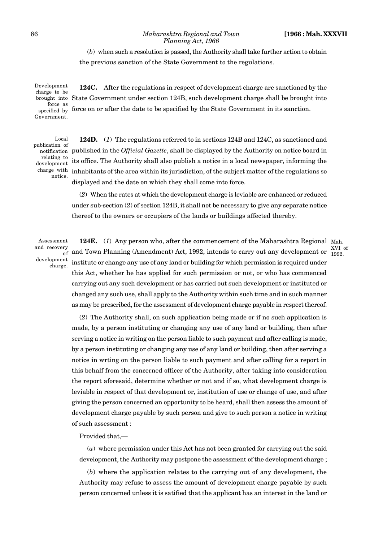XVI of 1992.

#### 86 *Maharashtra Regional and Town* **[1966 : Mah. XXXVII** *Planning Act, 1966*

# (*b*) when such a resolution is passed, the Authority shall take further action to obtain the previous sanction of the State Government to the regulations.

**124C.** After the regulations in respect of development charge are sanctioned by the brought into State Government under section 124B, such development charge shall be brought into force on or after the date to be specified by the State Government in its sanction. Development charge to be force as specified by Government.

Local publication of relating to development charge with notice.

**124D.** (*1*) The regulations referred to in sections 124B and 124C, as sanctioned and published in the *Official Gazette*, shall be displayed by the Authority on notice board in notification its office. The Authority shall also publish a notice in a local newspaper, informing the inhabitants of the area within its jurisdiction, of the subject matter of the regulations so displayed and the date on which they shall come into force.

(*2*) When the rates at which the development charge is leviable are enhanced or reduced under sub-section (*2*) of section 124B, it shall not be necessary to give any separate notice thereof to the owners or occupiers of the lands or buildings affected thereby.

Assessment and recovery development charge.

124E. (1) Any person who, after the commencement of the Maharashtra Regional Mah.  $\frac{1}{200}$  and Town Planning (Amendment) Act, 1992, intends to carry out any development or  $\frac{1}{1992}$ institute or change any use of any land or building for which permission is required under this Act, whether he has applied for such permission or not, or who has commenced carrying out any such development or has carried out such development or instituted or changed any such use, shall apply to the Authority within such time and in such manner as may be prescribed, for the assessment of development charge payable in respect thereof.

(*2*) The Authority shall, on such application being made or if no such application is made, by a person instituting or changing any use of any land or building, then after serving a notice in writing on the person liable to such payment and after calling is made, by a person instituting or changing any use of any land or building, then after serving a notice in wrting on the person liable to such payment and after calling for a report in this behalf from the concerned officer of the Authority, after taking into consideration the report aforesaid, determine whether or not and if so, what development charge is leviable in respect of that development or, institution of use or change of use, and after giving the person concerned an opportunity to be heard, shall then assess the amount of development charge payable by such person and give to such person a notice in writing of such assessment :

Provided that,—

(*a*) where permission under this Act has not been granted for carrying out the said development, the Authority may postpone the assessment of the development charge ;

(*b*) where the application relates to the carrying out of any development, the Authority may refuse to assess the amount of development charge payable by such person concerned unless it is satified that the applicant has an interest in the land or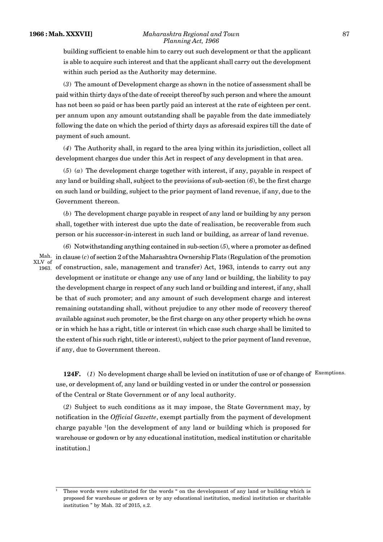#### **1966 : Mah. XXXVII]** *Maharashtra Regional and Town* 87 *Planning Act, 1966*

building sufficient to enable him to carry out such development or that the applicant is able to acquire such interest and that the applicant shall carry out the development within such period as the Authority may determine.

(*3*) The amount of Development charge as shown in the notice of assessment shall be paid within thirty days of the date of receipt thereof by such person and where the amount has not been so paid or has been partly paid an interest at the rate of eighteen per cent. per annum upon any amount outstanding shall be payable from the date immediately following the date on which the period of thirty days as aforesaid expires till the date of payment of such amount.

(*4*) The Authority shall, in regard to the area lying within its jurisdiction, collect all development charges due under this Act in respect of any development in that area.

(*5*) (*a*) The development charge together with interest, if any, payable in respect of any land or building shall, subject to the provisions of sub-section  $(6)$ , be the first charge on such land or building, subject to the prior payment of land revenue, if any, due to the Government thereon.

(*b*) The development charge payable in respect of any land or building by any person shall, together with interest due upto the date of realisation, be recoverable from such person or his successor-in-interest in such land or building, as arrear of land revenue.

(*6*) Notwithstanding anything contained in sub-section (*5*), where a promoter as defined in clause (*c*) of section 2 of the Maharashtra Ownership Flats (Regulation of the promotion Mah. of construction, sale, management and transfer) Act, 1963, intends to carry out any development or institute or change any use of any land or building, the liability to pay the development charge in respect of any such land or building and interest, if any, shall be that of such promoter; and any amount of such development charge and interest remaining outstanding shall, without prejudice to any other mode of recovery thereof available against such promoter, be the first charge on any other property which he owns or in which he has a right, title or interest (in which case such charge shall be limited to the extent of his such right, title or interest), subject to the prior payment of land revenue, if any, due to Government thereon. XLV of 1963.

**124F.** (*1*) No development charge shall be levied on institution of use or of change of Exemptions. use, or development of, any land or building vested in or under the control or possession of the Central or State Government or of any local authority.

(*2*) Subject to such conditions as it may impose, the State Government may, by notification in the *Official Gazette*, exempt partially from the payment of development charge payable <sup>1</sup>[on the development of any land or building which is proposed for warehouse or godown or by any educational institution, medical institution or charitable institution.]

<sup>1</sup> These words were substituted for the words " on the development of any land or building which is proposed for warehouse or godown or by any educational institution, medical institution or charitable institution " by Mah. 32 of 2015, s.2.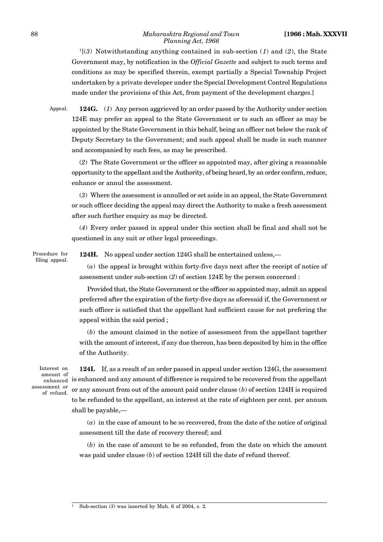#### 88 *Maharashtra Regional and Town* **[1966 : Mah. XXXVII** *Planning Act, 1966*

<sup>1</sup>[(*3*) Notwithstanding anything contained in sub-section (*1*) and (*2*), the State Government may, by notification in the *Official Gazette* and subject to such terms and conditions as may be specified therein, exempt partially a Special Township Project undertaken by a private developer under the Special Development Control Regulations made under the provisions of this Act, from payment of the development charges.]

Appeal.

**124G.** (*1*) Any person aggrieved by an order passed by the Authority under section 124E may prefer an appeal to the State Government or to such an officer as may be appointed by the State Government in this behalf, being an officer not below the rank of Deputy Secretary to the Government; and such appeal shall be made in such manner and accompanied by such fees, as may be prescribed.

(*2*) The State Government or the officer so appointed may, after giving a reasonable opportunity to the appellant and the Authority, of being heard, by an order confirm, reduce, enhance or annul the assessment.

(*3*) Where the assessment is annulled or set aside in an appeal, the State Government or such officer deciding the appeal may direct the Authority to make a fresh assessment after such further enquiry as may be directed.

(*4*) Every order passed in appeal under this section shall be final and shall not be questioned in any suit or other legal proceedings.

Procedure for filing appeal. **124H.** No appeal under section 124G shall be entertained unless,—

(*a*) the appeal is brought within forty-five days next after the receipt of notice of assessment under sub-section (*2*) of section 124E by the person concerned :

Provided that, the State Government or the officer so appointed may, admit an appeal preferred after the expiration of the forty-five days as aforesaid if, the Government or such officer is satisfied that the appellant had sufficient cause for not prefering the appeal within the said period ;

(*b*) the amount claimed in the notice of assessment from the appellant together with the amount of interest, if any due thereon, has been deposited by him in the office of the Authority.

Interest on enhanced 1S enn assessment or of refund.

**124I.** If, as a result of an order passed in appeal under section 124G, the assessment amount of is enhanced and any amount of difference is required to be recovered from the appellant or any amount from out of the amount paid under clause (*b*) of section 124H is required to be refunded to the appellant, an interest at the rate of eighteen per cent. per annum shall be payable,—

> (*a*) in the case of amount to be so recovered, from the date of the notice of original assessment till the date of recovery thereof; and

> (*b*) in the case of amount to be so refunded, from the date on which the amount was paid under clause (*b*) of section 124H till the date of refund thereof.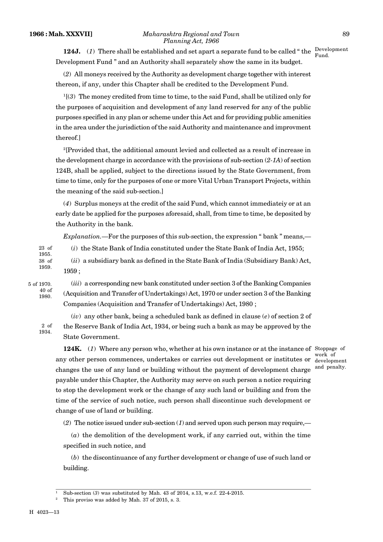**124J.** (1) There shall be established and set apart a separate fund to be called "the  $\frac{D \text{e} \text{ve} \text{d} \text{p}}{E \text{e} \text{e} \text{d} t}$ Development Fund " and an Authority shall separately show the same in its budget.

(*2*) All moneys received by the Authority as development charge together with interest thereon, if any, under this Chapter shall be credited to the Development Fund.

<sup>1</sup>[(*3*) The money credited from time to time, to the said Fund, shall be utilized only for the purposes of acquisition and development of any land reserved for any of the public purposes specified in any plan or scheme under this Act and for providing public amenities in the area under the jurisdiction of the said Authority and maintenance and improvment thereof.]

<sup>2</sup>[Provided that, the additional amount levied and collected as a result of increase in the development charge in accordance with the provisions of sub-section (*2-1A*) of section 124B, shall be applied, subject to the directions issued by the State Government, from time to time, only for the purposes of one or more Vital Urban Transport Projects, within the meaning of the said sub-section.]

(*4*) Surplus moneys at the credit of the said Fund, which cannot immediateiy or at an early date be applied for the purposes aforesaid, shall, from time to time, be deposited by the Authority in the bank.

*Explanation.*—For the purposes of this sub-section, the expression " bank " means,—

(*i*) the State Bank of India constituted under the State Bank of India Act, 1955; 23 of 1955.

(*ii*) a subsidiary bank as defined in the State Bank of India (Subsidiary Bank) Act, 1959 ; 38 of 1959.

5 of 1970. 40 of 1980.

(*iii*) a corresponding new bank constituted under section 3 of the Banking Companies (Acquisition and Transfer of Undertakings) Act, 1970 or under section 3 of the Banking Companies (Acquisition and Transfer of Undertakings) Act, 1980 ;

(*iv*) any other bank, being a scheduled bank as defined in clause (*e*) of section 2 of the Reserve Bank of India Act, 1934, or being such a bank as may be approved by the State Government. 2 of 1934.

**124K.** (1) Where any person who, whether at his own instance or at the instance of Stoppage of any other person commences, undertakes or carries out development or institutes or development changes the use of any land or building without the payment of development charge payable under this Chapter, the Authority may serve on such person a notice requiring to stop the development work or the change of any such land or building and from the time of the service of such notice, such person shall discontinue such development or change of use of land or building.

(*2*) The notice issued under sub-section (*1*) and served upon such person may require,—

(*a*) the demolition of the development work, if any carried out, within the time specified in such notice, and

(*b*) the discontinuance of any further development or change of use of such land or building.

development and penalty.

<sup>&</sup>lt;sup>1</sup> Sub-section (3) was substituted by Mah. 43 of 2014, s.13, w.e.f. 22-4-2015.

<sup>2</sup> This proviso was added by Mah. 37 of 2015, s. 3.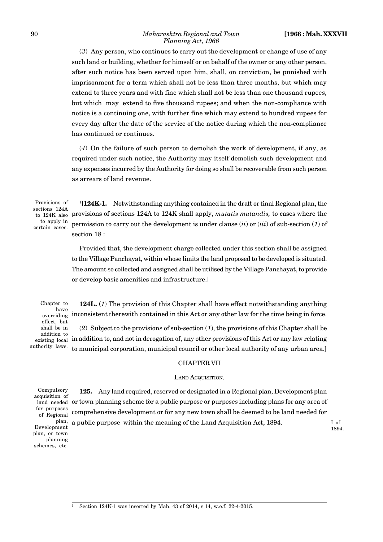(*3*) Any person, who continues to carry out the development or change of use of any such land or building, whether for himself or on behalf of the owner or any other person, after such notice has been served upon him, shall, on conviction, be punished with imprisonment for a term which shall not be less than three months, but which may extend to three years and with fine which shall not be less than one thousand rupees, but which may extend to five thousand rupees; and when the non-compliance with notice is a continuing one, with further fine which may extend to hundred rupees for every day after the date of the service of the notice during which the non-compliance has continued or continues.

(*4*) On the failure of such person to demolish the work of development, if any, as required under such notice, the Authority may itself demolish such development and any expenses incurred by the Authority for doing so shall be recoverable from such person as arrears of land revenue.

Provisions of sections 124A to apply in certain cases.

<sup>1</sup>[124K-1. Notwithstanding anything contained in the draft or final Regional plan, the to 124K also provisions of sections 124A to 124K shall apply, *mutatis mutandis*, to cases where the permission to carry out the development is under clause (*ii*) or (*iii*) of sub-section (*1*) of section 18 :

> Provided that, the development charge collected under this section shall be assigned to the Village Panchayat, within whose limits the land proposed to be developed is situated. The amount so collected and assigned shall be utilised by the Village Panchayat, to provide or develop basic amenities and infrastructure.]

Chapter to have overriding effect, but shall be in addition to existing local authority laws.

**124L.** (*1*) The provision of this Chapter shall have effect notwithstanding anything inconsistent therewith contained in this Act or any other law for the time being in force.

(*2*) Subject to the provisions of sub-section (*1*), the provisions of this Chapter shall be in addition to, and not in derogation of, any other provisions of this Act or any law relating to municipal corporation, municipal council or other local authority of any urban area.]

# CHAPTER VII

#### LAND ACQUISITION.

Compulsory acquisition of for purposes of Regional plan, Development plan, or town planning schemes, etc.

**125.** Any land required, reserved or designated in a Regional plan, Development plan land needed  $\,$  or town planning scheme for a public purpose or purposes including plans for any area of comprehensive development or for any new town shall be deemed to be land needed for a public purpose within the meaning of the Land Acquisition Act, 1894.

I of 1894.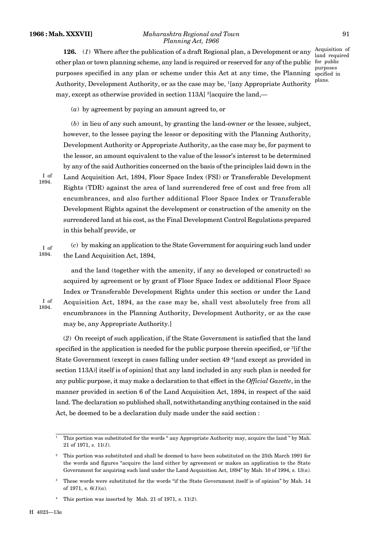#### **1966 : Mah. XXXVII]** *Maharashtra Regional and Town* 91 *Planning Act, 1966*

**126.** (*1*) Where after the publication of a draft Regional plan, a Development or any other plan or town planning scheme, any land is required or reserved for any of the public for public purposes specified in any plan or scheme under this Act at any time, the Planning spcified in Authority, Development Authority, or as the case may be, <sup>1</sup>[any Appropriate Authority may, except as otherwise provided in section 113A]  $^{2}$ [acquire the land, plans.

Acquisition of land required purposes

(*a*) by agreement by paying an amount agreed to, or

(*b*) in lieu of any such amount, by granting the land-owner or the lessee, subject, however, to the lessee paying the lessor or depositing with the Planning Authority, Development Authority or Appropriate Authority, as the case may be, for payment to the lessor, an amount equivalent to the value of the lessor's interest to be determined by any of the said Authorities concerned on the basis of the principles laid down in the Land Acquisition Act, 1894, Floor Space Index (FSI) or Transferable Development Rights (TDR) against the area of land surrendered free of cost and free from all encumbrances, and also further additional Floor Space Index or Transferable Development Rights against the development or construction of the amenity on the surrendered land at his cost, as the Final Development Control Regulations prepared in this behalf provide, or

I of 1894.

I of 1894.

I of 1894.

> (*c*) by making an application to the State Government for acquiring such land under the Land Acquisition Act, 1894,

and the land (together with the amenity, if any so developed or constructed) so acquired by agreement or by grant of Floor Space Index or additional Floor Space Index or Transferable Development Rights under this section or under the Land Acquisition Act, 1894, as the case may be, shall vest absolutely free from all encumbrances in the Planning Authority, Development Authority, or as the case may be, any Appropriate Authority.]

(*2*) On receipt of such application, if the State Government is satisfied that the land specified in the application is needed for the public purpose therein specified, or  ${}^{3}$ [if the State Government (except in cases falling under section 49 <sup>4</sup>[and except as provided in section 113A)] itself is of opinion] that any land included in any such plan is needed for any public purpose, it may make a declaration to that effect in the *Official Gazette*, in the manner provided in section 6 of the Land Acquisition Act, 1894, in respect of the said land. The declaration so published shall, notwithstanding anything contained in the said Act, be deemed to be a declaration duly made under the said section :

<sup>1</sup> This portion was substituted for the words " any Appropriate Authority may, acquire the land " by Mah. 21 of 1971, *s.* 11(*1*).

<sup>2</sup> This portion was substituted and shall be deemed to have been substituted on the 25th March 1991 for the words and figures "acquire the land either by agreement or makes an application to the State Government for acquiring such land under the Land Acquisition Act, 1894" by Mah. 10 of 1994, s. 13(*a*).

<sup>3</sup> These words were substituted for the words "if the State Government itself is of opinion" by Mah. 14 of 1971, s.  $6(1)(a)$ .

<sup>4</sup> This portion was inserted by Mah. 21 of 1971, s. 11(*2*).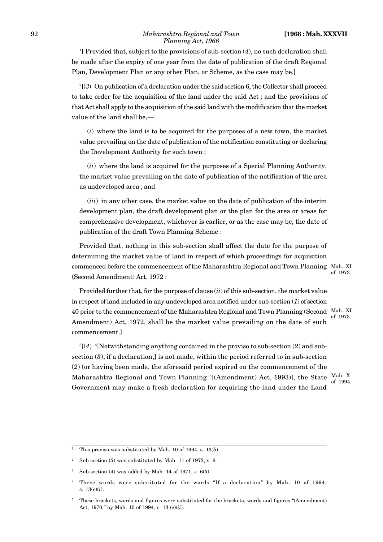#### 92 *Maharashtra Regional and Town* **[1966 : Mah. XXXVII** *Planning Act, 1966*

<sup>1</sup>[ Provided that, subject to the provisions of sub-section (*4*), no such declaration shall be made after the expiry of one year from the date of publication of the draft Regional Plan, Development Plan or any other Plan, or Scheme, as the case may be.]

<sup>2</sup>[(*3*) On publication of a declaration under the said section 6, the Collector shall proceed to take order for the acquisition of the land under the said Act ; and the provisions of that Act shall apply to the acquisition of the said land with the modification that the market value of the land shall be,—

(*i*) where the land is to be acquired for the purposes of a new town, the market value prevailing on the date of publication of the notification constituting or declaring the Development Authority for such town ;

(*ii*) where the land is acquired for the purposes of a Special Planning Authority, the market value prevailing on the date of publication of the notification of the area as undeveloped area ; and

(*iii*) in any other case, the market value on the date of publication of the interim development plan, the draft development plan or the plan for the area or areas for comprehensive development, whichever is earlier, or as the case may be, the date of publication of the draft Town Planning Scheme :

Provided that, nothing in this sub-section shall affect the date for the purpose of determining the market value of land in respect of which proceedings for acquisition commenced before the commencement of the Maharashtra Regional and Town Planning Mah. XI (Second Amendment) Act, 1972 :

of 1973.

Provided further that, for the purpose of clause (*ii*) of this sub-section, the market value in respect of land included in any undeveloped area notified under sub-section (*1*) of section 40 prior to the commencement of the Maharashtra Regional and Town Planning (Second Mah. XI Amendment) Act, 1972, shall be the market value prevailing on the date of such commencement.] of 1973.

<sup>3</sup>[(*4*) 4[Notwithstanding anything contained in the proviso to sub-section (*2*) and subsection (*3*), if a declaration,] is not made, within the period referred to in sub-section (*2*) (or having been made, the aforesaid period expired on the commencement of the Maharashtra Regional and Town Planning <sup>5</sup>[(Amendment) Act, 1993)], the State Mah. X Government may make a fresh declaration for acquiring the land under the Land

of 1994.

<sup>&</sup>lt;sup>1</sup> This proviso was substituted by Mah. 10 of 1994, s.  $13(b)$ .

<sup>2</sup> Sub-section (*3*) was substituted by Mah. 11 of 1973, s. 6.

<sup>3</sup> Sub-section (*4*) was added by Mah. 14 of 1971, *s.* 6(*3*).

<sup>4</sup> These words were substituted for the words "If a declaration" by Mah. 10 of 1994, s. 13(*c*)(*i*).

<sup>5</sup> These brackets, words and figures were substituted for the brackets, words and figures "(Amendment) Act, 1970," by Mah. 10 of 1994*,* s. 13 (*c*)(*ii*).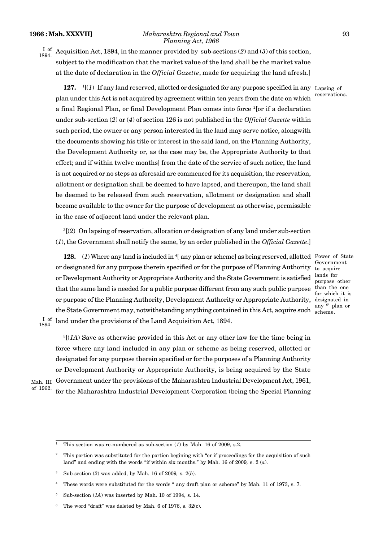#### **1966 : Mah. XXXVII]** *Maharashtra Regional and Town* 93 *Planning Act, 1966*

 $\frac{I}{I}$  of Acquisition Act, 1894, in the manner provided by sub-sections (2) and (3) of this section, subject to the modification that the market value of the land shall be the market value at the date of declaration in the *Official Gazette*, made for acquiring the land afresh.] 1894. ...

**127.**  $\frac{1}{i}$  If any land reserved, allotted or designated for any purpose specified in any Lapsing of plan under this Act is not acquired by agreement within ten years from the date on which a final Regional Plan, or final Development Plan comes into force  $^{2}$  [or if a declaration under sub-section (*2*) or (*4*) of section 126 is not published in the *Official Gazette* within such period, the owner or any person interested in the land may serve notice, alongwith the documents showing his title or interest in the said land, on the Planning Authority, the Development Authority or, as the case may be, the Appropriate Authority to that effect; and if within twelve months] from the date of the service of such notice, the land is not acquired or no steps as aforesaid are commenced for its acquisition, the reservation, allotment or designation shall be deemed to have lapsed, and thereupon, the land shall be deemed to be released from such reservation, allotment or designation and shall become available to the owner for the purpose of development as otherwise, permissible in the case of adjacent land under the relevant plan.

<sup>3</sup>[(*2*) On lapsing of reservation, allocation or designation of any land under sub-section (*1*), the Government shall notify the same, by an order published in the *Official Gazette*.]

**128.** (1) Where any land is included in <sup>4</sup>[ any plan or scheme] as being reserved, allotted Power of State or designated for any purpose therein specified or for the purpose of Planning Authority or Development Authority or Appropriate Authority and the State Government is satisfied that the same land is needed for a public purpose different from any such public purpose or purpose of the Planning Authority, Development Authority or Appropriate Authority, the State Government may, notwithstanding anything contained in this Act, acquire such land under the provisions of the Land Acquisition Act, 1894. I of

Government to acquire lands for purpose other than the one for which it is designated in any 6\* plan or scheme.

 $<sup>5</sup>[(1A)$  Save as otherwise provided in this Act or any other law for the time being in</sup> force where any land included in any plan or scheme as being reserved, allotted or designated for any purpose therein specified or for the purposes of a Planning Authority or Development Authority or Appropriate Authority, is being acquired by the State Government under the provisions of the Maharashtra Industrial Development Act, 1961, Mah. III for the Maharashtra Industrial Development Corporation (being the Special Planning

of 1962.

1894.

reservations.

This section was re-numbered as sub-section  $(1)$  by Mah. 16 of 2009, s.2.

<sup>2</sup> This portion was substituted for the portion begining with "or if proceedings for the acquisition of such land" and ending with the words "if within six months." by Mah. 16 of 2009*,* s. 2 (*a*).

<sup>3</sup> Sub-section (*2*) was added, by Mah. 16 of 2009*,* s. 2(*b*).

<sup>4</sup> These words were substituted for the words " any draft plan or scheme" by Mah. 11 of 1973, s. 7.

Sub-section (*1A*) was inserted by Mah. 10 of 1994, s. 14.

The word "draft" was deleted by Mah. 6 of 1976, s. 32(c).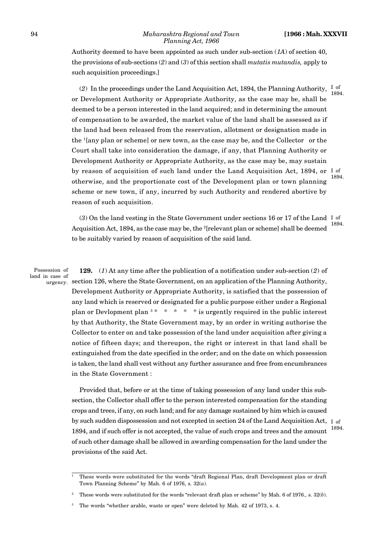Authority deemed to have been appointed as such under sub-section (*1A*) of section 40, the provisions of sub-sections (*2*) and (*3*) of this section shall *mutatis mutandis,* apply to such acquisition proceedings.]

(2) In the proceedings under the Land Acquisition Act, 1894, the Planning Authority,  $\frac{I}{I}$  of or Development Authority or Appropriate Authority, as the case may be, shall be deemed to be a person interested in the land acquired; and in determining the amount of compensation to be awarded, the market value of the land shall be assessed as if the land had been released from the reservation, allotment or designation made in the <sup>1</sup>[any plan or scheme] or new town, as the case may be, and the Collector or the Court shall take into consideration the damage, if any, that Planning Authority or Development Authority or Appropriate Authority, as the case may be, may sustain by reason of acquisition of such land under the Land Acquisition Act, 1894, or I of otherwise, and the proportionate cost of the Development plan or town planning scheme or new town, if any, incurred by such Authority and rendered abortive by reason of such acquisition. 1894. 1894.

(*3*) On the land vesting in the State Government under sections 16 or 17 of the Land I of Acquisition Act, 1894, as the case may be, the <sup>2</sup>[relevant plan or scheme] shall be deemed to be suitably varied by reason of acquisition of the said land. 1894.

Possession of land in case of

**129.** (*1*) At any time after the publication of a notification under sub-section (*2*) of section 126, where the State Government, on an application of the Planning Authority, urgency. Development Authority or Appropriate Authority, is satisfied that the possession of any land which is reserved or designated for a public purpose either under a Regional plan or Devlopment plan  $3 * * * * *$  is urgently required in the public interest by that Authority, the State Government may, by an order in writing authorise the Collector to enter on and take possession of the land under acquisition after giving a notice of fifteen days; and thereupon, the right or interest in that land shall be extinguished from the date specified in the order; and on the date on which possession is taken, the land shall vest without any further assurance and free from encumbrances in the State Government :

Provided that, before or at the time of taking possession of any land under this subsection, the Collector shall offer to the person interested compensation for the standing crops and trees, if any, on such land; and for any damage sustained by him which is caused by such sudden dispossession and not excepted in section 24 of the Land Acquisition Act,  $_{\rm I}$  <sub>of</sub> 1894, and if such offer is not accepted, the value of such crops and trees and the amount of such other damage shall be allowed in awarding compensation for the land under the provisions of the said Act.

 $\frac{1}{1}$  These words were substituted for the words "draft Regional Plan, draft Development plan or draft Town Planning Scheme" by Mah. 6 of 1976, s.  $32(a)$ .

<sup>2</sup> These words were substituted for the words "relevant draft plan or scheme" by Mah. 6 of 1976*.,* s. 32(*b*).

<sup>3</sup> The words "whether arable, waste or open" were deleted by Mah. 42 of 1973, s. 4.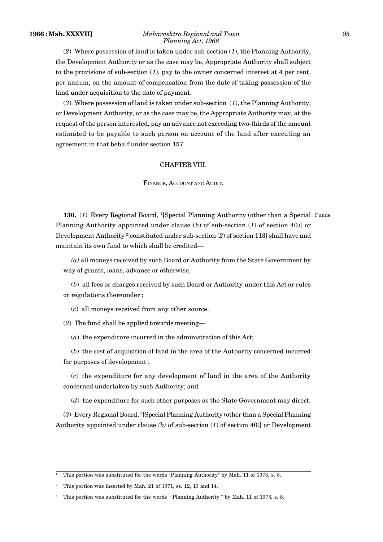#### **1966 : Mah. XXXVII]** *Maharashtra Regional and Town* 95 *Planning Act, 1966*

(*2*) Where possession of land is taken under sub-section (*1*), the Planning Authority, the Development Authority or as the case may be, Appropriate Authority shall subject to the provisions of sub-section (*1*), pay to the owner concerned interest at 4 per cent. per annum, on the amount of compensation from the date of taking possession of the land under acquisition to the date of payment.

(*3*) Where possession of land is taken under sub-section (*1*), the Planning Authority, or Development Authority, or as the case may be,the Appropriate Authority may, at the request of the person interested, pay an advance not exceeding two-thirds of the amount estimated to be payable to such person on account of the land after executing an agreement in that behalf under section 157.

## CHAPTER VIII.

#### FINANCE, ACCOUNT AND AUDIT.

130. (1) Every Regional Board, <sup>1</sup>[Special Planning Authority (other than a Special Funds. Planning Authority appointed under clause (*b*) of sub-section (*1*) of section 40)] or Development Authority <sup>2</sup>[constituted under sub-section (*2*) of section 113] shall have and maintain its own fund to which shall be credited—

*(a)* all moneys received by such Board or Authority from the State Government by way of grants, loans, advance or otherwise,

(*b*) all fees or charges received by such Board or Authority under this Act or rules or regulations thereunder ;

(*c*) all moneys received from any other source.

(*2*) The fund shall be applied towards meeting—

(*a*) the expenditure incurred in the administration of this Act;

(*b*) the cost of acquisition of land in the area of the Authority concerned incurred for purposes of development ;

(*c*) the expenditure for any development of land in the area of the Authority concerned undertaken by such Authority; and

(*d*) the expenditure for such other purposes as the State Government may direct.

(*3*) Every Regional Board, <sup>3</sup>[Special Planning Authority (other than a Special Planning Authority appointed under clause *(b)* of sub-section (*1*) of section 40)] or Development

<sup>&</sup>lt;sup>1</sup> This portion was substituted for the words "Planning Authority" by Mah. 11 of 1973, s. 8.

<sup>2</sup> This portion was inserted by Mah. 21 of 1971, ss. 12, 13 and 14.

<sup>3</sup> This portion was substituted for the words " Planning Authority " by Mah. 11 of 1973, s. 8.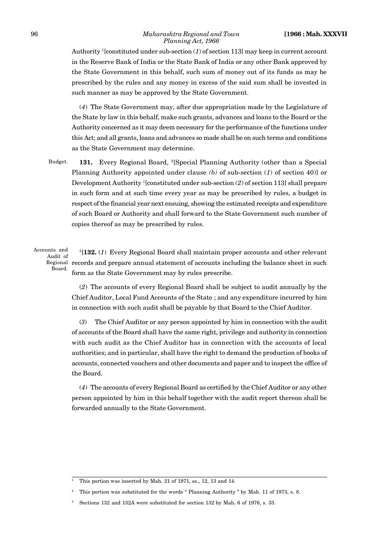Authority <sup>1</sup>[constituted under sub-section (*1*) of section 113] may keep in current account in the Reserve Bank of India or the State Bank of India or any other Bank approved by the State Government in this behalf, such sum of money out of its funds as may be prescribed by the rules and any money in excess of the said sum shall be invested in such manner as may be approved by the State Government.

(*4*) The State Government may, after due appropriation made by the Legislature of the State by law in this behalf, make such grants, advances and loans to the Board or the Authority concerned as it may deem necessary for the performance of the functions under this Act; and all grants, loans and advances so made shall be on such terms and conditions as the State Government may determine.

**131.** Every Regional Board, <sup>2</sup>[Special Planning Authority (other than a Special Planning Authority appointed under clause *(b)* of sub-section (*1*) of section 40)] or Development Authority <sup>1</sup>[constituted under sub-section (*2*) of section 113] shall prepare in such form and at such time every year as may be prescribed by rules, a budget in respect of the financial year next ensuing, showing the estimated receipts and expenditure of such Board or Authority and shall forward to the State Government such number of copies thereof as may be prescribed by rules. Budget.

Accounts and Audit of Board.

<sup>3</sup>[**132.** (*1*) Every Regional Board shall maintain proper accounts and other relevant Regional records and prepare annual statement of accounts including the balance sheet in such form as the State Government may by rules prescribe.

(*2*) The accounts of every Regional Board shall be subject to audit annually by the Chief Auditor, Local Fund Accounts of the State ; and any expenditure incurred by him in connection with such audit shall be payable by that Board to the Chief Auditor.

(*3*) The Chief Auditor or any person appointed by him in connection with the audit of accounts of the Board shall have the same right, privilege and authority in connection with such audit as the Chief Auditor has in connection with the accounts of local authorities; and in particular, shall have the right to demand the production of books of accounts, connected vouchers and other documents and paper and to inspect the office of the Board.

(*4*) The accounts of every Regional Board as certified by the Chief Auditor or any other person appointed by him in this behalf together with the audit report thereon shall be forwarded annually to the State Government.

<sup>1</sup> This portion was inserted by Mah. 21 of 1971, ss., 12, 13 and 14.

<sup>2</sup> This portion was substituted for the words " Planning Authority " by Mah. 11 of 1973, s. 8.

<sup>3</sup> Sections 132 and 132A were substituted for section 132 by Mah. 6 of 1976, s. 33.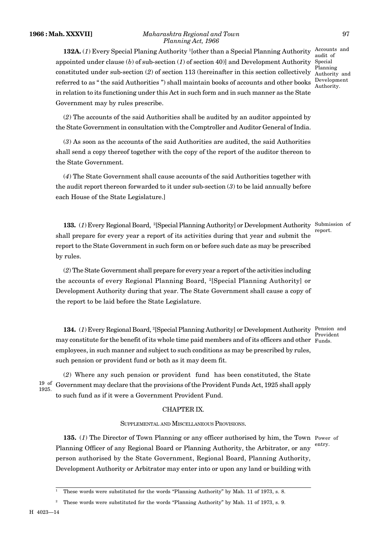#### **1966 : Mah. XXXVII]** *Maharashtra Regional and Town* 97 *Planning Act, 1966*

**132A.** (*1*) Every Special Planing Authority <sup>1</sup>[other than a Special Planning Authority appointed under clause (*b*) of sub-section (*1*) of section 40)] and Development Authority Special<br>Planning constituted under sub-section (*2*) of section 113 (hereinafter in this section collectively Planning referred to as " the said Authorities ") shall maintain books of accounts and other books in relation to its functioning under this Act in such form and in such manner as the State Government may by rules prescribe.

Accounts and audit of Special Authority and Development Authority.

(*2*) The accounts of the said Authorities shall be audited by an auditor appointed by the State Government in consultation with the Comptroller and Auditor General of India.

(*3*) As soon as the accounts of the said Authorities are audited, the said Authorities shall send a copy thereof together with the copy of the report of the auditor thereon to the State Government.

(*4*) The State Government shall cause accounts of the said Authorities together with the audit report thereon forwarded to it under sub-section (*3*) to be laid annually before each House of the State Legislature.]

133. (1) Every Regional Board, <sup>2</sup>[Special Planning Authority] or Development Authority Submission of shall prepare for every year a report of its activities during that year and submit the report to the State Government in such form on or before such date as may be prescribed by rules. report.

(*2*) The State Government shall prepare for every year a report of the activities including the accounts of every Regional Planning Board, <sup>2</sup>[Special Planning Authority] or Development Authority during that year. The State Government shall cause a copy of the report to be laid before the State Legislature.

134. (1) Every Regional Board, <sup>2</sup>[Special Planning Authority] or Development Authority Pension and may constitute for the benefit of its whole time paid members and of its officers and other Funds. employees, in such manner and subject to such conditions as may be prescribed by rules, such pension or provident fund or both as it may deem fit.

Provident

(*2*) Where any such pension or provident fund has been constituted, the State  $^{19}$  of Government may declare that the provisions of the Provident Funds Act, 1925 shall apply to such fund as if it were a Government Provident Fund. 1925.

# CHAPTER IX.

## SUPPLEMENTAL AND MISCELLANEOUS PROVISIONS.

**135.** (*1*) The Director of Town Planning or any officer authorised by him, the Town Power of Planning Officer of any Regional Board or Planning Authority, the Arbitrator, or any person authorised by the State Government, Regional Board, Planning Authority, Development Authority or Arbitrator may enter into or upon any land or building with entry.

<sup>&</sup>lt;sup>1</sup> These words were substituted for the words "Planning Authority" by Mah. 11 of 1973, s. 8.

<sup>2</sup> These words were substituted for the words "Planning Authority" by Mah. 11 of 1973, s. 9.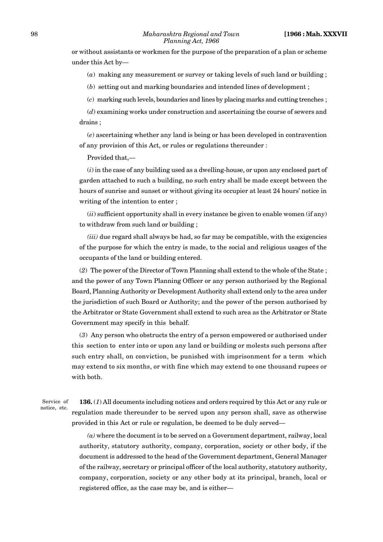or without assistants or workmen for the purpose of the preparation of a plan or scheme under this Act by—

(*a*) making any measurement or survey or taking levels of such land or building ;

(*b*) setting out and marking boundaries and intended lines of development ;

(*c*) marking such levels, boundaries and lines by placing marks and cutting trenches ;

(*d*) examining works under construction and ascertaining the course of sewers and drains ;

(*e*) ascertaining whether any land is being or has been developed in contravention of any provision of this Act, or rules or regulations thereunder :

Provided that,—

(*i*) in the case of any building used as a dwelling-house, or upon any enclosed part of garden attached to such a building, no such entry shall be made except between the hours of sunrise and sunset or without giving its occupier at least 24 hours' notice in writing of the intention to enter ;

(*ii*) sufficient opportunity shall in every instance be given to enable women (if any) to withdraw from such land or building ;

*(iii)* due regard shall always be had, so far may be compatible, with the exigencies of the purpose for which the entry is made, to the social and religious usages of the occupants of the land or building entered.

(*2*) The power of the Director of Town Planning shall extend to the whole of the State ; and the power of any Town Planning Officer or any person authorised by the Regional Board, Planning Authority or Development Authority shall extend only to the area under the jurisdiction of such Board or Authority; and the power of the person authorised by the Arbitrator or State Government shall extend to such area as the Arbitrator or State Government may specify in this behalf.

(*3*) Any person who obstructs the entry of a person empowered or authorised under this section to enter into or upon any land or building or molests such persons after such entry shall, on conviction, be punished with imprisonment for a term which may extend to six months, or with fine which may extend to one thousand rupees or with both.

Service of notice, etc.

**136.** (*1*) All documents including notices and orders required by this Act or any rule or regulation made thereunder to be served upon any person shall, save as otherwise provided in this Act or rule or regulation, be deemed to be duly served—

*(a)* where the document is to be served on a Government department, railway, local authority, statutory authority, company, corporation, society or other body, if the document is addressed to the head of the Government department, General Manager of the railway, secretary or principal officer of the local authority, statutory authority, company, corporation, society or any other body at its principal, branch, local or registered office, as the case may be, and is either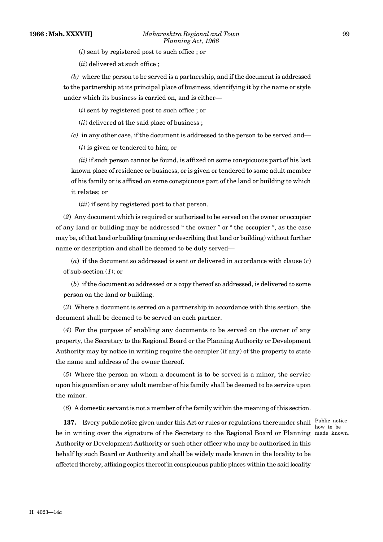(*i*) sent by registered post to such office ; or

(*ii*) delivered at such office ;

*(b)* where the person to be served is a partnership, and if the document is addressed to the partnership at its principal place of business, identifying it by the name or style under which its business is carried on, and is either—

(*i*) sent by registered post to such office ; or

(*ii*) delivered at the said place of business ;

*(c)* in any other case, if the document is addressed to the person to be served and—

(*i*) is given or tendered to him; or

*(ii)* if such person cannot be found, is affixed on some conspicuous part of his last known place of residence or business, or is given or tendered to some adult member of his family or is affixed on some conspicuous part of the land or building to which it relates; or

(*iii*) if sent by registered post to that person.

(*2*) Any document which is required or authorised to be served on the owner or occupier of any land or building may be addressed " the owner " or " the occupier ", as the case may be, of that land or building (naming or describing that land or building) without further name or description and shall be deemed to be duly served—

(*a*) if the document so addressed is sent or delivered in accordance with clause (*c*) of sub-section (*1*); or

(*b*) if the document so addressed or a copy thereof so addressed, is delivered to some person on the land or building.

(*3*) Where a document is served on a partnership in accordance with this section, the document shall be deemed to be served on each partner.

(*4*) For the purpose of enabling any documents to be served on the owner of any property, the Secretary to the Regional Board or the Planning Authority or Development Authority may by notice in writing require the occupier (if any) of the property to state the name and address of the owner thereof.

(*5*) Where the person on whom a document is to be served is a minor, the service upon his guardian or any adult member of his family shall be deemed to be service upon the minor.

(*6*) A domestic servant is not a member of the family within the meaning of this section.

**137.** Every public notice given under this Act or rules or regulations thereunder shall Public notice be in writing over the signature of the Secretary to the Regional Board or Planning made known. Authority or Development Authority or such other officer who may be authorised in this behalf by such Board or Authority and shall be widely made known in the locality to be affected thereby, affixing copies thereof in conspicuous public places within the said locality

how to be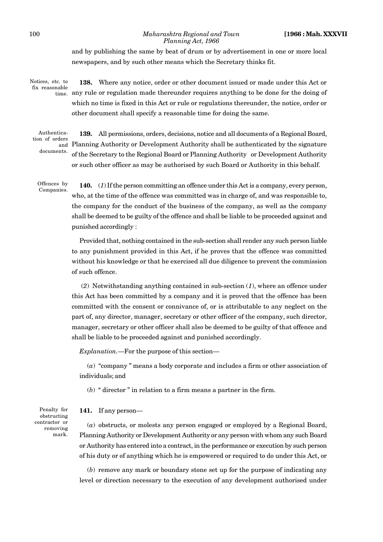100 *Maharashtra Regional and Town* **[1966 : Mah. XXXVII** *Planning Act, 1966*

> and by publishing the same by beat of drum or by advertisement in one or more local newspapers, and by such other means which the Secretary thinks fit.

Notices, etc. to fix reasonable

**138.** Where any notice, order or other document issued or made under this Act or  $_{\text{time}}$  any rule or regulation made thereunder requires anything to be done for the doing of which no time is fixed in this Act or rule or regulations thereunder, the notice, order or other document shall specify a reasonable time for doing the same.

Authentication of orders documents.

**139.** All permissions, orders, decisions, notice and all documents of a Regional Board, Planning Authority or Development Authority shall be authenticated by the signature and of the Secretary to the Regional Board or Planning Authority or Development Authority or such other officer as may be authorised by such Board or Authority in this behalf.

Offences by Companies.

**140.** (*1*) If the person committing an offence under this Act is a company, every person, who, at the time of the offence was committed was in charge of, and was responsible to, the company for the conduct of the business of the company, as well as the company shall be deemed to be guilty of the offence and shall be liable to be proceeded against and punished accordingly :

Provided that, nothing contained in the sub-section shall render any such person liable to any punishment provided in this Act, if he proves that the offence was committed without his knowledge or that he exercised all due diligence to prevent the commission of such offence.

 (*2*) Notwithstanding anything contained in sub-section (*1*), where an offence under this Act has been committed by a company and it is proved that the offence has been committed with the consent or connivance of, or is attributable to any neglect on the part of, any director, manager, secretary or other officer of the company, such director, manager, secretary or other officer shall also be deemed to be guilty of that offence and shall be liable to be proceeded against and punished accordingly.

*Explanation.*—For the purpose of this section—

(*a*) "company " means a body corporate and includes a firm or other association of individuals; and

(*b*) " director " in relation to a firm means a partner in the firm.

#### **141.** If any person—

Penalty for obstructing contractor or removing mark.

(*a*) obstructs, or molests any person engaged or employed by a Regional Board, Planning Authority or Development Authority or any person with whom any such Board or Authority has entered into a contract, in the performance or execution by such person of his duty or of anything which he is empowered or required to do under this Act, or

(*b*) remove any mark or boundary stone set up for the purpose of indicating any level or direction necessary to the execution of any development authorised under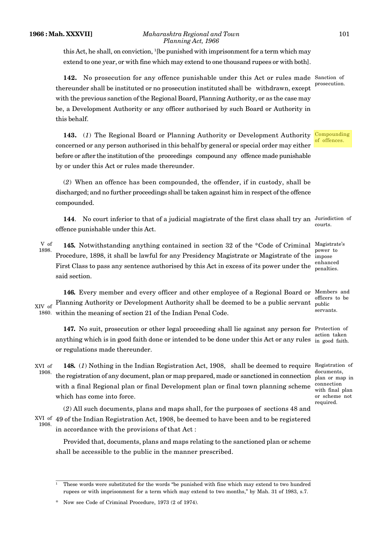this Act, he shall, on conviction,  $1$ [be punished with imprisonment for a term which may extend to one year, or with fine which may extend to one thousand rupees or with both].

**142.** No prosecution for any offence punishable under this Act or rules made Sanction of thereunder shall be instituted or no prosecution instituted shall be withdrawn, except with the previous sanction of the Regional Board, Planning Authority, or as the case may be, a Development Authority or any officer authorised by such Board or Authority in this behalf.

143. (1) The Regional Board or Planning Authority or Development Authority Compounding concerned or any person authorised in this behalf by general or special order may either before or after the institution of the proceedings compound any offence made punishable by or under this Act or rules made thereunder.

(*2*) When an offence has been compounded, the offender, if in custody, shall be discharged; and no further proceedings shall be taken against him in respect of the offence compounded.

**144.** No court inferior to that of a judicial magistrate of the first class shall try an Jurisdiction of offence punishable under this Act. courts.

145. Notwithstanding anything contained in section 32 of the \*Code of Criminal Magistrate's Procedure, 1898, it shall be lawful for any Presidency Magistrate or Magistrate of the impose First Class to pass any sentence authorised by this Act in excess of its power under the said section. V of 1898.

**146.** Every member and every officer and other employee of a Regional Board or Members and XIV of Planning Authority or Development Authority shall be deemed to be a public servant public within the meaning of section 21 of the Indian Penal Code. 1860.

**147.** No suit, prosecution or other legal proceeding shall lie against any person for Protection of anything which is in good faith done or intended to be done under this Act or any rules in good faith. or regulations made thereunder.

**148.** (*1*) Nothing in the Indian Registration Act, 1908, shall be deemed to require Registration of the registration of any document, plan or map prepared, made or sanctioned in connection with a final Regional plan or final Development plan or final town planning scheme which has come into force. XVI of 1908.

(*2*) All such documents, plans and maps shall, for the purposes of sections 48 and 49 of the Indian Registration Act, 1908, be deemed to have been and to be registered XVI of in accordance with the provisions of that Act : 1908.

Provided that, documents, plans and maps relating to the sanctioned plan or scheme shall be accessible to the public in the manner prescribed.

prosecution.

of offences.

power to enhanced penalties.

officers to be public servants.

action taken

documents, plan or map in connection with final plan or scheme not required.

<sup>1</sup> These words were substituted for the words "be punished with fine which may extend to two hundred rupees or with imprisonment for a term which may extend to two months," by Mah. 31 of 1983, s.7.

<sup>\*</sup> Now see Code of Criminal Procedure, 1973 (2 of 1974).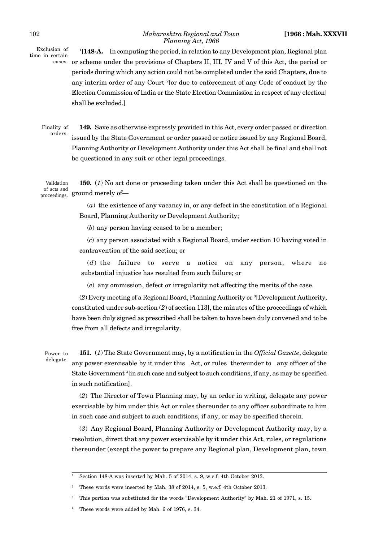Exclusion of time in certain

<sup>1</sup>[**148-A.** In computing the period, in relation to any Development plan, Regional plan cases. or scheme under the provisions of Chapters II, III, IV and V of this Act, the period or periods during which any action could not be completed under the said Chapters, due to any interim order of any Court <sup>2</sup>[or due to enforcement of any Code of conduct by the Election Commission of India or the State Election Commission in respect of any election] shall be excluded.]

Finality of orders.

**149.** Save as otherwise expressly provided in this Act, every order passed or direction issued by the State Government or order passed or notice issued by any Regional Board, Planning Authority or Development Authority under this Act shall be final and shall not be questioned in any suit or other legal proceedings.

**150.** (*1*) No act done or proceeding taken under this Act shall be questioned on the of acts and  $\frac{1}{\text{ground}}$  merely of— Validation proceedings. 8<sup>1</sup>

> (*a*) the existence of any vacancy in, or any defect in the constitution of a Regional Board, Planning Authority or Development Authority;

(*b*) any person having ceased to be a member;

(*c*) any person associated with a Regional Board, under section 10 having voted in contravention of the said section; or

(*d*) the failure to serve a notice on any person, where no substantial injustice has resulted from such failure; or

(*e*) any ommission, defect or irregularity not affecting the merits of the case.

(*2*) Every meeting of a Regional Board, Planning Authority or <sup>3</sup>[Development Authority, constituted under sub-section (*2*) of section 113], the minutes of the proceedings of which have been duly signed as prescribed shall be taken to have been duly convened and to be free from all defects and irregularity.

Power to delegate.

**151.** (*1*) The State Government may, by a notification in the *Official Gazette*, delegate any power exercisable by it under this Act, or rules thereunder to any officer of the State Government <sup>4</sup>[in such case and subject to such conditions, if any, as may be specified in such notification].

(*2*) The Director of Town Planning may, by an order in writing, delegate any power exercisable by him under this Act or rules thereunder to any officer subordinate to him in such case and subject to such conditions, if any, or may be specified therein.

(*3*) Any Regional Board, Planning Authority or Development Authority may, by a resolution, direct that any power exercisable by it under this Act, rules, or regulations thereunder (except the power to prepare any Regional plan, Development plan, town

Section 148-A was inserted by Mah. 5 of 2014, s. 9, w.e.f. 4th October 2013.

<sup>2</sup> These words were inserted by Mah. 38 of 2014, s. 5, w.e.f. 4th October 2013.

<sup>3</sup> This portion was substituted for the words "Development Authority" by Mah. 21 of 1971, s. 15.

These words were added by Mah. 6 of 1976, s. 34.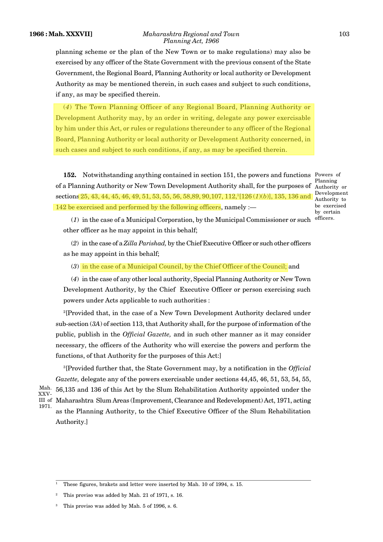#### **1966 : Mah. XXXVII]** *Maharashtra Regional and Town* 103 *Planning Act, 1966*

planning scheme or the plan of the New Town or to make regulations) may also be exercised by any officer of the State Government with the previous consent of the State Government, the Regional Board, Planning Authority or local authority or Development Authority as may be mentioned therein, in such cases and subject to such conditions, if any, as may be specified therein.

(*4*) The Town Planning Officer of any Regional Board, Planning Authority or Development Authority may, by an order in writing, delegate any power exercisable by him under this Act, or rules or regulations thereunder to any officer of the Regional Board, Planning Authority or local authority or Development Authority concerned, in such cases and subject to such conditions, if any, as may be specified therein.

**152.** Notwithstanding anything contained in section 151, the powers and functions Powers of of a Planning Authority or New Town Development Authority shall, for the purposes of Authority or sections 25, 43, 44, 45, 46, 49, 51, 53, 55, 56, 58,89, 90,107, 112,<sup>1</sup>[126 (*1*)(*b*)], 135, 136 and 142 be exercised and performed by the following officers, namely :—

Planning Development Authority to be exercised by certain

(1) in the case of a Municipal Corporation, by the Municipal Commissioner or such officers. other officer as he may appoint in this behalf;

(*2*) in the case of a *Zilla Parishad,* by the Chief Executive Officer or such other officers as he may appoint in this behalf;

(*3*) in the case of a Municipal Council, by the Chief Officer of the Council; and

(*4*) in the case of any other local authority, Special Planning Authority or New Town Development Authority, by the Chief Executive Officer or person exercising such powers under Acts applicable to such authorities :

<sup>2</sup>[Provided that, in the case of a New Town Development Authority declared under sub-section (*3A*) of section 113, that Authority shall, for the purpose of information of the public, publish in the *Official Gazette,* and in such other manner as it may consider necessary, the officers of the Authority who will exercise the powers and perform the functions, of that Authority for the purposes of this Act:]

<sup>3</sup>[Provided further that, the State Government may, by a notification in the *Official Gazette,* delegate any of the powers exercisable under sections 44,45, 46, 51, 53, 54, 55, 56,135 and 136 of this Act by the Slum Rehabilitation Authority appointed under the III of Maharashtra Slum Areas (Improvement, Clearance and Redevelopment) Act, 1971, acting as the Planning Authority, to the Chief Executive Officer of the Slum Rehabilitation Authority.] Mah. XXV-1971.

<sup>1</sup> These figures, brakets and letter were inserted by Mah. 10 of 1994, s. 15.

<sup>2</sup> This proviso was added by Mah. 21 of 1971, s. 16.

This proviso was added by Mah. 5 of 1996, s. 6.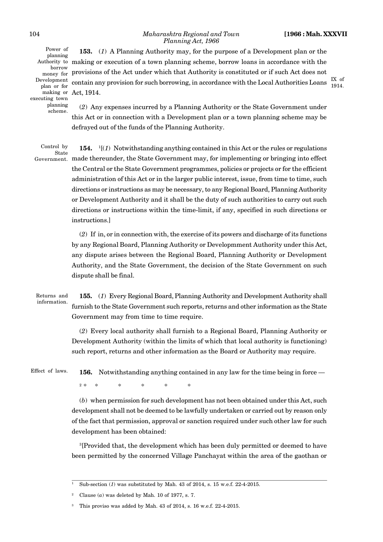Power of planning Authority to money for Prov Development plan or for making or executing town planning scheme.

**153.** (*1*) A Planning Authority may, for the purpose of a Development plan or the making or execution of a town planning scheme, borrow loans in accordance with the  $_{\rm{new~for}}^{\rm{borrow}}$  provisions of the Act under which that Authority is constituted or if such Act does not contain any provision for such borrowing, in accordance with the Local Authorities Loans Act, 1914.

IX of 1914.

(*2*) Any expenses incurred by a Planning Authority or the State Government under this Act or in connection with a Development plan or a town planning scheme may be defrayed out of the funds of the Planning Authority.

Control by State

**154.** <sup>1</sup>[(*1*) Notwithstanding anything contained in this Act or the rules or regulations Government. made thereunder, the State Government may, for implementing or bringing into effect the Central or the State Government programmes, policies or projects or for the efficient administration of this Act or in the larger public interest, issue, from time to time, such directions or instructions as may be necessary, to any Regional Board, Planning Authority or Development Authority and it shall be the duty of such authorities to carry out such directions or instructions within the time-limit, if any, specified in such directions or instructions.]

> (*2*) If in, or in connection with, the exercise of its powers and discharge of its functions by any Regional Board, Planning Authority or Developmment Authority under this Act, any dispute arises between the Regional Board, Planning Authority or Development Authority, and the State Government, the decision of the State Government on such dispute shall be final.

Returns and information.

**155.** (*1*) Every Regional Board, Planning Authority and Development Authority shall furnish to the State Government such reports, returns and other information as the State Government may from time to time require.

(*2*) Every local authority shall furnish to a Regional Board, Planning Authority or Development Authority (within the limits of which that local authority is functioning) such report, returns and other information as the Board or Authority may require.

Effect of laws.

**156.** Notwithstanding anything contained in any law for the time being in force —

 $2 *$ \* \* \* \* \* \*

(*b*) when permission for such development has not been obtained under this Act, such development shall not be deemed to be lawfully undertaken or carried out by reason only of the fact that permission, approval or sanction required under such other law for such development has been obtained:

<sup>3</sup>[Provided that, the development which has been duly permitted or deemed to have been permitted by the concerned Village Panchayat within the area of the gaothan or

<sup>1</sup> Sub-section (*1*) was substituted by Mah. 43 of 2014, s. 15 w.e.f. 22-4-2015.

Clause  $(a)$  was deleted by Mah. 10 of 1977, s. 7.

This proviso was added by Mah. 43 of 2014, s. 16 w.e.f. 22-4-2015.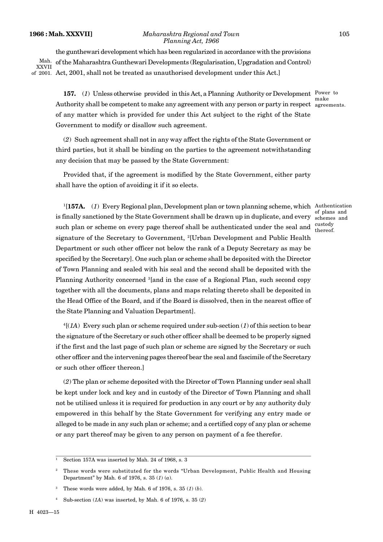#### **1966 : Mah. XXXVII]** *Maharashtra Regional and Town* 105 *Planning Act, 1966*

the gunthewari development which has been regularized in accordance with the provisions of the Maharashtra Gunthewari Developments (Regularisation, Upgradation and Control) of 2001.  $\,\mathrm{Act},2001,$  shall not be treated as unauthorised development under this  $\mathrm{Act}$ .] Mah. XXVII

157. (1) Unless otherwise provided in this Act, a Planning Authority or Development Power to Authority shall be competent to make any agreement with any person or party in respect agreements. of any matter which is provided for under this Act subject to the right of the State Government to modify or disallow such agreement.

(*2*) Such agreement shall not in any way affect the rights of the State Government or third parties, but it shall be binding on the parties to the agreement notwithstanding any decision that may be passed by the State Government:

Provided that, if the agreement is modified by the State Government, either party shall have the option of avoiding it if it so elects.

<sup>1</sup>[**157A.** (*1*) Every Regional plan, Development plan or town planning scheme, which Authentication is finally sanctioned by the State Government shall be drawn up in duplicate, and every schemes and such plan or scheme on every page thereof shall be authenticated under the seal and signature of the Secretary to Government, <sup>2</sup>[Urban Development and Public Health Department or such other officer not below the rank of a Deputy Secretary as may be specified by the Secretary]. One such plan or scheme shall be deposited with the Director of Town Planning and sealed with his seal and the second shall be deposited with the Planning Authority concerned <sup>3</sup>[and in the case of a Regional Plan, such second copy together with all the documents, plans and maps relating thereto shall be deposited in the Head Office of the Board, and if the Board is dissolved, then in the nearest office of the State Planning and Valuation Department].

<sup>4</sup>[(*1A*) Every such plan or scheme required under sub-section (*1*) of this section to bear the signature of the Secretary or such other officer shall be deemed to be properly signed if the first and the last page of such plan or scheme are signed by the Secretary or such other officer and the intervening pages thereof bear the seal and fascimile of the Secretary or such other officer thereon.]

(*2*) The plan or scheme deposited with the Director of Town Planning under seal shall be kept under lock and key and in custody of the Director of Town Planning and shall not be utilised unless it is required for production in any court or by any authority duly empowered in this behalf by the State Government for verifying any entry made or alleged to be made in any such plan or scheme; and a certified copy of any plan or scheme or any part thereof may be given to any person on payment of a fee therefor.

agreements.

of plans and

custody thereof.

Section 157A was inserted by Mah. 24 of 1968, s. 3

<sup>2</sup> These words were substituted for the words "Urban Development, Public Health and Housing Department" by Mah. 6 of 1976, s. 35 (*1*) (*a*).

<sup>3</sup> These words were added, by Mah. 6 of 1976, s. 35 (*1*) (*b*).

<sup>4</sup> Sub-section (*1A*) was inserted, by Mah. 6 of 1976, s. 35 (*2*)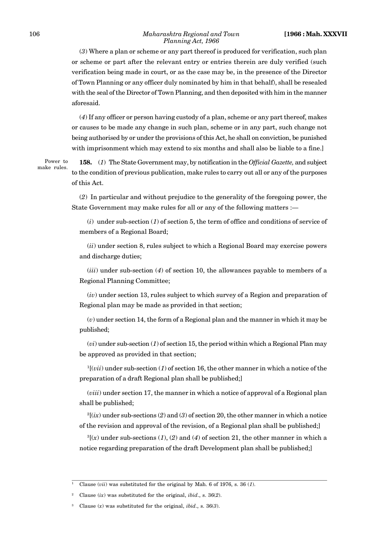(*3*) Where a plan or scheme or any part thereof is produced for verification, such plan or scheme or part after the relevant entry or entries therein are duly verified (such verification being made in court, or as the case may be, in the presence of the Director of Town Planning or any officer duly nominated by him in that behalf), shall be resealed with the seal of the Director of Town Planning, and then deposited with him in the manner aforesaid.

(*4*) If any officer or person having custody of a plan, scheme or any part thereof, makes or causes to be made any change in such plan, scheme or in any part, such change not being authorised by or under the provisions of this Act, he shall on conviction, be punished with imprisonment which may extend to six months and shall also be liable to a fine.]

Power to make rules.

**158.** (*1*) The State Government may, by notification in the *Official Gazette,* and subject to the condition of previous publication, make rules to carry out all or any of the purposes of this Act.

(*2*) In particular and without prejudice to the generality of the foregoing power, the State Government may make rules for all or any of the following matters :—

(*i*) under sub-section (*1*) of section 5, the term of office and conditions of service of members of a Regional Board;

(*ii*) under section 8, rules subject to which a Regional Board may exercise powers and discharge duties;

(*iii*) under sub-section (*4*) of section 10, the allowances payable to members of a Regional Planning Committee;

(*iv*) under section 13, rules subject to which survey of a Region and preparation of Regional plan may be made as provided in that section;

(*v*) under section 14, the form of a Regional plan and the manner in which it may be published;

(*vi*) under sub-section (*1*) of section 15, the period within which a Regional Plan may be approved as provided in that section;

<sup>1</sup>[(*vii*) under sub-section (*1*) of section 16, the other manner in which a notice of the preparation of a draft Regional plan shall be published;]

(*viii*) under section 17, the manner in which a notice of approval of a Regional plan shall be published;

 $^{2}$ [(*ix*) under sub-sections (2) and (3) of section 20, the other manner in which a notice of the revision and approval of the revision, of a Regional plan shall be published;]

 ${}^{3}$ [(*x*) under sub-sections (*1*), (*2*) and (*4*) of section 21, the other manner in which a notice regarding preparation of the draft Development plan shall be published;]

<sup>1</sup> Clause (*vii*) was substituted for the original by Mah. 6 of 1976, s. 36 (*1*).

<sup>2</sup> Clause (*ix*) was substituted for the original, *ibid*., s. 36(*2*).

<sup>3</sup> Clause (*x*) was substituted for the original, *ibid*., s. 36(*3*).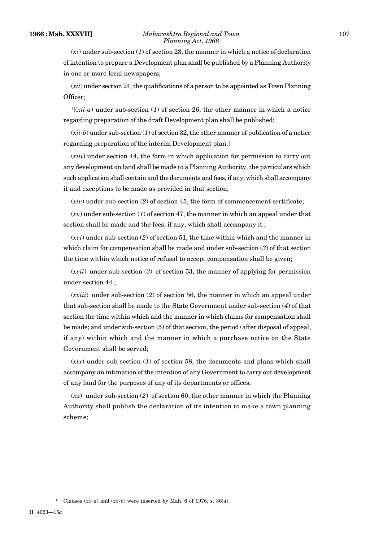(*xii*) under section 24, the qualifications of a person to be appointed as Town Planning Officer;

 $\frac{1}{x}$  (*xii-a*) under sub-section (*1*) of section 26, the other manner in which a notice regarding preparation of the draft Development plan shall be published;

 $(xii-b)$  under sub-section  $(1)$  of section 32, the other manner of publication of a notice regarding preparation of the interim Development plan;]

(*xiii*) under section 44, the form in which application for permission to carry out any development on land shall be made to a Planning Authority, the particulars which such application shall contain and the documents and fees, if any, which shall accompany it and exceptions to be made as provided in that section;

(*xiv*) under sub-section (*2*) of section 45, the form of commencement certificate;

(*xv*) under sub-section (*1*) of section 47, the manner in which an appeal under that section shall be made and the fees, if any, which shall accompany it ;

(*xvi*) under sub-section (*2*) of section 51, the time within which and the manner in which claim for compensation shall be made and under sub-section (*3*) of that section the time within which notice of refusal to accept compensation shall be given;

(*xvii*) under sub-section (*3*) of section 53, the manner of applying for permission under section 44 ;

(*xviii*) under sub-section (*2*) of section 56, the manner in which an appeal under that sub-section shall be made to the State Government under sub-section (*4*) of that section the time within which and the manner in which claims for compensation shall be made; and under sub-section (*5*) of that section, the period (after disposal of appeal, if any) within which and the manner in which a purchase notice on the State Government shall be served;

(*xix*) under sub-section (*1*) of section 58, the documents and plans which shall accompany an intimation of the intention of any Government to carry out development of any land for the purposes of any of its departments or offices;

(*xx*) under sub-section (*2*) of section 60, the other manner in which the Planning Authority shall publish the declaration of its intention to make a town planning scheme;

<sup>1</sup> Clauses (*xii-a*) and (*xii-b*) were inserted by Mah. 6 of 1976, s. 36(*4*).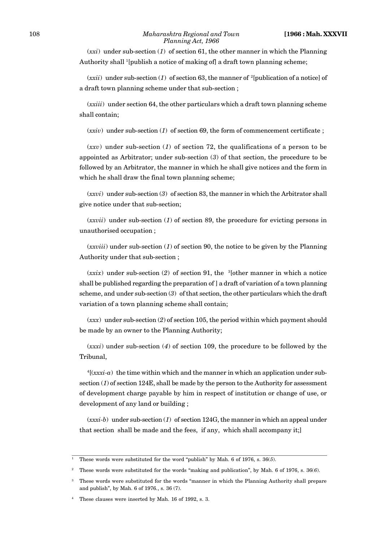#### 108 *Maharashtra Regional and Town* **[1966 : Mah. XXXVII** *Planning Act, 1966*

(*xxi*) under sub-section (*1*) of section 61, the other manner in which the Planning Authority shall <sup>1</sup>[publish a notice of making of] a draft town planning scheme;

 $(xxii)$  under sub-section (1) of section 63, the manner of <sup>2</sup>[publication of a notice] of a draft town planning scheme under that sub-section ;

(*xxiii*) under section 64, the other particulars which a draft town planning scheme shall contain;

(*xxiv*) under sub-section (*1*) of section 69, the form of commencement certificate ;

(*xxv*) under sub-section (*1*) of section 72, the qualifications of a person to be appointed as Arbitrator; under sub-section (*3*) of that section, the procedure to be followed by an Arbitrator, the manner in which he shall give notices and the form in which he shall draw the final town planning scheme;

(*xxvi*) under sub-section (*3*) of section 83, the manner in which the Arbitrator shall give notice under that sub-section;

(*xxvii*) under sub-section (*1*) of section 89, the procedure for evicting persons in unauthorised occupation ;

(*xxviii*) under sub-section (*1*) of section 90, the notice to be given by the Planning Authority under that sub-section ;

 $(xxix)$  under sub-section (2) of section 91, the <sup>3</sup>[other manner in which a notice shall be published regarding the preparation of ] a draft of variation of a town planning scheme, and under sub-section (*3*) of that section, the other particulars which the draft variation of a town planning scheme shall contain;

(*xxx*) under sub-section (*2*) of section 105, the period within which payment should be made by an owner to the Planning Authority;

(*xxxi*) under sub-section (*4*) of section 109, the procedure to be followed by the Tribunal,

 $4$ [ $(xxxi-a)$  the time within which and the manner in which an application under subsection (*1*) of section 124E, shall be made by the person to the Authority for assessment of development charge payable by him in respect of institution or change of use, or development of any land or building ;

(*xxxi-b*) under sub-section (*1*) of section 124G, the manner in which an appeal under that section shall be made and the fees, if any, which shall accompany it;]

<sup>1</sup> These words were substituted for the word "publish" by Mah. 6 of 1976, s. 36(*5*).

<sup>2</sup> These words were substituted for the words "making and publication", by Mah. 6 of 1976, s. 36(*6*).

<sup>3</sup> These words were substituted for the words "manner in which the Planning Authority shall prepare and publish", by Mah. 6 of 1976*.*, s. 36 (7).

These clauses were inserted by Mah. 16 of 1992, s. 3.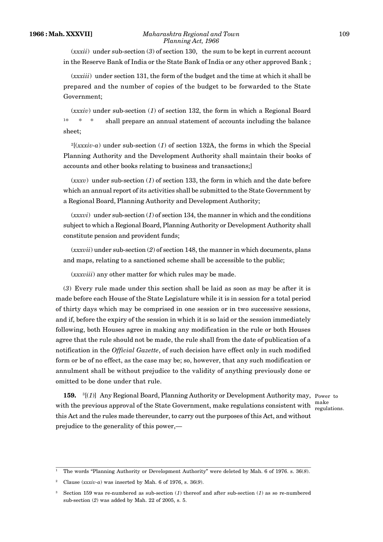(*xxxii*) under sub-section (*3*) of section 130, the sum to be kept in current account in the Reserve Bank of India or the State Bank of India or any other approved Bank ;

(*xxxiii*) under section 131, the form of the budget and the time at which it shall be prepared and the number of copies of the budget to be forwarded to the State Government;

(*xxxiv*) under sub-section (*1*) of section 132, the form in which a Regional Board <sup>1</sup>\* \* \* shall prepare an annual statement of accounts including the balance sheet;

 $^{2}$ [(*xxxiv-a*) under sub-section (1) of section 132A, the forms in which the Special Planning Authority and the Development Authority shall maintain their books of accounts and other books relating to business and transactions;]

(*xxxv*) under sub-section (*1*) of section 133, the form in which and the date before which an annual report of its activities shall be submitted to the State Government by a Regional Board, Planning Authority and Development Authority;

(*xxxvi*) under sub-section (*1*) of section 134, the manner in which and the conditions subject to which a Regional Board, Planning Authority or Development Authority shall constitute pension and provident funds;

(*xxxvii*) under sub-section (*2*) of section 148, the manner in which documents, plans and maps, relating to a sanctioned scheme shall be accessible to the public;

(*xxxviii*) any other matter for which rules may be made.

(*3*) Every rule made under this section shall be laid as soon as may be after it is made before each House of the State Legislature while it is in session for a total period of thirty days which may be comprised in one session or in two successive sessions, and if, before the expiry of the session in which it is so laid or the session immediately following, both Houses agree in making any modification in the rule or both Houses agree that the rule should not be made, the rule shall from the date of publication of a notification in the *Official Gazette*, of such decision have effect only in such modified form or be of no effect, as the case may be; so, however, that any such modification or annulment shall be without prejudice to the validity of anything previously done or omitted to be done under that rule.

**159.** <sup>3</sup>[(*1*)] Any Regional Board, Planning Authority or Development Authority may, Power to with the previous approval of the State Government, make regulations consistent with  $\frac{\text{make}}{\text{rowlations}}$ this Act and the rules made thereunder, to carry out the purposes of this Act, and without prejudice to the generality of this power,—

regulations.

<sup>1</sup> The words "Planning Authority or Development Authority" were deleted by Mah. 6 of 1976. s. 36(*8*).

<sup>2</sup> Clause (*xxxiv-a*) was inserted by Mah. 6 of 1976, s. 36(*9*).

<sup>3</sup> Section 159 was re-numbered as sub-section (*1*) thereof and after sub-section (*1*) as so re-numbered sub-section (*2*) was added by Mah. 22 of 2005, s. 5.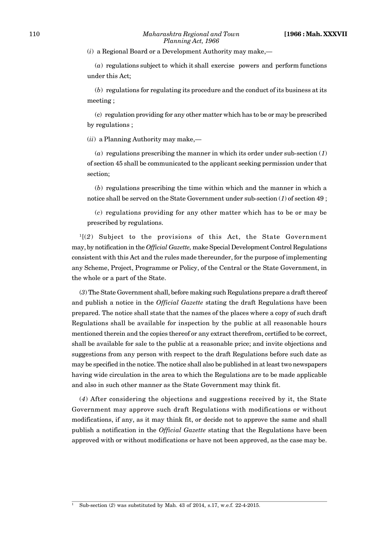(*i*) a Regional Board or a Development Authority may make,—

(*a*) regulations subject to which it shall exercise powers and perform functions under this Act;

(*b*) regulations for regulating its procedure and the conduct of its business at its meeting ;

(c) regulation providing for any other matter which has to be or may be prescribed by regulations ;

(*ii*) a Planning Authority may make,—

(*a*) regulations prescribing the manner in which its order under sub-section (*1*) of section 45 shall be communicated to the applicant seeking permission under that section;

(*b*) regulations prescribing the time within which and the manner in which a notice shall be served on the State Government under sub-section (*1*) of section 49 ;

(*c*) regulations providing for any other matter which has to be or may be prescribed by regulations.

<sup>1</sup>[(*2*) Subject to the provisions of this Act, the State Government may, by notification in the *Official Gazette,* make Special Development Control Regulations consistent with this Act and the rules made thereunder, for the purpose of implementing any Scheme, Project, Programme or Policy, of the Central or the State Government, in the whole or a part of the State.

(*3*) The State Government shall, before making such Regulations prepare a draft thereof and publish a notice in the *Official Gazette* stating the draft Regulations have been prepared. The notice shall state that the names of the places where a copy of such draft Regulations shall be available for inspection by the public at all reasonable hours mentioned therein and the copies thereof or any extract therefrom, certified to be correct, shall be available for sale to the public at a reasonable price; and invite objections and suggestions from any person with respect to the draft Regulations before such date as may be specified in the notice. The notice shall also be published in at least two newspapers having wide circulation in the area to which the Regulations are to be made applicable and also in such other manner as the State Government may think fit.

(*4*) After considering the objections and suggestions received by it, the State Government may approve such draft Regulations with modifications or without modifications, if any, as it may think fit, or decide not to approve the same and shall publish a notification in the *Official Gazette* stating that the Regulations have been approved with or without modifications or have not been approved, as the case may be.

<sup>1</sup> Sub-section (*2*) was substituted by Mah. 43 of 2014, s.17, w.e.f. 22-4-2015.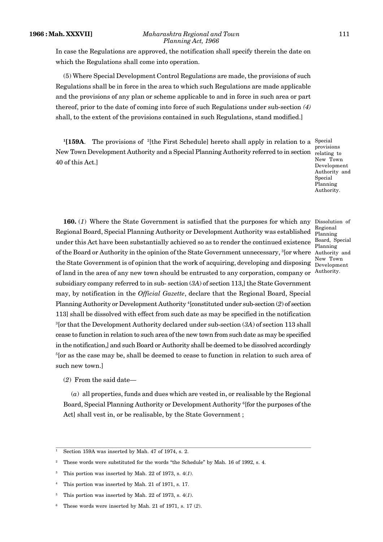In case the Regulations are approved, the notification shall specify therein the date on which the Regulations shall come into operation.

(5) Where Special Development Control Regulations are made, the provisions of such Regulations shall be in force in the area to which such Regulations are made applicable and the provisions of any plan or scheme applicable to and in force in such area or part thereof, prior to the date of coming into force of such Regulations under sub-section *(4)* shall, to the extent of the provisions contained in such Regulations, stand modified.]

<sup>1</sup>[159A. The provisions of <sup>2</sup>[the First Schedule] hereto shall apply in relation to a <sup>Special</sup> New Town Development Authority and a Special Planning Authority referred to in section relating to 40 of this Act.]

provisions New Town Development Authority and **Special** Planning Authority.

Regional

Board, Special Planning

New Town

160. (1) Where the State Government is satisfied that the purposes for which any Dissolution of Regional Board, Special Planning Authority or Development Authority was established under this Act have been substantially achieved so as to render the continued existence of the Board or Authority in the opinion of the State Government unnecessary, <sup>3</sup>[or where the State Government is of opinion that the work of acquiring, developing and disposing of land in the area of any new town should be entrusted to any corporation, company or subsidiary company referred to in sub- section (*3A*) of section 113,] the State Government may, by notification in the *Official Gazette*, declare that the Regional Board, Special Planning Authority or Development Authority <sup>4</sup>[constituted under sub-section (*2*) of section 113] shall be dissolved with effect from such date as may be specified in the notification <sup>3</sup>[or that the Development Authority declared under sub-section (*3A*) of section 113 shall cease to function in relation to such area of the new town from such date as may be specified in the notification,] and such Board or Authority shall be deemed to be dissolved accordingly <sup>5</sup>[or as the case may be, shall be deemed to cease to function in relation to such area of such new town.] Planning Authority and Development Authority.

(*2*) From the said date—

(*a*) all properties, funds and dues which are vested in, or realisable by the Regional Board, Special Planning Authority or Development Authority <sup>6</sup>[for the purposes of the Act] shall vest in, or be realisable, by the State Government ;

<sup>1</sup> Section 159A was inserted by Mah. 47 of 1974, s. 2.

<sup>&</sup>lt;sup>2</sup> These words were substituted for the words "the Schedule" by Mah. 16 of 1992, s. 4.

<sup>3</sup> This portion was inserted by Mah. 22 of 1973, s. 4(*1*).

<sup>4</sup> This portion was inserted by Mah. 21 of 1971, s. 17.

This portion was inserted by Mah. 22 of 1973, s.  $4(1)$ .

<sup>6</sup> These words were inserted by Mah. 21 of 1971, s. 17 (*2*).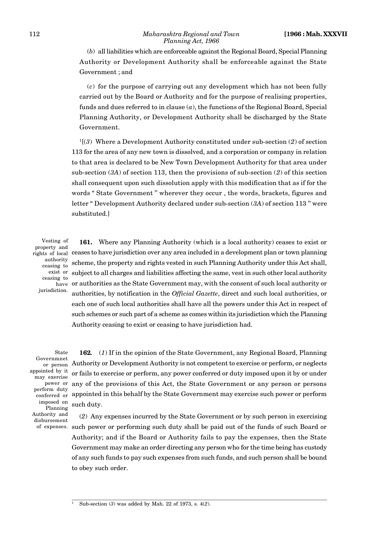(*b*) all liabilities which are enforceable against the Regional Board, Special Planning Authority or Development Authority shall be enforceable against the State Government ; and

(*c*) for the purpose of carrying out any development which has not been fully carried out by the Board or Authority and for the purpose of realising properties, funds and dues referred to in clause (*a*), the functions of the Regional Board, Special Planning Authority, or Development Authority shall be discharged by the State Government.

<sup>1</sup>[(*3*) Where a Development Authority constituted under sub-section (*2*) of section 113 for the area of any new town is dissolved, and a corporation or company in relation to that area is declared to be New Town Development Authority for that area under sub-section (*3A*) of section 113, then the provisions of sub-section (*2*) of this section shall consequent upon such dissolution apply with this modification that as if for the words " State Government '' wherever they occur , the words, brackets, figures and letter " Development Authority declared under sub-section (*3A*) of section 113 '' were substituted.]

Vesting of property and authority ceasing to exist or ceasing to jurisdiction.

**161.** Where any Planning Authority (which is a local authority) ceases to exist or  $\hat{\rm right}$ s of local  $\rm \; ce$ ases to have jurisdiction over any area included in a development plan or town planning scheme, the property and rights vested in such Planning Authority under this Act shall, subject to all charges and liabilities affecting the same, vest in such other local authority  $_\mathrm{have}$  or authorities as the State Government may, with the consent of such local authority or authorities, by notification in the *Official Gazette*, direct and such local authorities, or each one of such local authorities shall have all the powers under this Act in respect of such schemes or such part of a scheme as comes within its jurisdiction which the Planning Authority ceasing to exist or ceasing to have jurisdiction had.

State Governmnet appointed by it may exercise power or perform duty imposed on Planning Authority and disbursement of expenses.

**162***.* (*1*) If in the opinion of the State Government, any Regional Board, Planning  $_{\rm or~person}$  Authority or Development Authority is not competent to exercise or perform, or neglects or fails to exercise or perform, any power conferred or duty imposed upon it by or under any of the provisions of this Act, the State Government or any person or persons  $\frac{1}{\text{conferred}}$  or appointed in this behalf by the State Government may exercise such power or perform such duty.

> (*2*) Any expenses incurred by the State Government or by such person in exercising such power or performing such duty shall be paid out of the funds of such Board or Authority; and if the Board or Authority fails to pay the expenses, then the State Government may make an order directing any person who for the time being has custody of any such funds to pay such expenses from such funds, and such person shall be bound to obey such order.

<sup>1</sup> Sub-section (*3*) was added by Mah. 22 of 1973, s. 4(*2*).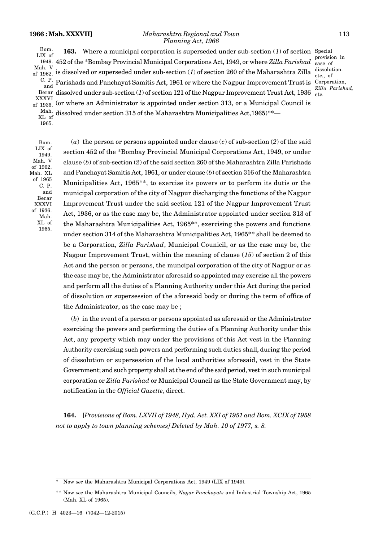#### **1966 : Mah. XXXVII]** *Maharashtra Regional and Town* 113 *Planning Act, 1966*

provision in case of dissolution. etc., of

*Zilla Parishad,*

**163.** Where a municipal corporation is superseded under sub-section (1) of section Special 452 of the \*Bombay Provincial Municipal Corporations Act, 1949, or where *Zilla Parishad* 1949. is dissolved or superseded under sub-section (*1*) of section 260 of the Maharashtra Zilla Parishads and Panchayat Samitis Act, 1961 or where the Nagpur Improvement Trust is Corporation, Berar dissolved under sub-section (1) of section 121 of the Nagpur Improvement Trust Act, 1936  $\frac{1}{\text{etc.}}$ (or where an Administrator is appointed under section 313, or a Municipal Council is dissolved under section 315 of the Maharashtra Municipalities Act,1965)\*\*— Bom. LIX of Mah. V of 1962. C. P. and XXXVI of 1936. Mah. XL of

1965.

Bom. LIX of 1949.<br>Mah. V of 1962. Mah. XL of 1965 C. P. Berar XXXVI of 1936. Mah. XL of 1965.

(*a*) the person or persons appointed under clause (*c*) of sub-section (*2*) of the said section 452 of the \*Bombay Provincial Municipal Corporations Act, 1949, or under Mah. V clause (*b*) of sub-section (*2*) of the said section 260 of the Maharashtra Zilla Parishads and Panchayat Samitis Act, 1961, or under clause (*b*) of section 316 of the Maharashtra Municipalities Act, 1965\*\*, to exercise its powers or to perform its dutis or the and municipal corporation of the city of Nagpur discharging the functions of the Nagpur Improvement Trust under the said section 121 of the Nagpur Improvement Trust Act, 1936, or as the case may be, the Administrator appointed under section 313 of the Maharashtra Municipalities Act, 1965\*\*, exercising the powers and functions under section 314 of the Maharashtra Municipalities Act, 1965\*\* shall be deemed to be a Corporation, *Zilla Parishad*, Municipal Counicil, or as the case may be, the Nagpur Improvement Trust, within the meaning of clause (*15*) of section 2 of this Act and the person or persons, the muncipal corporation of the city of Nagpur or as the case may be, the Administrator aforesaid so appointed may exercise all the powers and perform all the duties of a Planning Authority under this Act during the period of dissolution or supersession of the aforesaid body or during the term of office of the Administrator, as the case may be ;

(*b*) in the event of a person or persons appointed as aforesaid or the Administrator exercising the powers and performing the duties of a Planning Authority under this Act, any property which may under the provisions of this Act vest in the Planning Authority exercising such powers and performing such duties shall, during the period of dissolution or supersession of the local authorities aforesaid, vest in the State Government; and such property shall at the end of the said period, vest in such municipal corporation or *Zilla Parishad* or Municipal Council as the State Government may, by notification in the *Official Gazette*, direct.

**164.** [*Provisions of Bom. LXVII of 1948, Hyd. Act. XXI of 1951 and Bom. XCIX of 1958 not to apply to town planning schemes] Deleted by Mah. 10 of 1977, s. 8.*

Now see the Maharashtra Municipal Corporations Act, 1949 (LIX of 1949).

<sup>\*\*</sup> Now *see* the Maharashtra Municipal Councils, *Nagar Panchayats* and Industrial Township Act, 1965 (Mah. XL of 1965).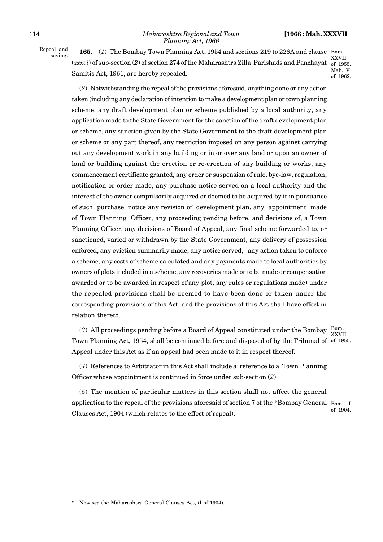Repeal and

<sup>241 and</sup> **165.** (1) The Bombay Town Planning Act, 1954 and sections 219 to 226A and clause Bom. (*xxxvi*) of sub-section (*2*) of section 274 of the Maharashtra Zilla Parishads and Panchayat of 1955. Samitis Act, 1961, are hereby repealed.

XXVII Mah. V of 1962.

(*2*) Notwithstanding the repeal of the provisions aforesaid, anything done or any action taken (including any declaration of intention to make a development plan or town planning scheme, any draft development plan or scheme published by a local authority, any application made to the State Government for the sanction of the draft development plan or scheme, any sanction given by the State Government to the draft development plan or scheme or any part thereof, any restriction imposed on any person against carrying out any development work in any building or in or over any land or upon an owner of land or building against the erection or re-erection of any building or works, any commencement certificate granted, any order or suspension of rule, bye-law, regulation, notification or order made, any purchase notice served on a local authority and the interest of the owner compulsorily acquired or deemed to be acquired by it in pursuance of such purchase notice any revision of development plan, any appointment made of Town Planning Officer, any proceeding pending before, and decisions of, a Town Planning Officer, any decisions of Board of Appeal, any final scheme forwarded to, or sanctioned, varied or withdrawn by the State Government, any delivery of possession enforced, any eviction summarily made, any notice served, any action taken to enforce a scheme, any costs of scheme calculated and any payments made to local authorities by owners of plots included in a scheme, any recoveries made or to be made or compensation awarded or to be awarded in respect of'any plot, any rules or regulations made) under the repealed provisions shall be deemed to have been done or taken under the corresponding provisions of this Act, and the provisions of this Act shall have effect in relation thereto.

(3) All proceedings pending before a Board of Appeal constituted under the Bombay  $\frac{\text{Bom}}{\text{sym}}$ Town Planning Act, 1954, shall be continued before and disposed of by the Tribunal of of 1955. Appeal under this Act as if an appeal had been made to it in respect thereof. XXVII

(*4*) References to Arbitrator in this Act shall include a reference to a Town Planning Officer whose appointment is continued in force under sub-section (*2*).

(*5*) The mention of particular matters in this section shall not affect the general application to the repeal of the provisions aforesaid of section 7 of the \*Bombay General  $_{\rm{Born}^-}$   $_{\rm{I}}$ Clauses Act, 1904 (which relates to the effect of repeal). of 1904.

Now *see* the Maharashtra General Clauses Act, (I of 1904).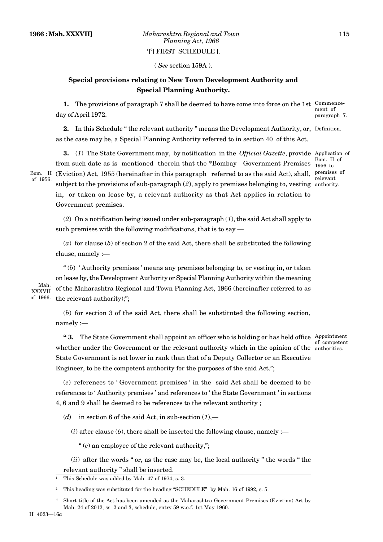( *See* section 159A ).

# **Special provisions relating to New Town Development Authority and Special Planning Authority.**

**1.** The provisions of paragraph 7 shall be deemed to have come into force on the 1st Commenceday of April 1972. ment of paragraph 7.

2. In this Schedule "the relevant authority " means the Development Authority, or, Definition. as the case may be, a Special Planning Authority referred to in section 40 of this Act.

**3.** (*1*) The State Government may, by notification in the *Official Gazette*, provide Application of from such date as is mentioned therein that the \*Bombay Government Premises Bom. II (Eviction) Act, 1955 (hereinafter in this paragraph referred to as the said Act), shall, premises of subject to the provisions of sub-paragraph (*2*), apply to premises belonging to, vesting anthority. in, or taken on lease by, a relevant authority as that Act applies in relation to Government premises. of 1956.

Bom. II of 1956 to relevant

(*2*) On a notification being issued under sub-paragraph (*1*), the said Act shall apply to such premises with the following modifications, that is to say —

 $(a)$  for clause  $(b)$  of section 2 of the said Act, there shall be substituted the following clause, namely :—

" (*b*) ' Authority premises ' means any premises belonging to, or vesting in, or taken on lease by, the Development Authority or Special Planning Authority within the meaning of the Maharashtra Regional and Town Planning Act, 1966 (hereinafter referred to as of 1966. the relevant authority);";

Mah. XXXVII

> (*b*) for section 3 of the said Act, there shall be substituted the following section, namely :—

**4 ° 3.** The State Government shall appoint an officer who is holding or has held office Appointment whether under the Government or the relevant authority which in the opinion of the authorities. State Government is not lower in rank than that of a Deputy Collector or an Executive Engineer, to be the competent authority for the purposes of the said Act."; of competent

(*c*) references to ' Government premises ' in the said Act shall be deemed to be references to ' Authority premises ' and references to ' the State Government ' in sections

4, 6 and 9 shall be deemed to be references to the relevant authority ;

(*d*) in section 6 of the said Act, in sub-section (*1*),—

 $(i)$  after clause  $(b)$ , there shall be inserted the following clause, namely :—

" (*c*) an employee of the relevant authority,";

(*ii*) after the words " or, as the case may be, the local authority " the words " the relevant authority " shall be inserted.

<sup>1</sup> This Schedule was added by Mah. 47 of 1974, s. 3.

Short title of the Act has been amended as the Maharashtra Government Premises (Eviction) Act by Mah. 24 of 2012, ss. 2 and 3, schedule, entry 59 w.e.f. 1st May 1960.

<sup>2</sup> This heading was substituted for the heading "SCHEDULE" by Mah. 16 of 1992, s. 5.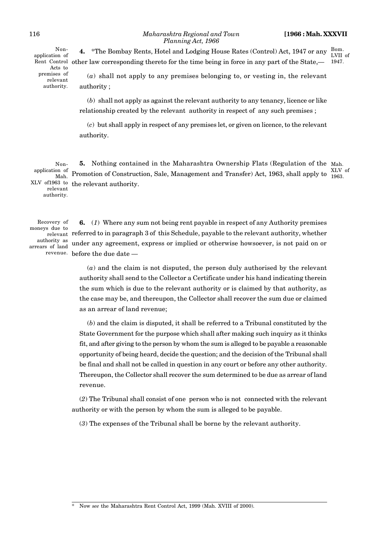#### 116 *Maharashtra Regional and Town* **[1966 : Mah. XXXVII** *Planning Act, 1966*

Rent Control other law corresponding thereto for the time being in force in any part of the State,— 1947. Nonapplication of Acts to premises of relevant authority.

Bom. LVII of 1947.

(*a*) shall not apply to any premises belonging to, or vesting in, the relevant authority ;

**4.** \*The Bombay Rents, Hotel and Lodging House Rates (Control) Act, 1947 or any

(*b*) shall not apply as against the relevant authority to any tenancy, licence or like relationship created by the relevant authority in respect of any such premises ;

(*c*) but shall apply in respect of any premises let, or given on licence, to the relevant authority.

**5.** Nothing contained in the Maharashtra Ownership Flats (Regulation of the Mah. Promotion of Construction, Sale, Management and Transfer) Act, 1963, shall apply to  $\frac{100}{1963}$ XLV of 1963 to the relevant authority. XLV of Nonapplication of Mah. relevant authority.

Recovery of moneys due to authority as arrears of land

**6.** (*1*) Where any sum not being rent payable in respect of any Authority premises  $_{\rm relevant}$  referred to in paragraph 3 of this Schedule, payable to the relevant authority, whether under any agreement, express or implied or otherwise howsoever, is not paid on or revenue. before the due date —

> (*a*) and the claim is not disputed, the person duly authorised by the relevant authority shall send to the Collector a Certificate under his hand indicating therein the sum which is due to the relevant authority or is claimed by that authority, as the case may be, and thereupon, the Collector shall recover the sum due or claimed as an arrear of land revenue;

> (*b*) and the claim is disputed, it shall be referred to a Tribunal constituted by the State Government for the purpose which shall after making such inquiry as it thinks fit, and after giving to the person by whom the sum is alleged to be payable a reasonable opportunity of being heard, decide the question; and the decision of the Tribunal shall be final and shall not be called in question in any court or before any other authority. Thereupon, the Collector shall recover the sum determined to be due as arrear of land revenue.

(*2*) The Tribunal shall consist of one person who is not connected with the relevant authority or with the person by whom the sum is alleged to be payable.

(*3*) The expenses of the Tribunal shall be borne by the relevant authority.

\* Now *see* the Maharashtra Rent Control Act, 1999 (Mah. XVIII of 2000).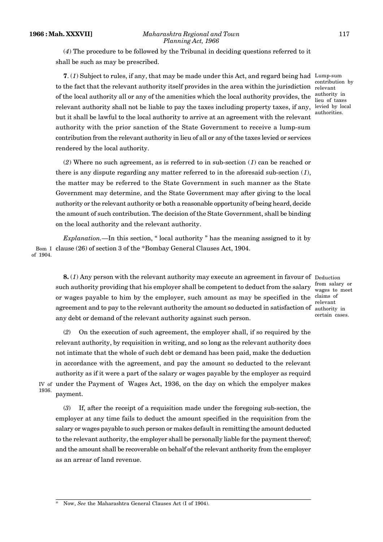(*4*) The procedure to be followed by the Tribunal in deciding questions referred to it shall be such as may be prescribed.

**7**. (*1*) Subject to rules, if any, that may be made under this Act, and regard being had Lump-sum to the fact that the relevant authority itself provides in the area within the jurisdiction of the local authority all or any of the amenities which the local authority provides, the relevant authority shall not be liable to pay the taxes including property taxes, if any, but it shall be lawful to the local authority to arrive at an agreement with the relevant authority with the prior sanction of the State Government to receive a lump-sum contribution from the relevant authority in lieu of all or any of the taxes levied or services rendered by the local authority.

contribution by relevant authority in lieu of taxes levied by local authorities.

(*2*) Where no such agreement, as is referred to in sub-section (*1*) can be reached or there is any dispute regarding any matter referred to in the aforesaid sub-section (*1*), the matter may be referred to the State Government in such manner as the State Government may determine, and the State Government may after giving to the local authority or the relevant authority or both a reasonable opportunity of being heard, decide the amount of such contribution. The decision of the State Government, shall be binding on the local authority and the relevant authority.

*Explanation.*—In this section, " local authority " has the meaning assigned to it by Bom I clause (26) of section 3 of the \*Bombay General Clauses Act, 1904. of 1904.

**8.** (1) Any person with the relevant authority may execute an agreement in favour of Deduction such authority providing that his employer shall be competent to deduct from the salary or wages payable to him by the employer, such amount as may be specified in the claims of agreement and to pay to the relevant authority the amount so deducted in satisfaction of authority in any debt or demand of the relevant authority against such person.

from salary or wages to meet relevant certain cases.

(*2*) On the execution of such agreement, the employer shall, if so required by the relevant authority, by requisition in writing, and so long as the relevant authority does not intimate that the whole of such debt or demand has been paid, make the deduction in accordance with the agreement, and pay the amount so deducted to the relevant authority as if it were a part of the salary or wages payable by the employer as requird IV of under the Payment of Wages Act, 1936, on the day on which the empolyer makes payment.

1936.

(*3*) If, after the receipt of a requisition made under the foregoing sub-section, the employer at any time fails to deduct the amount specified in the requisition from the salary or wages payable to such person or makes default in remitting the amount deducted to the relevant authority, the employer shall be personally liable for the payment thereof; and the amount shall be recoverable on behalf of the relevant anthority from the employer as an arrear of land revenue.

Now, See the Maharashtra General Clauses Act (I of 1904).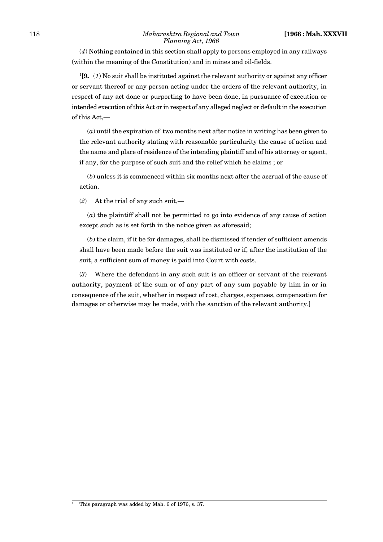#### 118 *Maharashtra Regional and Town* **[1966 : Mah. XXXVII** *Planning Act, 1966*

(*4*) Nothing contained in this section shall apply to persons employed in any railways (within the meaning of the Constitution) and in mines and oil-fields.

<sup>1</sup>[**9.** (*1*) No suit shall be instituted against the relevant authority or against any officer or servant thereof or any person acting under the orders of the relevant authority, in respect of any act done or purporting to have been done, in pursuance of execution or intended execution of this Act or in respect of any alleged neglect or default in the execution of this Act,—

(*a*) until the expiration of two months next after notice in writing has been given to the relevant authority stating with reasonable particularity the cause of action and the name and place of residence of the intending plaintiff and of his attorney or agent, if any, for the purpose of such suit and the relief which he claims ; or

(*b*) unless it is commenced within six months next after the accrual of the cause of action.

(*2*) At the trial of any such suit,—

(*a*) the plaintiff shall not be permitted to go into evidence of any cause of action except such as is set forth in the notice given as aforesaid;

(*b*) the claim, if it be for damages, shall be dismissed if tender of sufficient amends shall have been made before the suit was instituted or if, after the institution of the suit, a sufficient sum of money is paid into Court with costs.

(*3*) Where the defendant in any such suit is an officer or servant of the relevant authority, payment of the sum or of any part of any sum payable by him in or in consequence of the suit, whether in respect of cost, charges, expenses, compensation for damages or otherwise may be made, with the sanction of the relevant authority.]

<sup>&</sup>lt;sup>1</sup> This paragraph was added by Mah. 6 of 1976, s. 37.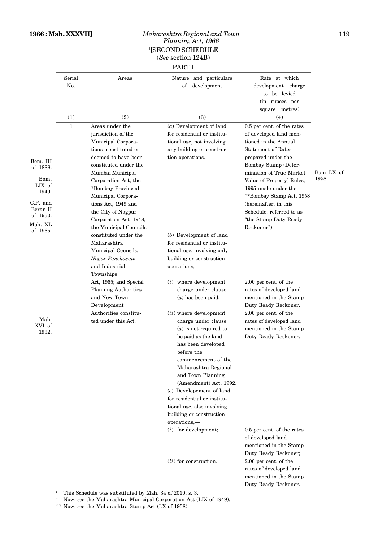### **1966 : Mah. XXXVII]** *Maharashtra Regional and Town* 119 *Planning Act, 1966* <sup>1</sup>[SECOND SCHEDULE (*See* section 124B)

## PART I

|                                     | Serial       | Areas                       | and particulars<br>Nature   | Rate at which              |           |
|-------------------------------------|--------------|-----------------------------|-----------------------------|----------------------------|-----------|
|                                     | No.          |                             | of<br>development           | development charge         |           |
|                                     |              |                             |                             | to be levied               |           |
|                                     |              |                             |                             | (in rupees per             |           |
|                                     |              |                             |                             | square metres)             |           |
|                                     | (1)          | (2)                         | (3)                         | (4)                        |           |
|                                     | $\mathbf{1}$ | Areas under the             | $(a)$ Development of land   | 0.5 per cent. of the rates |           |
|                                     |              | jurisdiction of the         | for residential or institu- | of developed land men-     |           |
|                                     |              | Municipal Corpora-          | tional use, not involving   | tioned in the Annual       |           |
|                                     |              | tions constituted or        | any building or construc-   | <b>Statement of Rates</b>  |           |
| Bom. III                            |              | deemed to have been         | tion operations.            | prepared under the         |           |
| of 1888.<br>Bom.<br>LIX of<br>1949. |              | constituted under the       |                             | Bombay Stamp (Deter-       |           |
|                                     |              | Mumbai Municipal            |                             | mination of True Market    | Bom LX of |
|                                     |              | Corporation Act, the        |                             | Value of Property) Rules,  | 1958.     |
|                                     |              | *Bombay Provincial          |                             | 1995 made under the        |           |
|                                     |              | Municipal Corpora-          |                             | **Bombay Stamp Act, 1958   |           |
| C.P. and                            |              | tions Act, 1949 and         |                             | (hereinafter, in this      |           |
| Berar II<br>of 1950.                |              | the City of Nagpur          |                             | Schedule, referred to as   |           |
|                                     |              | Corporation Act, 1948,      |                             | "the Stamp Duty Ready      |           |
| Mah. XL<br>of 1965.                 |              | the Municipal Councils      |                             | Reckoner").                |           |
|                                     |              | constituted under the       | $(b)$ Development of land   |                            |           |
|                                     |              | Maharashtra                 | for residential or institu- |                            |           |
|                                     |              | Municipal Councils,         | tional use, involving only  |                            |           |
|                                     |              | Nagar Panchayats            | building or construction    |                            |           |
|                                     |              | and Industrial              | operations,-                |                            |           |
|                                     |              | Townships                   |                             |                            |           |
|                                     |              | Act, 1965; and Special      | $(i)$ where development     | 2.00 per cent. of the      |           |
|                                     |              | <b>Planning Authorities</b> | charge under clause         | rates of developed land    |           |
|                                     |              | and New Town                | $(a)$ has been paid;        | mentioned in the Stamp     |           |
|                                     |              | Development                 |                             | Duty Ready Reckoner.       |           |
|                                     |              | Authorities constitu-       | $(ii)$ where development    | 2.00 per cent. of the      |           |
| Mah.                                |              | ted under this Act.         | charge under clause         | rates of developed land    |           |
| XVI of<br>1992.                     |              |                             | $(a)$ is not required to    | mentioned in the Stamp     |           |
|                                     |              |                             | be paid as the land         | Duty Ready Reckoner.       |           |
|                                     |              |                             | has been developed          |                            |           |
|                                     |              |                             | before the                  |                            |           |
|                                     |              |                             | commencement of the         |                            |           |
|                                     |              |                             | Maharashtra Regional        |                            |           |
|                                     |              |                             | and Town Planning           |                            |           |
|                                     |              |                             | (Amendment) Act, 1992.      |                            |           |
|                                     |              |                             | $(c)$ Developement of land  |                            |           |
|                                     |              |                             | for residential or institu- |                            |           |
|                                     |              |                             | tional use, also involving  |                            |           |
|                                     |              |                             | building or construction    |                            |           |
|                                     |              |                             | operations.—                |                            |           |
|                                     |              |                             | $(i)$ for development;      | 0.5 per cent. of the rates |           |
|                                     |              |                             |                             | of developed land          |           |
|                                     |              |                             |                             | mentioned in the Stamp     |           |
|                                     |              |                             |                             | Duty Ready Reckoner;       |           |
|                                     |              |                             | $(ii)$ for construction.    | 2.00 per cent. of the      |           |
|                                     |              |                             |                             | rates of developed land    |           |
|                                     |              |                             |                             | mentioned in the Stamp     |           |
|                                     |              |                             |                             | Duty Ready Reckoner.       |           |
|                                     |              |                             |                             |                            |           |

<sup>1</sup> This Schedule was substituted by Mah. 34 of 2010, s. 3.

\* Now, *see* the Maharashtra Municipal Corporation Act (LIX of 1949).

\*\* Now, *see* the Maharashtra Stamp Act (LX of 1958).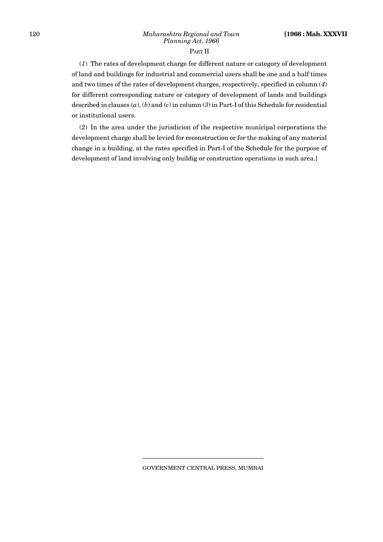#### PART II

(*1*) The rates of development charge for different nature or category of development of land and buildings for industrial and commercial users shall be one and a half times and two times of the rates of development charges, respectively, specified in column (*4*) for different corresponding nature or category of development of lands and buildings described in clauses (*a*), (*b*) and (*c*) in column (*3*) in Part-I of this Schedule for residential or institutional users.

(*2*) In the area under the jurisdicion of the respective municipal corporations the development charge shall be levied for reconstruction or for the making of any material change in a building, at the rates specified in Part-I of the Schedule for the purpose of development of land involving only buildig or construction operations in such area.]